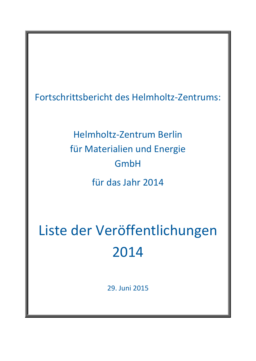Fortschrittsbericht des Helmholtz-Zentrums:

Helmholtz-Zentrum Berlin für Materialien und Energie GmbH für das Jahr 2014

Liste der Veröffentlichungen 2014

29. Juni 2015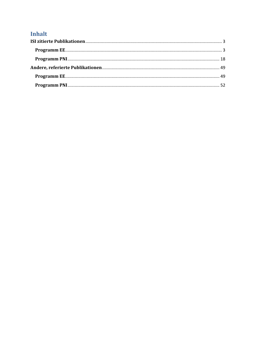# Inhalt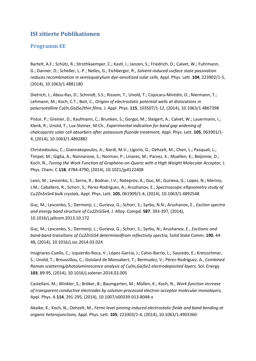## <span id="page-2-0"></span>**ISI zitierte Publikationen**

### <span id="page-2-1"></span>**Programm EE**

Bartelt, A.F.; Schütz, R.; Strothkaemper, C.; Kastl, I.; Janzen, S.; Friedrich, D.; Calvet, W.; Fuhrmann, G.; Danner, D.; Scheller, L.-P.; Nelles, G.; Eichberger, R., *Solvent-induced surface state passivation reduces recombination in semisquarylium dye-sensitized solar cells,* Appl. Phys. Lett. **104**, 223902/1-5, (2014), 10.1063/1.4881180

Dietrich, J.; Abou-Ras, D.; Schmidt, S.S.; Rissom, T.; Unold, T.; Cojocaru-Mirédin, O.; Niermann, T.; Lehmann, M.; Koch, C.T.; Boit, C., *Origins of electrostatic potential wells at dislocations in polycrystalline Cu(In,Ga)Se2thin films,* J. Appl. Phys. **115**, 103507/1-12, (2014), 10.1063/1.4867398

Pistor, P.; Greiner, D.; Kaufmann, C.; Brunken, S.; Gorgoi, M.; Steigert, A.; Calvet, W.; Lauermann, I.; Klenk, R.; Unold, T.; Lux-Steiner, M.Ch., *Experimental indication for band gap widening of chalcopyrite solar cell absorbers after potassium fluoride treatment,* Appl. Phys. Lett. **105**, 063901/1- 4, (2014), 10.1063/1.4892882

Christodoulou, C.; Giannakopoulos, A.; Nardi, M.V.; Ligorio, G.; Oehzelt, M.; Chen, L.; Pasquali, L.; Timpel, M.; Giglia, A.; Nannarone, S.; Norman, P.; Linares, M.; Parvez, K.; Muellen, K.; Beljonne, D.; Koch, N., *Tuning the Work Function of Graphene-on-Quartz with a High Weight Molecular Acceptor,* J. Phys. Chem. C **118**, 4784-4790, (2014), 10.1021/jp4122408

Leon, M.; Levcenko, S.; Serna, R.; Bodnar, I.V.; Nateprov, A.; Guc, M.; Gurieva, G.; Lopez, N.; Merino, J.M.; Caballero, R.; Schorr, S.; Perez-Rodriguez, A.; Arushanov, E., *Spectroscopic ellipsometry study of Cu2ZnSnSe4 bulk crystals,* Appl. Phys. Lett. **105**, 061909/1-4, (2014), 10.1063/1.4892548

Guc, M.; Levcenko, S.; Dermenji, L.; Gurieva, G.; Schorr, S.; Syrbu, N.N.; Arushanov, E., *Exciton spectra and energy band structure of Cu2ZnSiSe4,* J. Alloy. Compd. **587**, 393-397, (2014), 10.1016/j.jallcom.2013.10.172

Guc, M.; Levcenko, S.; Dermenji, L.; Gurieva, G.; Schorr, S.; Syrbu, N.; Arushanov, E., *Excitonic and band-band transitions of Cu2ZnSiS4 determinedfrom reflectivity spectra,* Solid State Comm. **190**, 44- 48, (2014), 10.1016/j.ssc.2014.03.024

Insignares-Cuello, C.; Izquierdo-Roca, V.; López-García, J.; Calvo-Barrio, L.; Saucedo, E.; Kretzschmar, S.; Unold, T.; Broussillou, C.; Goislard de Monsabert, T.; Bermudez, V.; Pérez-Rodríguez, A., *Combined Raman scattering/photoluminescence analysis of Cu(In,Ga)Se2 electrodeposited layers,* Sol. Energy **103**, 89-95, (2014), 10.1016/j.solener.2014.02.005

Castellani, M.; Winkler, S.; Bröker, B.; Baumgarten, M.; Müllen, K.; Koch, N., *Work function increase of transparent conductive electrodes by solution processed electron acceptor molecular monolayers,*  Appl. Phys. A **114**, 291-295, (2014), 10.1007/s00339-013-8048-x

Akaike, K.; Koch, N.; Oehzelt, M., *Fermi level pinning induced electrostatic fields and band bending at organic heterojunctions,* Appl. Phys. Lett. **105**, 223303/1-4, (2014), 10.1063/1.4903360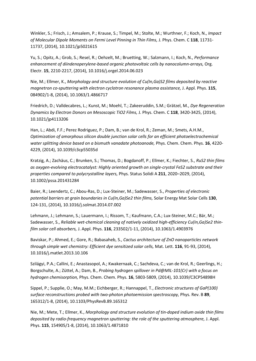Winkler, S.; Frisch, J.; Amsalem, P.; Krause, S.; Timpel, M.; Stolte, M.; Wurthner, F.; Koch, N., *Impact of Molecular Dipole Moments on Fermi Level Pinning in Thin Films,* J. Phys. Chem. C **118**, 11731- 11737, (2014), 10.1021/jp5021615

Yu, S.; Opitz, A.; Grob, S.; Resel, R.; Oehzelt, M.; Bruetting, W.; Salzmann, I.; Koch, N., *Performance enhancement of diindenoperylene-based organic photovoltaic cells by nanocolumn-arrays,* Org. Electr. **15**, 2210-2217, (2014), 10.1016/j.orgel.2014.06.023

Nie, M.; Ellmer, K., *Morphology and structure evolution of Cu(In,Ga)S2 films deposited by reactive magnetron co-sputtering with electron cyclotron resonance plasma assistance,* J. Appl. Phys. **115**, 084902/1-8, (2014), 10.1063/1.4866717

Friedrich, D.; Valldecabres, L.; Kunst, M.; Moehl, T.; Zakeeruddin, S.M.; Grätzel, M., *Dye Regeneration Dynamics by Electron Donors on Mesoscopic TiO2 Films,* J. Phys. Chem. C **118**, 3420-3425, (2014), 10.1021/jp4113206

Han, L.; Abdi, F.F.; Perez Rodriguez, P.; Dam, B.; van de Krol, R.; Zeman, M.; Smets, A.H.M., *Optimization of amorphous silicon double junction solar cells for an efficient photoelectrochemical water splitting device based on a bismuth vanadate photoanode,* Phys. Chem. Chem. Phys. **16**, 4220- 4229, (2014), 10.1039/c3cp55035d

Kratzig, A.; Zachäus, C.; Brunken, S.; Thomas, D.; Bogdanoff, P.; Ellmer, K.; Fiechter, S., *RuS2 thin films as oxygen-evolving electrocatalyst: Highly oriented growth on single-crystal FeS2 substrate and their properties compared to polycrystalline layers,* Phys. Status Solidi A **211**, 2020–2029, (2014), 10.1002/pssa.201431284

Baier, R.; Leendertz, C.; Abou-Ras, D.; Lux-Steiner, M.; Sadewasser, S., *Properties of electronic potential barriers at grain boundaries in Cu(In,Ga)Se2 thin films,* Solar Energy Mat Solar Cells **130**, 124-131, (2014), 10.1016/j.solmat.2014.07.002

Lehmann, J.; Lehmann, S.; Lauermann, I.; Rissom, T.; Kaufmann, C.A.; Lux-Steiner, M.C.; Bär, M.; Sadewasser, S., *Reliable wet-chemical cleaning of natively oxidized high-efficiency Cu(In,Ga)Se2 thinfilm solar cell absorbers,* J. Appl. Phys. **116**, 233502/1-11, (2014), 10.1063/1.4903976

Baviskar, P.; Ahmed, E.; Gore, R.; Babasaheb, S., *Cactus architecture of ZnO nanoparticles network through simple wet chemistry: Efficient dye sensitized solar cells,* Mat. Lett. **116**, 91-93, (2014), 10.1016/j.matlet.2013.10.106

Szilágyi, P.A.; Callini, E.; Anastasopol, A.; Kwakernaak, C.; Sachdeva, C.; van de Krol, R.; Geerlings, H.; Borgschulte, A.; Züttel, A.; Dam, B., *Probing hydrogen spillover in Pd@MIL-101(Cr) with a focus on hydrogen chemisorption,* Phys. Chem. Chem. Phys. **16**, 5803-5809, (2014), 10.1039/C3CP54898H

Sippel, P.; Supplie, O.; May, M.M.; Eichberger, R.; Hannappel, T., *Electronic structures of GaP(100) surface reconstructions probed with two-photon photoemission spectroscopy,* Phys. Rev. B **89**, 165312/1-8, (2014), 10.1103/PhysRevB.89.165312

Nie, M.; Mete, T.; Ellmer, K., *Morphology and structure evolution of tin-doped indium oxide thin films deposited by radio-frequency magnetron sputtering: the role of the sputtering atmosphere,* J. Appl. Phys. **115**, 154905/1-8, (2014), 10.1063/1.4871810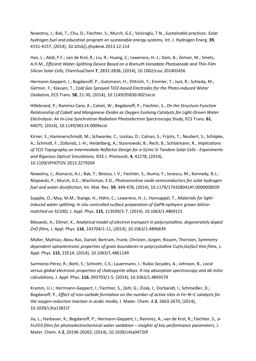Nowotny, J.; Bak, T.; Chu, D.; Fiechter, S.; Murch, G.E.; Veziroglu, T.N., *Sustainable practices: Solar hydrogen fuel and education program on sustainable energy systems,* Int. J. Hydrogen Energ. **39**, 4151-4157, (2014), 10.1016/j.ijhydene.2013.12.114

Han, L.; Abdi, F.F.; van de Krol, R.; Liu, R.; Huang, Z.; Lewerenz, H.-J.; Dam, B.; Zeman, M.; Smets, A.H.M., *Efficient Water-Splitting Device Based on a Bismuth Vanadate Photoanode and Thin-Film Silicon Solar Cells,* ChemSusChem **7**, 2832-2838, (2014), 10.1002/cssc.201402456

Hermann-Geppert, I.; Bogdanoff, P.; Gutzmann, H.; Dittrich, T.; Emmler, T.; Just, R.; Schieda, M.; Gärtner, F.; Klassen, T., *Cold Gas Sprayed TiO2-based Electrodes for the Photo-induced Water Oxidation,* ECS Trans. **58**, 21-30, (2014), 10.1149/05830.0021ecst

Hillebrand, P.; Ramírez-Caro, A.; Calvet, W.; Bogdanoff, P.; Fiechter, S., *On the Structure-Function Relationship of Cobalt and Manganese Oxides as Oxygen Evolving Catalysts for Light-Driven Water Electrolysis: An In-Line Synchrotron Radiation Photoelectron Spectroscopy Study,* ECS Trans. **61**, 44075, (2014), 10.1149/06114.0009ecst

Kirner, S.; Hammerschmidt, M.; Schwanke, C.; Lockau, D.; Calnan, S.; Frijnts, T.; Neubert, S.; Schöpke, A.; Schmidt, F.; Zollondz, J.-H.; Heidelberg, A.; Stannowski, B.; Rech, B.; Schlatmann, R., *Implications of TCO Topography on Intermediate Reflector Design for a-Si/mc-Si Tandem Solar Cells - Experiments and Rigorous Optical Simulations,* IEEE J. Photovolt, **4**, 42278, (2014), 10.1109/JPHOTOV.2013.2279204

Nowotny, J.; Atanacio, A.J.; Bak, T.; Belova, I. V.; Fiechter, S.; Ikuma, Y.; Ionescu, M.; Kennedy, B.J.; Majewski, P.; Murch, G.E.; Wachsman, E.D., *Photosensitive oxide semiconductors for solar hydrogen fuel and water disinfection,* Int. Mat. Rev. **59**, 449-478, (2014), 10.1179/1743280414Y.0000000039

Supplie, O.; May, M.M.; Stange, H.; Höhn, C.; Lewerenz, H.-J.; Hannappel, T., *Materials for lightinduced water splitting: In situ controlled surface preparation of GaPN epilayers grown latticematched on Si(100),* J. Appl. Phys. **115**, 113509/1-7, (2014), 10.1063/1.4869121

Bikowski, A.; Ellmer, K., *Analytical model of electron transport in polycrystalline, degenerately doped ZnO films,* J. Appl. Phys. **116**, 143704/1-11, (2014), 10.1063/1.4896839

Müller, Mathias; Abou-Ras, Daniel; Bertram, Frank; Christen, Jürgen; Rissom, Thorsten, *Symmetry dependent optoelectronic properties of grain boundaries in polycrystalline Cu(In,Ga)Se2 thin films,* J. Appl. Phys. **115**, 23514, (2014), 10.1063/1.4861149

Sarmieno-Pérez, R.; Botti, S.; Schnohr, C.S.; Lauermann, I.; Rubio Secades, A.; Johnson, B., *Local versus global electronic properties of chalcopyrite alloys: X-ray absorption spectroscopy and ab initio calculations,* J. Appl. Phys. **116**, 093703/1-5, (2014), 10.1063/1.4893579

Kramm, U.I.; Herrmann-Geppert, I.; Fiechter, S.; Zehl, G.; Zizak, I.; Dorbandt, I.; Schmeißer, D.; Bogdanoff, P., *Effect of iron-carbide formation on the number of active sites in Fe–N–C catalysts for the oxygen reduction reaction in acidic media,* J. Mater. Chem. A **2**, 2663-2670, (2014), 10.1039/c3ta13821f

Jia, L.; Harbauer, K.; Bogdanoff, P.; Hermann-Geppert, I.; Ramirez, A.; van de Krol, R.; Fiechter, S., *a-Fe2O3 films for photoelectrochemical water oxidation – insights of key performance parameters,* J. Mater. Chem. A **2**, 20196-20202, (2014), 10.1039/c4ta04720f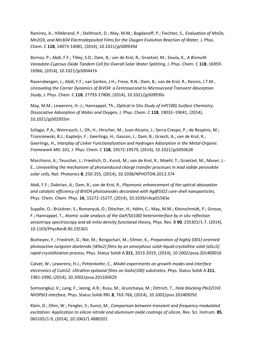Ramirez, A.; Hillebrand, P.; Stellmach, D.; May, M.M.; Bogdanoff, P.; Fiechter, S., *Evaluation of MnOx, Mn2O3, and Mn3O4 Electrodeposited Films for the Oxygen Evolution Reaction of Water, J. Phys.* Chem. C **118**, 14073-14081, (2014), 10.1021/jp500939d

Bornoz, P.; Abdi, F.F.; Tilley, S.D.; Dam, B.; van de Krol, R.; Graetzel, M.; Sivula, K., *A Bismuth Vanadate-Cuprous Oxide Tandem Cell for Overall Solar Water Splitting,* J. Phys. Chem. C **118**, 16959- 16966, (2014), 10.1021/jp500441h

Ravensbergen, J.; Abdi, F.F.; van Santen, J.H.; Frese, R.N.; Dam, B.; van de Krol, R.; Kennis, J.T.M., *Unraveling the Carrier Dynamics of BiVO4: a Femtosecond to Microsecond Transient Absorption Study,* J. Phys. Chem. C **118**, 27793-27800, (2014), 10.1021/jp509930s

May, M.M.; Lewerenz, H.-J.; Hannappel, Th., *Optical in Situ Study of InP(100) Surface Chemistry: Dissociative Adsorption of Water and Oxygen,* J. Phys. Chem. C **118**, 19032–19041, (2014), 10.1021/jp502955m

Szilagyi, P.A.; Weinrauch, I.; Oh, H.; Hirscher, M.; Juan-Alcaniz, J.; Serra-Crespo, P.; de Respinis, M.; Trzesniewski, B.J.; Kapteijn, F.; Geerlings, H.; Gascon, J.; Dam, B.; Grzech, A.; van de Krol, R.; Geerlings, H., *Interplay of Linker Functionalization and Hydrogen Adsorption in the Metal-Organic Framework MIL-101,* J. Phys. Chem. C **118**, 19572-19579, (2014), 10.1021/jp5050628

Marchioro, A.; Teuscher, J.; Friedrich, D.; Kunst, M.; van de Krol, R.; Moehl, T.; Graetzel, M.; Moser, J.- E., *Unravelling the mechanism of photoinduced charge transfer processes in lead iodide perovskite solar cells,* Nat. Photonics **8**, 250-255, (2014), 10.1038/NPHOTON.2013.374

Abdi, F.F.; Dabirian, A.; Dam, B.; van de Krol, R., *Plasmonic enhancement of the optical absorption and catalytic efficiency of BiVO4 photoanodes decorated with Ag@SiO2 core-shell nanoparticles,*  Phys. Chem. Chem. Phys. **16**, 15272-15277, (2014), 10.1039/c4cp01583e

Supplie, O.; Brückner, S.; Romanyuk, O.; Döscher, H.; Höhn, C.; May, M.M.; Kleinschmidt, P.; Grosse, F.; Hannappel, T., *Atomic scale analysis of the GaP/Si(100) heterointerface by in situ reflection anisotropy spectroscopy and ab initio density functional theory, Phys. Rev. B 90, 235301/1-7, (2014),* 10.1103/PhysRevB.90.235301

Bozheyev, F.; Friedrich, D.; Nie, M.; Rengachari, M.; Ellmer, K., *Preparation of highly (001)-oriented photoactive tungsten diselenide (WSe2) films by an amorphous solid–liquid-crystalline solid (aSLcS) rapid-crystallization process,* Phys. Status Solidi A **211**, 2013-2019, (2014), 10.1002/pssa.201400016

Calvet, W.; Lewerenz, H.J.; Pettenkofer, C., *Model experiments on growth modes and interface electronics of CuInS2: Ultrathin epitaxial films on GaAs(100) substrates,* Phys. Status Solidi A **211**, 1981-1990, (2014), 10.1002/pssa.201330429

Somsongkul, V.; Lang, F.; Jeong, A.R.; Rusu, M.; Arunchaiya, M.; Dittrich, T., *Hole blocking PbI2/CH3 NH3PbI3 interface,* Phys. Status Solidi RRL **8**, 763-766, (2014), 10.1002/pssr.201409292

Klein, D.; Ohm, W.; Fengler, S.; Kunst, M., *Comparison between transient and frequency modulated excitation: Application to silicon nitride and aluminum oxide coatings of silicon, Rev. Sci. Instrum.* **85**, 065105/1-9, (2014), 10.1063/1.4880201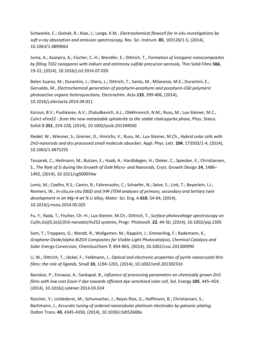Schwanke, C.; Golnak, R.; Xiao, J.; Lange, K.M., *Electrochemical flowcell for in-situ investigations by soft x-ray absorption and emission spectroscopy,* Rev. Sci. Instrum. **85**, 103120/1-5, (2014), 10.1063/1.4899063

Juma, A.; Azarpira, A.; Fischer, C.-H.; Wendler, E.; Dittrich, T., *Formation of inorganic nanocomposites by filling TiO2 nanopores with indium and antimony sulfide precursor aerosols,* Thin Solid Films **566**, 19-22, (2014), 10.1016/j.tsf.2014.07.020

Belen Suarez, M.; Durantini, J.; Otero, L.; Dittrich, T.; Santo, M.; Milanesio, M.E.; Durantini, E.; Gervaldo, M., *Electrochemical generation of porphyrin-porphyrin and porphyrin-C60 polymeric photoactive organic heterojunctions,* Electrochim. Acta **133**, 399-406, (2014), 10.1016/j.electacta.2014.04.011

Korzun, B.V.; Pushkarev, A.V.; Zhaludkevich, A.L.; Olekhnovich, N.M.; Rusu, M.; Lux-Steiner, M.C., *CuIn1-xFexS2 - from the new metastable sphalerite to the stable chalcopyrite phase,* Phys. Status Solidi B **251**, 224-228, (2014), 10.1002/pssb.201349030

Riedel, W.; Wiesner, S.; Greiner, D.; Hinrichs, V.; Rusu, M.; Lux-Steiner, M.Ch., *Hybrid solar cells with ZnO-nanorods and dry processed small molecule absorber,* Appl. Phys. Lett. **104**, 173503/1-4, (2014), 10.1063/1.4875255

Tessarek, C.; Heilmann, M.; Butzen, E.; Haab, A.; Hardtdegen, H.; Dieker, C.; Spiecker, E.; Christiansen, S., *The Role of Si during the Growth of GaN Micro- and Nanorods,* Cryst. Growth Design **14**, 1486– 1492, (2014), 10.1021/cg500054w

Lentz, M.; Coelho, R.S.; Camin, B.; Fahrensohn, C.; Schaefer, N.; Selve, S.; Link, T.; Beyerlein, I.J.; Reimers, W., *In-situ,ex-situ EBSD and (HR-)TEM analyses of primary, secondary and tertiary twin development in an Mg–4 wt % Li alloy,* Mater. Sci. Eng. A **610**, 54-64, (2014), 10.1016/j.msea.2014.05.025

Fu, Y.; Rada, T.; Fischer, Ch.-H.; Lux-Steiner, M.Ch.; Dittrich, T., *Surface photovoltage spectroscopy on Cu(In,Ga)(S,Se)2/ZnS-nanodot/In2S3 systems,* Progr. Photovolt. **22**, 44-50, (2014), 10.1002/pip.2305

Som, T.; Troppenz, G.; Wendt, R.; Wollgarten, M.; Rappich, J.; Emmerling, F.; Rademann, K., *Graphene Oxide/alpha-Bi2O3 Composites for Visible-Light Photocatalysis, Chemical Catalysis and Solar Energy Conversion,* ChemSusChem **7**, 854-865, (2014), 10.1002/cssc.201300990

Li, W.; Dittrich, T.; Jäckel, F.; Feldmann, J., *Optical and electronic properties of pyrite nanocrystal thin films: the role of ligands,* Small **10**, 1194-1201, (2014), 10.1002/smll.201302333

Baviskar, P.; Ennaoui, A.; Sankapal, B., *Influence of processing parameters on chemically grown ZnO films with low cost Eosin-Y dye towards efficient dye sensitized solar cell,* Sol. Energy **105**, 445–454, (2014), 10.1016/j.solener.2014.03.024

Roscher, V.; Licklederer, M.; Schumacher, J.; Reyes Rios, G.; Hoffmann, B.; Christiansen, S.; Bachmann, J., *Accurate tuning of ordered nanotubular platinum electrodes by galvanic plating,*  Dalton Trans. **43**, 4345-4350, (2014), 10.1039/c3dt52608a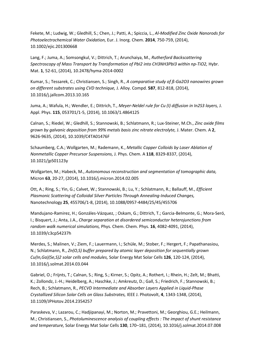Fekete, M.; Ludwig, W.; Gledhill, S.; Chen, J.; Patti, A.; Spiccia, L., *Al-Modified Zinc Oxide Nanorods for Photoelectrochemical Water Oxidation,* Eur. J. Inorg. Chem. **2014**, 750-759, (2014), 10.1002/ejic.201300668

Lang, F.; Juma, A.; Somsongkul, V.; Dittrich, T.; Arunchaiya, M., *Rutherford Backscattering*  Spectroscopy of Mass Transport by Transformation of PbI2 into CH3NH3PbI3 within np-TiO2, Hybr. Mat. **1**, 52-61, (2014), 10.2478/hyma-2014-0002

Kumar, S.; Tessarek, C.; Christiansen, S.; Singh, R., *A comparative study of ß-Ga2O3 nanowires grown on different substrates using CVD technique,* J. Alloy. Compd. **587**, 812-818, (2014), 10.1016/j.jallcom.2013.10.165

Juma, A.; Wafula, H.; Wendler, E.; Dittrich, T., *Meyer-Neldel rule for Cu (I) diffusion in In2S3 layers,* J. Appl. Phys. **115**, 053701/1-5, (2014), 10.1063/1.4864125

Calnan, S.; Riedel, W.; Gledhill, S.; Stannowski, B.; Schlatmann, R.; Lux-Steiner, M.Ch., *Zinc oxide films grown by galvanic deposition from 99% metals basis zinc nitrate electrolyte,* J. Mater. Chem. A **2**, 9626-9635, (2014), 10.1039/C4TA01476F

Schaumberg, C.A.; Wollgarten, M.; Rademann, K., *Metallic Copper Colloids by Laser Ablation of Nonmetallic Copper Precursor Suspensions,* J. Phys. Chem. A **118**, 8329-8337, (2014), 10.1021/jp501123y

Wollgarten, M.; Habeck, M., *Autonomous reconstruction and segmentation of tomographic data,*  Micron **63**, 20-27, (2014), 10.1016/j.micron.2014.02.005

Ott, A.; Ring, S.; Yin, G.; Calvet, W.; Stannowski, B.; Lu, Y.; Schlatmann, R.; Ballauff, M., *Efficient Plasmonic Scattering of Colloidal Silver Particles Through Annealing-Induced Changes,*  Nanotechnology **25**, 455706/1-8, (2014), 10.1088/0957-4484/25/45/455706

Mandujano-Ramirez, H.; Gonzáles-Vázquez, ; Oskam, G.; Dittrich, T.; Garcia-Belmonte, G.; Mora-Seró, I.; Bisquert, J.; Anta, J.A., *Charge separation at disordered semiconductor heterojunctions from random walk numerical simulations,* Phys. Chem. Chem. Phys. **16**, 4082-4091, (2014), 10.1039/c3cp54237h

Merdes, S.; Malinen, V.; Ziem, F.; Lauermann, I.; Schüle, M.; Stober, F.; Hergert, F.; Papathanasiou, N.; Schlatmann, R., *Zn(O,S) buffer prepared by atomic layer deposition for sequentially grown Cu(In,Ga)(Se,S)2 solar cells and modules,* Solar Energy Mat Solar Cells **126**, 120-124, (2014), 10.1016/j.solmat.2014.03.044

Gabriel, O.; Frijnts, T.; Calnan, S.; Ring, S.; Kirner, S.; Opitz, A.; Rothert, I.; Rhein, H.; Zelt, M.; Bhatti, K.; Zollondz, J.-H.; Heidelberg, A.; Haschke, J.; Amkreutz, D.; Gall, S.; Friedrich, F.; Stannowski, B.; Rech, B.; Schlatmann, R., *PECVD Intermediate and Absorber Layers Applied in Liquid-Phase Crystallized Silicon Solar Cells on Glass Substrates,* IEEE J. Photovolt, **4**, 1343-1348, (2014), 10.1109/JPHotov.2014.2354257

Paraskeva, V.; Lazarou, C.; Hadjipanayi, M.; Norton, M.; Pravettoni, M.; Georghiou, G.E.; Heilmann, M.; Christiansen, S., *Photoluminescence analysis of coupling effects : The impact of shunt resistance and temperature,* Solar Energy Mat Solar Cells **130**, 170–181, (2014), 10.1016/j.solmat.2014.07.008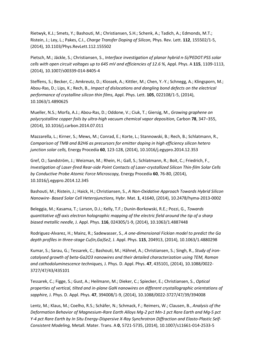Rietwyk, K.J.; Smets, Y.; Bashouti, M.; Christiansen, S.H.; Schenk, A.; Tadich, A.; Edmonds, M.T.; Ristein, J.; Ley, L.; Pakes, C.I., *Charge Transfer Doping of Silicon,* Phys. Rev. Lett. **112**, 155502/1-5, (2014), 10.1103/Phys.RevLett.112.155502

Pietsch, M.; Jäckle, S.; Christiansen, S., *Interface investigation of planar hybrid n-Si/PEDOT:PSS solar cells with open circuit voltages up to 645 mV and efficiencies of 12.6 %,* Appl. Phys. A **115**, 1109-1113, (2014), 10.1007/s00339-014-8405-4

Steffens, S.; Becker, C.; Amkreutz, D.; Klossek, A.; Kittler, M.; Chen, Y.-Y.; Schnegg, A.; Klingsporn, M.; Abou-Ras, D.; Lips, K.; Rech, B., *Impact of dislocations and dangling bond defects on the electrical performance of crystalline silicon thin films,* Appl. Phys. Lett. **105**, 022108/1-5, (2014), 10.1063/1.4890625

Mueller, N.S.; Morfa, A.J.; Abou-Ras, D.; Oddone, V.; Ciuk, T.; Giersig, M., *Growing graphene on polycrystalline copper foils by ultra-high vacuum chemical vapor deposition,* Carbon **78**, 347–355, (2014), 10.1016/j.carbon.2014.07.011

Mazzarella, L.; Kirner, S.; Mews, M.; Conrad, E.; Korte, L.; Stannowski, B.; Rech, B.; Schlatmann, R., *Comparison of TMB and B2H6 as precursors for emitter doping in high efficiency silicon hetero junction solar cells,* Energy Procedia **60**, 123-128, (2014), 10.1016/j.egypro.2014.12.353

Gref, O.; Sandström, J.; Weizman, M.; Rhein, H.; Gall, S.; Schlatmann, R.; Boit, C.; Friedrich, F., *Investigation of Laser-fired Rear-side Point Contacts of Laser-crystallized Silicon Thin-film Solar Cells by Conductive Probe Atomic Force Microscopy,* Energy Procedia **60**, 76-80, (2014), 10.1016/j.egypro.2014.12.345

Bashouti, M.; Ristein, J.; Haick, H.; Christiansen, S., *A Non-Oxidative Approach Towards Hybrid Silicon Nanowire- Based Solar Cell Heterojunctions,* Hybr. Mat. **1**, 41640, (2014), 10.2478/hyma-2013-0002

Beleggia, M.; Kasama, T.; Larson, D.J.; Kelly, T.F.; Dunin-Borkowski, R.E.; Pozzi, G., *Towards quantitative off-axis electron holographic mapping of the electric field around the tip of a sharp biased metallic needle,* J. Appl. Phys. **116**, 024305/1-9, (2014), 10.1063/1.4887448

Rodriguez-Alvarez, H.; Mainz, R.; Sadewasser, S., *A one-dimensional Fickian model to predict the Ga depth profiles in three-stage Cu(In,Ga)Se2,* J. Appl. Phys. **115**, 204913, (2014), 10.1063/1.4880298

Kumar, S.; Sarau, G.; Tessarek, C.; Bashouti, M.; Hähnel, A.; Christiansen, S.; Singh, R., *Study of ironcatalysed growth of beta-Ga2O3 nanowires and their detailed characterization using TEM, Raman and cathodoluminescence techniques,* J. Phys. D. Appl. Phys. **47**, 435101, (2014), 10.1088/0022- 3727/47/43/435101

Tessarek, C.; Figge, S.; Gust, A.; Heilmann, M.; Dieker, C.; Spiecker, E.; Christiansen, S., *Optical properties of vertical, tilted and in-plane GaN nanowires on different crystallographic orientations of sapphire,* J. Phys. D. Appl. Phys. **47**, 394008/1-9, (2014), 10.1088/0022-3727/47/39/394008

Lentz, M.; Klaus, M.; Coelho, R.S.; Schäfer, N.; Schmack, F.; Reimers, W.; Clausen, B., *Analysis of the Deformation Behavior of Magnesium-Rare Earth Alloys Mg-2 pct Mn-1 pct Rare Earth and Mg-5 pct Y-4 pct Rare Earth by In Situ Energy-Dispersive X-Ray Synchrotron Diffraction and Elasto-Plastic Self-Consistent Modeling,* Metall. Mater. Trans. A **0**, 5721-5735, (2014), 10.1007/s11661-014-2533-5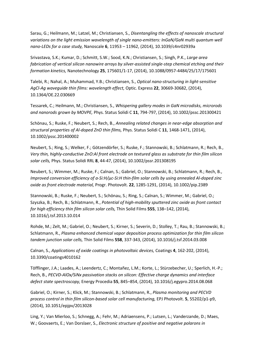Sarau, G.; Heilmann, M.; Latzel, M.; Christiansen, S., *Disentangling the effects of nanoscale structural variations on the light emission wavelength of single nano-emitters: InGaN/GaN multi quantum well nano-LEDs for a case study,* Nanoscale **6**, 11953 – 11962, (2014), 10.1039/c4nr02939a

Srivastava, S.K.; Kumar, D.; Schmitt, S.W.; Sood, K.N.; Christiansen, S.; Singh, P.K., *Large area fabrication of vertical silicon nanowire arrays by silver-assisted single-step chemical etching and their formation kinetics,* Nanotechnology **25**, 175601/1-17, (2014), 10.1088/0957-4484/25/17/175601

Talebi, R.; Nahal, A.; Muhammad, Y.B.; Christiansen, S., *Optical nano-structuring in light-sensitive AgCl-Ag waveguide thin films: wavelength effect,* Optic. Express **22**, 30669-30682, (2014), 10.1364/OE.22.030669

Tessarek, C.; Heilmann, M.; Christiansen, S., *Whispering gallery modes in GaN microdisks, microrods and nanorods grown by MOVPE,* Phys. Status Solidi C **11**, 794-797, (2014), 10.1002/pssc.201300421

Schönau, S.; Ruske, F.; Neubert, S.; Rech, B., *Annealing related changes in near-edge absorption and structural properties of Al-doped ZnO thin films,* Phys. Status Solidi C **11**, 1468-1471, (2014), 10.1002/pssc.201400002

Neubert, S.; Ring, S.; Welker, F.; Götzendörfer, S.; Ruske, F.; Stannowski, B.; Schlatmann, R.; Rech, B., *Very thin, highly-conductive ZnO:Al front electrode on textured glass as substrate for thin film silicon solar cells,* Phys. Status Solidi RRL **8**, 44-47, (2014), 10.1002/pssr.201308195

Neubert, S.; Wimmer, M.; Ruske, F.; Calnan, S.; Gabriel, O.; Stannowski, B.; Schlatmann, R.; Rech, B., *Improved conversion efficiency of a-Si:H/µc-Si:H thin-film solar cells by using annealed Al-doped zinc oxide as front electrode material,* Progr. Photovolt. **22**, 1285-1291, (2014), 10.1002/pip.2389

Stannowski, B.; Ruske, F.; Neubert, S.; Schönau, S.; Ring, S.; Calnan, S.; Wimmer, M.; Gabriel, O.; Szyszka, B.; Rech, B.; Schlatmann, R., *Potential of high-mobility sputtered zinc oxide as front contact for high efficiency thin film silicon solar cells,* Thin Solid Films **555**, 138–142, (2014), 10.1016/j.tsf.2013.10.014

Rohde, M.; Zelt, M.; Gabriel, O.; Neubert, S.; Kirner, S.; Severin, D.; Stolley, T.; Rau, B.; Stannowski, B.; Schlatmann, R., *Plasma enhanced chemical vapor deposition process optimization for thin film silicon tandem junction solar cells,* Thin Solid Films **558**, 337-343, (2014), 10.1016/j.tsf.2014.03.008

Calnan, S., *Applications of oxide coatings in photovoltaic devices,* Coatings **4**, 162-202, (2014), 10.3390/coatings4010162

Töfflinger, J.A.; Laades, A.; Leendertz, C.; Montañez, L.M.; Korte, L.; Stürzebecher, U.; Sperlich, H.-P.; Rech, B., *PECVD-AlOx/SiNx passivation stacks on silicon: Effective charge dynamics and interface defect state spectroscopy,* Energy Procedia **55**, 845–854, (2014), 10.1016/j.egypro.2014.08.068

Gabriel, O.; Kirner, S.; Klick, M.; Stannowski, B.; Schlatmann, R., *Plasma monitoring and PECVD process control in thin film silicon-based solar cell manufacturing,* EPJ Photovolt. **5**, 55202/p1-p9, (2014), 10.1051/epjpv/2013028

Ling, Y.; Van Mierloo, S.; Schnegg, A.; Fehr, M.; Adriaensens, P.; Lutsen, L.; Vanderzande, D.; Maes, W.; Goovaerts, E.; Van Dorslaer, S., *Electronic structure of positive and negative polarons in*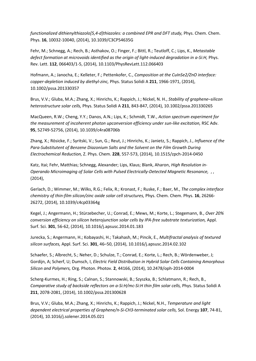*functionalized dithienylthiazolo[5,4-d]thiazoles: a combined EPR and DFT study, Phys. Chem. Chem.* Phys. **16**, 10032-10040, (2014), 10.1039/C3CP54635G

Fehr, M.; Schnegg, A.; Rech, B.; Asthakov, O.; Finger, F.; Bittl, R.; Teutloff, C.; Lips, K., *Metastable defect formation at microvoids identified as the origin of light-induced degradation in a-Si:H,* Phys. Rev. Lett. **112**, 066403/1-5, (2014), 10.1103/PhysRevLett.112.066403

Hofmann, A.; Janocha, E.; Kelleter, F.; Pettenkofer, C., *Composition at the CuInSe2/ZnO interface: copper-depletion induced by diethyl-zinc,* Phys. Status Solidi A **211**, 1966-1971, (2014), 10.1002/pssa.201330357

Brus, V.V.; Gluba, M.A.; Zhang, X.; Hinrichs, K.; Rappich, J.; Nickel, N. H., *Stability of graphene–silicon heterostructure solar cells,* Phys. Status Solidi A **211**, 843-847, (2014), 10.1002/pssa.201330265

MacQueen, R.W.; Cheng, Y.Y.; Danos, A.N.; Lips, K.; Schmidt, T.W., *Action spectrum experiment for the measurement of incoherent photon upconversion efficiency under sun-like excitation,* RSC Adv. **95**, 52749-52756, (2014), 10.1039/c4ra08706b

Zhang, X.; Rösicke, F.; Syritski, V.; Sun, G.; Reut, J.; Hinrichs, K.; Janietz, S.; Rappich, J., *Influence of the Para-Substitutent of Benzene Diazonium Salts and the Solvent on the Film Growth During Electrochemical Reduction,* Z. Phys. Chem. **228**, 557-573, (2014), 10.1515/zpch-2014-0450

Katz, Itai; Fehr, Matthias; Schnegg, Alexander; Lips, Klaus; Blank, Aharon, *High Resolution in-Operando Microimaging of Solar Cells with Pulsed Electrically-Detected Magnetic Resonance,* , , (2014),

Gerlach, D.; Wimmer, M.; Wilks, R.G.; Felix, R.; Kronast, F.; Ruske, F.; Baer, M., *The complex interface chemistry of thin-film silicon/zinc oxide solar cell structures,* Phys. Chem. Chem. Phys. **16**, 26266- 26272, (2014), 10.1039/c4cp03364g

Kegel, J.; Angermann, H.; Stürzebecher, U.; Conrad, E.; Mews, M.; Korte, L.; Stegemann, B., *Over 20% conversion efficiency on silicon heterojunction solar cells by IPA-free substrate texturization,* Appl. Surf. Sci. **301**, 56-62, (2014), 10.1016/j.apsusc.2014.01.183

Jurecka, S.; Angermann, H.; Kobayashi, H.; Takahash, M.; Pincik, E., *Multifractal analysis of textured silicon surfaces,* Appl. Surf. Sci. **301**, 46–50, (2014), 10.1016/j.apsusc.2014.02.102

Schaefer, S.; Albrecht, S.; Neher, D.; Schulze, T.; Conrad, E.; Korte, L.; Rech, B.; Wördenweber, J; Gordijn, A; Scherf, U; Dumsch, I, *Electric Field Distribution in Hybrid Solar Cells Containing Amorphous Silicon and Polymers,* Org. Photon. Photov. **2**, 44166, (2014), 10.2478/oph-2014-0004

Scherg-Kurmes, H.; Ring, S.; Calnan, S.; Stannowski, B.; Szyszka, B.; Schlatmann, R.; Rech, B., *Comparative study of backside reflectors on a-Si:H/mc-Si:H thin film solar cells,* Phys. Status Solidi A **211**, 2078-2081, (2014), 10.1002/pssa.201300628

Brus, V.V.; Gluba, M.A.; Zhang, X.; Hinrichs, K.; Rappich, J.; Nickel, N.H., *Temperature and light dependent electrical properties of Graphene/n-Si-CH3-terminated solar cells,* Sol. Energy **107**, 74-81, (2014), 10.1016/j.solener.2014.05.021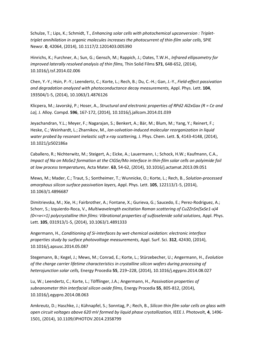Schulze, T.; Lips, K.; Schmidt, T., *Enhancing solar cells with photochemical upconversion : Triplettriplet annihilation in organic molecules increases the photocurrent of thin-film solar cells,* SPIE Newsr. **0**, 42064, (2014), 10.1117/2.1201403.005390

Hinrichs, K.; Furchner, A.; Sun, G.; Gensch, M.; Rappich, J.; Oates, T.W.H., *Infrared ellipsometry for improved laterally resolved analysis of thin films,* Thin Solid Films **571**, 648-652, (2014), 10.1016/j.tsf.2014.02.006

Chen, Y.-Y.; Hsin, P.-Y.; Leendertz, C.; Korte, L.; Rech, B.; Du, C.-H.; Gan, J.-Y., *Field-effect passivation and degradation analyzed with photoconductance decay measurements,* Appl. Phys. Lett. **104**, 193504/1-5, (2014), 10.1063/1.4876126

Klicpera, M.; Javorský, P.; Hoser, A., *Structural and electronic properties of RPd2 Al2xGax (R = Ce and La),* J. Alloy. Compd. **596**, 167-172, (2014), 10.1016/j.jallcom.2014.01.039

Jeyachandran, Y.L.; Meyer, F.; Nagarajan, S.; Benkert, A.; Bär, M.; Blum, M.; Yang, Y.; Reinert, F.; Heske, C.; Weinhardt, L.; Zharnikov, M., *Ion-solvation-induced molecular reorganization in liquid water probed by resonant inelastic soft x-ray scattering,* J. Phys. Chem. Lett. **5**, 4143-4148, (2014), 10.1021/jz502186a

Caballero, R.; Nichterwitz, M.; Steigert, A.; Eicke, A.; Lauermann, I.; Schock, H.W.; Kaufmann, C.A., *Impact of Na on MoSe2 formation at the CIGSe/Mo interface in thin-film solar cells on polyimide foil at low process temperatures,* Acta Mater. **63**, 54-62, (2014), 10.1016/j.actamat.2013.09.051

Mews, M.; Mader, C.; Traut, S.; Sontheimer, T.; Wunnicke, O.; Korte, L.; Rech, B., *Solution-processed amorphous silicon surface passivation layers,* Appl. Phys. Lett. **105**, 122113/1-5, (2014), 10.1063/1.4896687

Dimitrievska, M.; Xie, H.; Fairbrother, A.; Fontane, X.; Gurieva, G.; Saucedo, E.; Perez-Rodriguez, A.; Schorr, S.; Izquierdo-Roca, V., *Multiwavelength excitation Raman scattering of Cu2ZnSn(SxSe1-x)4 (0<=x<=1) polycrystalline thin films: Vibrational properties of sulfoselenide solid solutions,* Appl. Phys. Lett. **105**, 031913/1-5, (2014), 10.1063/1.4891333

Angermann, H., *Conditioning of Si-interfaces by wet-chemical oxidation: electronic interface properties study by surface photovoltage measurements,* Appl. Surf. Sci. **312**, 42430, (2014), 10.1016/j.apsusc.2014.05.087

Stegemann, B.; Kegel, J.; Mews, M.; Conrad, E.; Korte, L.; Stürzebecher, U.; Angermann, H., *Evolution of the charge carrier lifetime characteristics in crystalline silicon wafers during processing of heterojunction solar cells,* Energy Procedia **55**, 219–228, (2014), 10.1016/j.egypro.2014.08.027

Lu, W.; Leendertz, C.; Korte, L.; Töfflinger, J.A.; Angermann, H., *Passivation properties of subnanometer thin interfacial silicon oxide films,* Energy Procedia **55**, 805-812, (2014), 10.1016/j.egypro.2014.08.063

Amkreutz, D.; Haschke, J.; Kühnapfel, S.; Sonntag, P.; Rech, B., *Silicon thin film solar cells on glass with open circuit voltages above 620 mV formed by liquid phase crystallization,* IEEE J. Photovolt, **4**, 1496- 1501, (2014), 10.1109/JPHOTOV.2014.2358799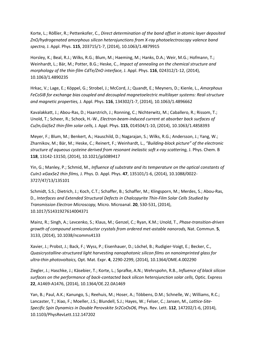Korte, L.; Rößler, R.; Pettenkofer, C., *Direct determination of the band offset in atomic layer deposited ZnO/hydrogenated amorphous silicon heterojunctions from X-ray photoelectroscopy valence band spectra,* J. Appl. Phys. **115**, 203715/1-7, (2014), 10.1063/1.4879915

Horsley, K.; Beal, R.J.; Wilks, R.G.; Blum, M.; Haeming, M.; Hanks, D.A.; Weir, M.G.; Hofmann, T.; Weinhardt, L.; Bär, M.; Potter, B.G.; Heske, C., *Impact of annealing on the chemical structure and morphology of the thin-film CdTe/ZnO interface,* J. Appl. Phys. **116**, 024312/1-12, (2014), 10.1063/1.4890235

Hrkac, V.; Lage, E.; Köppel, G.; Strobel, J.; McCord, J.; Quandt, E.; Meyners, D.; Kienle, L., *Amorphous FeCoSiB for exchange bias coupled and decoupled magnetoelectric multilayer systems: Real-structure and magnetic properties,* J. Appl. Phys. **116**, 134302/1-7, (2014), 10.1063/1.4896662

Kavalakkatt, J.; Abou-Ras, D.; Haarstrich, J.; Ronning, C.; Nichterwitz, M.; Caballero, R.; Rissom, T.; Unold, T.; Scheer, R.; Schock, H.-W., *Electron-beam-induced current at absorber back surfaces of Cu(In,Ga)Se2 thin-film solar cells,* J. Appl. Phys. **115**, 014504/1-10, (2014), 10.1063/1.4858393

Meyer, F.; Blum, M.; Benkert, A.; Hauschild, D.; Nagarajan, S.; Wilks, R.G.; Andersson, J.; Yang, W.; Zharnikov, M.; Bär, M.; Heske, C.; Reinert, F.; Weinhardt, L., *"Building-block picture" of the electronic structure of aqueous cysteine derived from resonant inelastic soft x-ray scattering,* J. Phys. Chem. B **118**, 13142-13150, (2014), 10.1021/jp5089417

Yin, G.; Manley, P.; Schmid, M., *Influence of substrate and its temperature on the optical constants of CuIn1-xGaxSe2 thin films,* J. Phys. D. Appl. Phys. **47**, 135101/1-6, (2014), 10.1088/0022- 3727/47/13/135101

Schmidt, S.S.; Dietrich, J.; Koch, C.T.; Schaffer, B.; Schaffer, M.; Klingsporn, M.; Merdes, S.; Abou-Ras, D., *Interfaces and Extended Structural Defects in Chalcopyrite Thin-Film Solar Cells Studied by Transmission Electron Microscopy,* Micro. Microanal. **20**, 530-531, (2014), 10.1017/S1431927614004371

Mainz, R.; Singh, A.; Levcenko, S.; Klaus, M.; Genzel, C.; Ryan, K.M.; Unold, T., *Phase-transition-driven growth of compound semiconductor crystals from ordered met-astable nanorods,* Nat. Commun. **5**, 3133, (2014), 10.1038/ncomms4133

Xavier, J.; Probst, J.; Back, F.; Wyss, P.; Eisenhauer, D.; Löchel, B.; Rudigier-Voigt, E.; Becker, C., *Quasicrystalline-structured light harvesting nanophotonic silicon films on nanoimprinted glass for ultra-thin photovoltaics,* Opt. Mat. Expr. **4**, 2290-2299, (2014), 10.1364/OME.4.002290

Ziegler, J.; Haschke, J.; Käsebier, T.; Korte, L.; Sprafke, A.N.; Wehrspohn, R.B., *Influence of black silicon surfaces on the performance of back-contacted back silicon heterojunction solar cells,* Optic. Express **22**, A1469-A1476, (2014), 10.1364/OE.22.0A1469

Yan, B.; Paul, A.K.; Kanungo, S.; Reehuis, M.; Hoser, A.; Többens, D.M.; Schnelle, W.; Williams, R.C.; Lancaster, T.; Xiao, F.; Moeller, J.S.; Blundell, S.J.; Hayes, W.; Felser, C.; Jansen, M., *Lattice-Site-Specific Spin Dynamics in Double Perovskite Sr2CoOsO6,* Phys. Rev. Lett. **112**, 147202/1-6, (2014), 10.1103/PhysRevLett.112.147202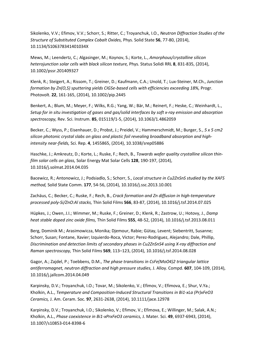Sikolenko, V.V.; Efimov, V.V.; Schorr, S.; Ritter, C.; Troyanchuk, I.O., *Neutron Diffraction Studies of the Structure of Substituted Complex Cobalt Oxides,* Phys. Solid State **56**, 77-80, (2014), 10.1134/S106378341401034X

Mews, M.; Leendertz, C.; Algasinger, M.; Koynov, S.; Korte, L., *Amorphous/crystalline silicon heterojunction solar cells with black silicon texture,* Phys. Status Solidi RRL **8**, 831-835, (2014), 10.1002/pssr.201409327

Klenk, R.; Steigert, A.; Rissom, T.; Greiner, D.; Kaufmann, C.A.; Unold, T.; Lux-Steiner, M.Ch., *Junction formation by Zn(O,S) sputtering yields CIGSe-based cells with efficiencies exceeding 18%,* Progr. Photovolt. **22**, 161-165, (2014), 10.1002/pip.2445

Benkert, A.; Blum, M.; Meyer, F.; Wilks, R.G.; Yang, W.; Bär, M.; Reinert, F.; Heske, C.; Weinhardt, L., *Setup for in situ investigation of gases and gas/solid interfaces by soft x-ray emission and absorption spectroscopy,* Rev. Sci. Instrum. **85**, 015119/1-5, (2014), 10.1063/1.4862059

Becker, C.; Wyss, P.; Eisenhauer, D.; Probst, J.; Preidel, V.; Hammerschmidt, M.; Burger, S., *5 x 5 cm2 silicon photonic crystal slabs on glass and plastic foil revealing broadband absorption and highintensity near-fields,* Sci. Rep. **4**, 1455865, (2014), 10.1038/srep05886

Haschke, J.; Amkreutz, D.; Korte, L.; Ruske, F.; Rech, B., *Towards wafer quality crystalline silicon thinfilm solar cells on glass,* Solar Energy Mat Solar Cells **128**, 190-197, (2014), 10.1016/j.solmat.2014.04.035

Bacewicz, R.; Antonowicz, J.; Podsiadlo, S.; Schorr, S., *Local structure in Cu2ZnSnS studied by the XAFS method,* Solid State Comm. **177**, 54-56, (2014), 10.1016/j.ssc.2013.10.001

Zachäus, C.; Becker, C.; Ruske, F.; Rech, B., *Crack formation and Zn diffusion in high-temperature processed poly-Si/ZnO:Al stacks,* Thin Solid Films **566**, 83-87, (2014), 10.1016/j.tsf.2014.07.025

Hüpkes, J.; Owen, J.I.; Wimmer, M.; Ruske, F.; Greiner, D.; Klenk, R.; Zastrow, U.; Hotovy, J., *Damp heat stable doped zinc oxide films,* Thin Solid Films **555**, 48-52, (2014), 10.1016/j.tsf.2013.08.011

Berg, Dominik M.; Arasimowicza, Monika; Djemour, Rabie; Gütay, Levent; Siebentritt, Susanne; Schorr, Susan; Fontane, Xavier; Izquierdo-Roca, Victor; Perez-Rodriguez, Alejandro; Dale, Phillip, *Discrimination and detection limits of secondary phases in Cu2ZnSnS4 using X-ray diffraction and Raman spectroscopy,* Thin Solid Films **569**, 113–123, (2014), 10.1016/j.tsf.2014.08.028

Gagor, A.; Zajdel, P.; Toebbens, D.M., *The phase transitions in CsFe(MoO4)2 triangular lattice antiferromagnet, neutron diffraction and high pressure studies,* J. Alloy. Compd. **607**, 104-109, (2014), 10.1016/j.jallcom.2014.04.049

Karpinsky, D.V.; Troyanchuk, I.O.; Tovar, M.; Sikolenko, V.; Efimov, V.; Efimova, E.; Shur, V.Ya.; Kholkin, A.L., *Temperature and Composition-Induced Structural Transitions in Bi1-xLa (Pr)xFeO3 Ceramics,* J. Am. Ceram. Soc. **97**, 2631-2638, (2014), 10.1111/jace.12978

Karpinsky, D.V.; Troyanchuk, I.O.; Sikolenko, V.; Efimov, V.; Efimova, E.; Willinger, M.; Salak, A.N.; Kholkin, A.L., *Phase coexistence in Bi1-xPrxFeO3 ceramics,* J. Mater. Sci. **49**, 6937-6943, (2014), 10.1007/s10853-014-8398-6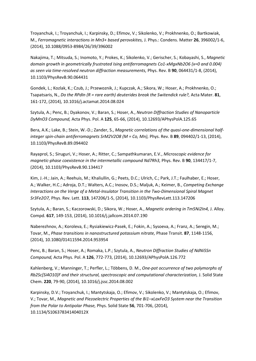Troyanchuk, I.; Troyanchuk, I.; Karpinsky, D.; Efimov, V.; Sikolenko, V.; Prokhnenko, O.; Bartkowiak, M., *Ferromagnetic interactions in Mn3+ based perovskites,* J. Phys.: Condens. Matter **26**, 396002/1-6, (2014), 10.1088/0953-8984/26/39/396002

Nakajima, T.; Mitsuda, S.; Inomoto, Y.; Prokes, K.; Sikolenko, V.; Gerischer, S.; Kobayashi, S., *Magnetic domain growth in geometrically frustrated Ising antiferromagnets Co1-xMgxNb2O6 (x=0 and 0.004) as seen via time-resolved neutron diffraction measurements,* Phys. Rev. B **90**, 064431/1-8, (2014), 10.1103/PhysRevB.90.064431

Gondek, L.; Kozlak, K.; Czub, J.; Przewoznik, J.; Kupczak, A.; Sikora, W.; Hoser, A.; Prokhnenko, O.; Tsapatsaris, N., *Do the RPdIn (R = rare earth) deuterides break the Switendick rule?,* Acta Mater. **81**, 161-172, (2014), 10.1016/j.actamat.2014.08.024

Szytula, A.; Penc, B.; Dyakonov, V.; Baran, S.; Hoser, A., *Neutron Diffraction Studies of Nanoparticle DyMnO3 Compound,* Acta Phys. Pol. A **125**, 65-66, (2014), 10.12693/APhysPolA.125.65

Bera, A.K.; Lake, B.; Stein, W.-D.; Zander, S., *Magnetic correlations of the quasi-one-dimensional halfinteger spin-chain antiferromagnets SrM2V2O8 (M = Co, Mn),* Phys. Rev. B **89**, 094402/1-13, (2014), 10.1103/PhysRevB.89.094402

Rayaprol, S.; Siruguri, V.; Hoser, A.; Ritter, C.; Sampathkumaran, E.V., *Microscopic evidence for magnetic-phase coexistence in the intermetallic compound Nd7Rh3,* Phys. Rev. B **90**, 134417/1-7, (2014), 10.1103/PhysRevB.90.134417

Kim, J.-H.; Jain, A.; Reehuis, M.; Khaliullin, G.; Peets, D.C.; Ulrich, C.; Park, J.T.; Faulhaber, E.; Hoser, A.; Walker, H.C.; Adroja, D.T.; Walters, A.C.; Inosov, D.S.; Maljuk, A.; Keimer, B., *Competing Exchange Interactions on the Verge of a Metal-Insulator Transition in the Two-Dimensional Spiral Magnet Sr3Fe2O7,* Phys. Rev. Lett. **113**, 147206/1-5, (2014), 10.1103/PhysRevLett.113.147206

Szytula, A.; Baran, S.; Kaczorowski, D.; Sikora, W.; Hoser, A., *Magnetic ordering in Tm5Ni2In4,* J. Alloy. Compd. **617**, 149-153, (2014), 10.1016/j.jallcom.2014.07.190

Naberezhnov, A.; Koroleva, E.; Rysiakiewicz-Pasek, E.; Fokin, A.; Sysoeva, A.; Franz, A.; Seregin, M.; Tovar, M., *Phase transitions in nanostructured potassium nitrate,* Phase Transit. **87**, 1148-1156, (2014), 10.1080/01411594.2014.953954

Penc, B.; Baran, S.; Hoser, A.; Romaka, L.P.; Szytula, A., *Neutron Diffraction Studies of NdNi5Sn Compound,* Acta Phys. Pol. A **126**, 772-773, (2014), 10.12693/APhysPolA.126.772

Kahlenberg, V.; Manninger, T.; Perfler, L.; Többens, D. M., *One-pot occurrence of two polymorphs of Rb2Sc[Si4O10]F and their structural, spectroscopic and computational characterization, J. Solid State* Chem. **220**, 79-90, (2014), 10.1016/j.jssc.2014.08.002

Karpinsky, D.V.; Troyanchuk, I.; Mantytskaja, O.; Efimov, V.; Sikolenko, V.; Mantytskaja, O.; Efimov, V.; Tovar, M., *Magnetic and Piezoelectric Properties of the Bi1–xLaxFeO3 System near the Transition from the Polar to Antipolar Phase,* Phys. Solid State **56**, 701-706, (2014), 10.1134/S106378341404012X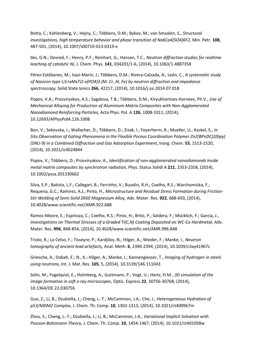Botta, C.; Kahlenberg, V.; Hejny, C.; Többens, D.M.; Bykov, M.; van Smaalen, S., *Structural investigations, high temperature behavior and phase transition of Na6Ca4(SO4)6F2,* Min. Petr. **108**, 487-501, (2014), 10.1007/s00710-013-0319-x

Iles, G.N.; Devred, F.; Henry, P.F.; Reinhart, G.; Hansen, T.C., *Neutron diffraction studies for realtime leaching of catalytic Ni,* J. Chem. Phys. **141**, 034201/1-6, (2014), 10.1063/1.4887358

Pérez-Estébanez, M.; Isasi-Marín, J.; Többens, D.M.; Rivera-Calzada, A.; León, C., *A systematic study of Nasicon-type Li1+xMxTi2-x(PO4)3 (M: Cr, Al, Fe) by neutron diffraction and impedance spectroscopy,* Solid State Ionics **266**, 42217, (2014), 10.1016/j.ssi.2014.07.018

Popov, V.A.; Prosviryakov, A.S.; Sagalova, T.B.; Többens, D.M.; Kiryukhantsev-Korneev, Ph.V., *Use of Mechanical Alloying for Production of Aluminium Matrix Composites with Non-Agglomerated Nanodiamond Reinforcing Particles,* Acta Phys. Pol. A **126**, 1008-1011, (2014), 10.12693/APhysPolA.126.1008

Bon, V.; Sekovska, I.; Wallacher, D.; Többens, D.; Zizak, I.; Feyerherm, R.; Mueller, U.; Kaskel, S., *In Situ Observation of Gating Phenomena in the Flexible Porous Coordination Polymer Zn2(BPnDC)2(bpy) (SNU-9) in a Combined Diffraction and Gas Adsorption Experiment,* Inorg. Chem. **53**, 1513-1520, (2014), 10.1021/ic4024844

Popov, V.; Többens, D.; Prosviryakov, A., *Identification of non-agglomerated nanodiamonds inside metal matrix composites by synchrotron radiation,* Phys. Status Solidi A **211**, 2353-2358, (2014), 10.1002/pssa.201330662

Silva, E.P.; Batista, L.F.; Callegari, B.; Ferrinho, V.; Buzolin, R.H.; Coelho, R.S.; Warchomicka, F.; Requena, G.C.; Ramirez, A.J.; Pinto, H., *Microstructure and Residual Stress Formation during Friction-Stir Welding of Semi-Solid ZK60 Magnesium Alloy,* Adv. Mater. Res. **922**, 688-693, (2014), 10.4028/www.scientific.net/AMR.922.688

Ramos-Moore, E.; Espinoza, C.; Coelho, R.S.; Pinto, H.; Brito, P.; Soldera, F.; Mücklich, F.; Garcia, J., *Investigations on Thermal Stresses of a Graded Ti(C,N) Coating Deposited on WC-Co Hardmetal, Adv.* Mater. Res. **996**, 848-854, (2014), 10.4028/www.scientific.net/AMR.996.848

Triolo, R.; Lo Celso, F.; Tisseyre, P.; Kardjilov, N.; Hilger, A.; Wieder, F.; Manke, I., *Neutron tomography of ancient lead artefacts,* Anal. Meth. **6**, 2390-2394, (2014), 10.1039/c3ay41967c

Griesche, A.; Dabah, E.; N., K.; Hilger, A.; Manke, I.; Kannengiesser, T., *Imaging of hydrogen in steels using neutrons,* Int. J. Mat. Res. **105**, 5, (2014), 10.3139/146.111043

Selin, M.; Fogelqvist, E.; Holmberg, A.; Guttmann, P.; Vogt, U.; Hertz, H.M., *3D simulation of the image formation in soft x-ray microscopes,* Optic. Express **22**, 30756-30768, (2014), 10.1364/OE.22.030756

Guo, Z.; Li, B.; Dzubiella, J.; Cheng, L.-T.; McCammon, J.A.; Che, J., *Heterogeneous Hydration of p53/MDM2 Complex,* J. Chem. Th. Comp. **10**, 1302-1313, (2014), 10.1021/ct400967m

Zhou, S.; Cheng, L.-T.; Dzubiella, J.; Li, B.; McCammon, J.A., *Variational Implicit Solvation with Poisson-Boltzmann Theory,* J. Chem. Th. Comp. **10**, 1454-1467, (2014), 10.1021/ct401058w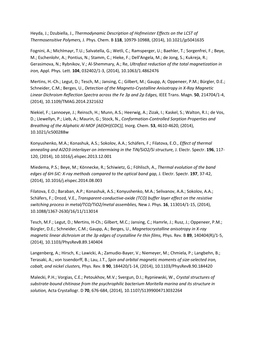Heyda, J.; Dzubiella, J., *Thermodynamic Description of Hofmeister Effects on the LCST of Thermosensitive Polymers,* J. Phys. Chem. B **118**, 10979-10988, (2014), 10.1021/jp5041635

Fognini, A.; Michlmayr, T.U.; Salvatella, G.; Wetli, C.; Ramsperger, U.; Baehler, T.; Sorgenfrei, F.; Beye, M.; Eschenlohr, A.; Pontius, N.; Stamm, C.; Hieke, F.; Dell'Angela, M.; de Jong, S.; Kukreja, R.; Gerasimova, N.; Rybnikov, V.; Al-Shemmary, A.; Re, *Ultrafast reduction of the total magnetization in iron,* Appl. Phys. Lett. **104**, 032402/1-3, (2014), 10.1063/1.4862476

Mertins, H.-Ch.; Legut, D.; Tesch, M.; Jansing, C.; Gilbert, M.; Gaupp, A; Oppeneer, P.M.; Bürgler, D.E.; Schneider, C.M.; Berges, U., *Detection of the Magneto-Crystalline Anisotropy in X-Ray Magnetic Linear Dichroism Reflection Spectra across the Fe 3p and 2p Edges,* IEEE Trans. Magn. **50**, 214704/1-4, (2014), 10.1109/TMAG.2014.2321632

Niekiel, F.; Lannoeye, J.; Reinsch, H.; Munn, A.S.; Heerwig, A.; Zizak, I.; Kaskel, S.; Walton, R.I.; de Vos, D.; Llewellyn, P.; Lieb, A.; Maurin, G.; Stock, N., *Conformation-Controlled Sorption Properties and Breathing of the Aliphatic Al-MOF [Al(OH)(CDC)],* Inorg. Chem. **53**, 4610-4620, (2014), 10.1021/ic500288w

Konyushenko, M.A.; Konashuk, A.S.; Sokolov, A.A.; Schäfers, F.; Filatova, E.O., *Effect of thermal annealing and Al2O3-interlayer on intermixing in the TiN/SiO2/Si structure,* J. Electr. Spectr. **196**, 117- 120, (2014), 10.1016/j.elspec.2013.12.001

Miedema, P.S.; Beye, M.; Könnecke, R.; Schiwietz, G.; Föhlisch, A., *Thermal evolution of the band edges of 6H-SiC: X-ray methods compared to the optical band gap,* J. Electr. Spectr. **197**, 37-42, (2014), 10.1016/j.elspec.2014.08.003

Filatova, E.O.; Baraban, A.P.; Konashuk, A.S.; Konyushenko, M.A.; Selivanov, A.A.; Sokolov, A.A.; Schäfers, F.; Drozd, V.E., *Transparent-conductive-oxide (TCO) buffer layer effect on the resistive switching process in metal/TCO/TiO2/metal assemblies,* New J. Phys. **16**, 113014/1-15, (2014), 10.1088/1367-2630/16/11/113014

Tesch, M.F.; Legut, D.; Mertins, H-Ch.; Gilbert, M.C.; Jansing, C.; Hamrle, J.; Rusz, J.; Oppeneer, P.M.; Bürgler, D.E.; Schneider, C.M.; Gaupp, A.; Berges, U., *Magnetocrystalline anisotropy in X-ray magnetic linear dichroism at the 3p edges of crystalline Fe thin films, Phys. Rev. B 89, 140404(R)/1-5,* (2014), 10.1103/PhysRevB.89.140404

Langenberg, A.; Hirsch, K.; Lawicki, A.; Zamudio-Bayer, V.; Niemeyer, M.; Chmiela, P.; Langbehn, B.; Terasaki, A.; von Issendorff, B.; Lau, J.T., *Spin and orbital magnetic moments of size-selected iron, cobalt, and nickel clusters,* Phys. Rev. B **90**, 184420/1-14, (2014), 10.1103/PhysRevB.90.184420

Malecki, P.H.; Vorgias, C.E.; Petoukhov, M.V.; Svergun, D.I.; Rypniewski, W., *Crystal structures of substrate-bound chitinase from the psychrophilic bacterium Moritella marina and its structure in solution,* Acta Crystallogr. D **70**, 676-684, (2014), 10.1107/S1399004713032264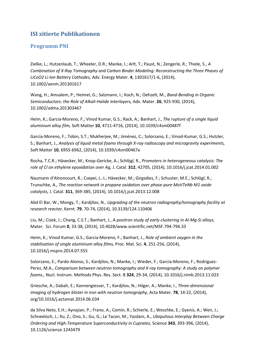### **ISI zitierte Publikationen**

#### <span id="page-17-0"></span>**Programm PNI**

Zielke, L.; Hutzenlaub, T.; Wheeler, D.R.; Manke, I.; Arlt, T.; Paust, N.; Zengerle, R.; Thiele, S., *A Combination of X-Ray Tomography and Carbon Binder Modeling: Reconstructing the Three Phases of LiCoO2 Li-Ion Battery Cathodes,* Adv. Energy Mater. **4**, 1301617/1-6, (2014), 10.1002/aenm.201301617

Wang, H.; Amsalem, P.; Heimel, G.; Salzmann, I.; Koch, N.; Oehzelt, M., *Band-Bending in Organic Semiconductors: the Role of Alkali-Halide Interlayers,* Adv. Mater. **26**, 925-930, (2014), 10.1002/adma.201303467

Heim, K.; Garcia-Moreno, F.; Vinod Kumar, G.S.; Rack, A.; Banhart, J., *The rupture of a single liquid aluminium alloy film,* Soft Matter **10**, 4711-4716, (2014), 10.1039/c4sm00487f

Garcia-Moreno, F.; Tobin, S.T.; Mukherjee, M.; Jiménez, C.; Solorzano, E.; Vinod-Kumar, G.S.; Hutzler, S.; Banhart, J., *Analysis of liquid metal foams through X-ray radioscopy and microgravity experiments,*  Soft Matter **10**, 6955-6962, (2014), 10.1039/c4sm00467a

Rocha, T.C.R.; Hävecker, M.; Knop-Gericke, A.; Schlögl, R., *Promoters in heterogeneous catalysis: The role of Cl on ethylene epoxidation over Ag,* J. Catal. **312**, 42705, (2014), 10.1016/j.jcat.2014.01.002

Naumann d'Alnoncourt, R.; Csepei, L.-I.; Hävecker, M.; Girgsdies, F.; Schuster, M.E.; Schlögl, R.; Trunschke, A., *The reaction network in propane oxidation over phase-pure MoVTeNb M1 oxide catalysts,* J. Catal. **311**, 369-385, (2014), 10.1016/j.jcat.2013.12.008

Abd El Bar, W.; Mongy, T.; Kardjilov, N., *Upgrading of the neutron radiography/tomography facility at research reactor,* Kernt. **79**, 70-74, (2014), 10.3139/124.110406

Liu, M.; Cizek, J.; Chang, C.S.T.; Banhart, J., *A positron study of early clustering in Al-Mg-Si alloys,*  Mater. Sci. Forum **0**, 33-38, (2014), 10.4028/www.scientific.net/MSF.794-796.33

Heim, K.; Vinod Kumar, G.S.; Garcia-Moreno, F.; Banhart, J., *Role of ambient oxygen in the stabilisation of single aluminium alloy films,* Proc. Mat. Sci. **4**, 251-256, (2014), 10.1016/j.mspro.2014.07.555

Solorzano, E.; Pardo-Alonso, S.; Kardjilov, N.; Manke, I.; Wieder, F.; Garcia-Moreno, F.; Rodriguez-Perez, M.A., *Comparison between neutron tomography and X-ray tomography: A study on polymer foams.,* Nucl. Instrum. Methods Phys. Res. Sect. B **324**, 29-34, (2014), 10.1016/j.nimb.2013.11.023

Griesche, A.; Dabah, E.; Kannengiesser, T.; Kardjilov, N.; Hilger, A.; Manke, I., *Three-dimensional imaging of hydrogen blister in iron with neutron tomography,* Acta Mater. **78**, 14-22, (2014), org/10.1016/j.actamat.2014.06.034

da Silva Neto, E.H.; Aynajian, P.; Frano, A.; Comin, R.; Schierle, E.; Weschke, E.; Gyenis, A.; Wen, J.; Schneeloch, J.; Xu, Z.; Ono, S.; Gu, G.; Le Tacon, M.; Yazdani, A., *Ubiquitous Interplay Between Charge Ordering and High-Temperature Superconductivity in Cuprates,* Science **343**, 393-396, (2014), 10.1126/science.1243479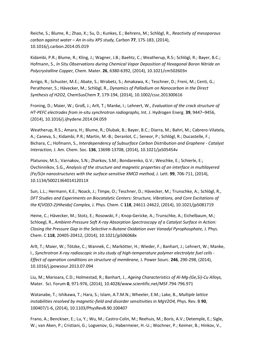Reiche, S.; Blume, R.; Zhao, X.; Su, D.; Kunkes, E.; Behrens, M.; Schlögl, R., *Reactivity of mesoporous carbon against water – An in-situ XPS study,* Carbon **77**, 175-183, (2014), 10.1016/j.carbon.2014.05.019

Kidambi, P.R.; Blume, R.; Kling, J.; Wagner, J.B.; Baehtz, C.; Weatherup, R.S:; Schlögl, R.; Bayer, B.C.; Hofmann, S., *In Situ Observations during Chemical Vapor Deposition of Hexagonal Boron Nitride on Polycrystalline Copper,* Chem. Mater. **26**, 6380-6392, (2014), 10.1021/cm502603n

Arrigo, R.; Schuster, M.E.; Abate, S.; Wrabetz, S.; Amakawa, K.; Teschner, D.; Freni, M.; Centi, G.; Perathoner, S.; Hävecker, M.; Schlögl, R., *Dynamics of Palladium on Nanocarbon in the Direct Synthesis of H2O2,* ChemSusChem **7**, 179-194, (2014), 10.1002/cssc.201300616

Froning, D.; Maier, W.; Groß, J.; Arlt, T.; Manke, I.; Lehnert, W., *Evaluation of the crack structure of HT-PEFC electrodes from in-situ synchrotron radiographs,* Int. J. Hydrogen Energ. **39**, 9447–9456, (2014), 10.1016/j.ijhydene.2014.04.059

Weatherup, R.S.; Amara, H.; Blume, R.; Dlubak, B.; Bayer, B.C.; Diarra, M.; Bahri, M.; Cabrero-Vilatela, A.; Caneva, S.; Kidambi, P.R.; Martin, M.-B.; Deranlot, C.; Seneor, P.; Schlögl, R.; Ducastelle, F.; Bichara, C.; Hofmann, S., *Interdependency of Subsurface Carbon Distribution and Graphene - Catalyst Interaction,* J. Am. Chem. Soc. **136**, 13698-13708, (2014), 10.1021/ja505454v

Platunov, M.S.; Varnakov, S.N.; Zharkov, S.M.; Bondarenko, G.V.; Weschke, E.; Schierle, E.; Ovchinnikov, S.G., *Analysis of the structure and magnetic properties of an interface in multilayered (Fe/Si)n nanostructures with the surface-sensitive XMCD method,* J. Lett. **99**, 706-711, (2014), 10.1134/S002136401412011X

Sun, L.L.; Hermann, K.E.; Noack, J.; Timpe, O.; Teschner, D.; Hävecker, M.; Trunschke, A.; Schlögl, R., *DFT Studies and Experiments on Biocatalytic Centers: Structure, Vibrations, and Core Excitations of the K[VO(O-2)Hheida] Complex,* J. Phys. Chem. C **118**, 24611-24622, (2014), 10.1021/jp5081719

Heine, C.; Hävecker, M.; Stotz, E.; Rosowski, F.; Knop-Gericke, A.; Trunschke, A.; Eichelbaum, M.; Schloegl, R., *Ambient-Pressure Soft X-ray Absorption Spectroscopy of a Catalyst Surface in Action: Closing the Pressure Gap in the Selective n-Butane Oxidation over Vanadyl Pyrophosphate,* J. Phys. Chem. C **118**, 20405-20412, (2014), 10.1021/jp506068x

Arlt, T.; Maier, W.; Tötzke, C.; Wannek, C.; Markötter, H.; Wieder, F.; Banhart, J.; Lehnert, W.; Manke, I., *Synchrotron X-ray radioscopic in situ study of high-temperature polymer electrolyte fuel cells - Effect of operation conditions on structure of membrane,* J. Power Sourc. **246**, 290-298, (2014), 10.1016/j.jpowsour.2013.07.094

Liu, M.; Marioara, C.D.; Holmestad, R.; Banhart, J., *Ageing Characteristics of Al-Mg-(Ge,Si)-Cu Alloys,*  Mater. Sci. Forum **0**, 971-976, (2014), 10.4028/www.scientific.net/MSF.794-796.971

Watanabe, T.; Ishikawa, T.; Hara, S.; Islam, A.T.M.N.; Wheeler, E.M.; Lake, B., *Multiple lattice instabilities resolved by magnetic-field and disorder sensitivities in MgV2O4,* Phys. Rev. B **90**, 100407/1-6, (2014), 10.1103/PhysRevB.90.100407

Frano, A.; Benckiser, E.; Lu, Y.; Wu, M.; Castro-Colin, M.; Reehuis, M.; Boris, A.V.; Detemple, E.; Sigle, W.; van Aken, P.; Cristiani, G.; Logvenov, G.; Habermeier, H.-U.; Wochner, P.; Keimer, B.; Hinkov, V.,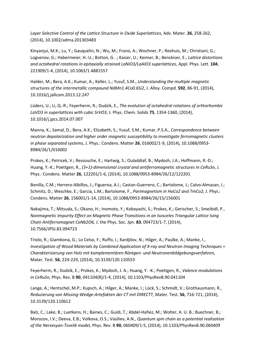*Layer Selective Control of the Lattice Structure in Oxide Superlattices,* Adv. Mater. **26**, 258-262, (2014), 10.1002/adma.201303483

Kinyanjui, M.K.; Lu, Y.; Gauquelin, N.; Wu, M.; Frano, A.; Wochner, P.; Reehuis, M.; Christiani, G.; Logvenov, G.; Habermeier, H.-U.; Botton, G. .; Kaiser, U.; Keimer, B.; Benckiser, E., *Lattice distortions and octahedral rotations in epitaxially strained LaNiO3/LaAlO3 superlattices,* Appl. Phys. Lett. **104**, 221909/1-4, (2014), 10.1063/1.4881557

Halder, M.; Bera, A.K.; Kumar, A.; Keller, L.; Yusuf, S.M., *Understanding the multiple magnetic structures of the intermetallic compound NdMn1.4Co0.6Si2,* J. Alloy. Compd. **592**, 86-91, (2014), 10.1016/j.jallcom.2013.12.247

Lüders, U.; Li, Q.-R.; Feyerherm, R.; Dudzik, E., *The evolution of octahedral rotations of orthorhombic LaVO3 in superlattices with cubic SrVO3,* J. Phys. Chem. Solids **75**, 1354-1360, (2014), 10.1016/j.jpcs.2014.07.007

Manna, K.; Samal, D.; Bera, A.K.; Elizabeth, S.; Yusuf, S.M.; Kumar, P.S.A., *Correspondence between neutron depolarization and higher order magnetic susceptibility to investigate ferromagnetic clusters in phase separated systems,* J. Phys.: Condens. Matter **26**, 016002/1-9, (2014), 10.1088/0953- 8984/26/1/016002

Prokes, K.; Petricek, V.; Ressouche, E.; Hartwig, S.; Ouladdiaf, B.; Mydosh, J.A.; Hoffmann, R.-D.; Huang, Y.-K.; Poettgen, R., *(3+1)-dimensional crystal and antiferromagnetic structures in CeRuSn,* J. Phys.: Condens. Matter **26**, 122201/1-6, (2014), 10.1088/0953-8984/26/12/122201

Bonilla, C.M.; Herrero-Albillos, J.; Figueroa, A.I.; Castan-Guerrero, C.; Bartolome, J.; Calvo-Almazan, I.; Schmitz, D.; Weschke, E.; Garcia, L.M.; Bartolome, F., *Parimagnetism in HoCo2 and TmCo2,* J. Phys.: Condens. Matter **26**, 156001/1-14, (2014), 10.1088/0953-8984/26/15/156001

Nakajima, T.; Mitsuda, S.; Okano, H.; Inomoto, Y.; Kobayashi, S.; Prokes, K.; Gerischer, S.; Smeibidl, P., *Nonmagnetic Impurity Effect on Magnetic Phase Transitions in an Isosceles Triangular Lattice Ising Chain Antiferromagnet CoNb2O6,* J. the Phys. Soc. Jpn. **83**, 094723/1-7, (2014), 10.7566/JPSJ.83.094723

Triolo, R.; Giambona, G.; Lo Celso, F.; Ruffo, I.; Kardjilov, N.; Hilger, A.; Paulke, A.; Manke, I., *Investigation of Wood Materials by Combined Application of X-ray and Neutron Imaging Techniques = Charakterisierung von Holz mit komplementären Röntgen- und Neutronenbildgebungsverfahren,*  Mater. Test. **56**, 224-229, (2014), 10.3139/120.110553

Feyerherm, R.; Dudzik, E.; Prokes, K.; Mydosh, J. A.; Huang, Y. -K.; Poettgen, R., *Valence modulations in CeRuSn,* Phys. Rev. B **90**, 041104(R)/1-4, (2014), 10.1103/PhysRevB.90.041104

Lange, A.; Hentschel, M.P.; Kupsch, A.; Hilger, A.; Manke, I.; Lück, S.; Schmidt, V.; Grothausmann, R., *Reduzierung von Missing-Wedge-Artefakten der CT mit DIRECTT,* Mater. Test. **56**, 716-721, (2014), 10.3139/120.110612

Balz, C.; Lake, B.; Luetkens, H.; Baines, C.; Guidi, T.; Abdel-Hafiez, M.; Wolter, A. U. B.; Buechner, B.; Morozov, I.V.; Deeva, E.B.; Volkova, O.S.; Vasiliev, A.N., *Quantum spin chain as a potential realization of the Nersesyan-Tsvelik model,* Phys. Rev. B **90**, 060409/1-5, (2014), 10.1103/PhysRevB.90.060409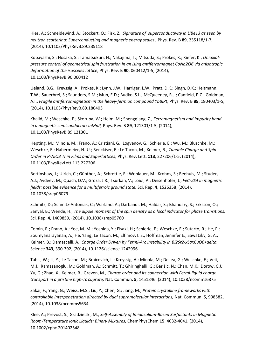Hies, A.; Schneidewind, A.; Stockert, O.; Fisk, Z., *Signature of superconductivity in UBe13 as seen by neutron scattering: Superconducting and magnetic energy scales ,* Phys. Rev. B **89**, 235118/1-7, (2014), 10.1103/PhysRevB.89.235118

Kobayashi, S.; Hosaka, S.; Tamatsukuri, H.; Nakajima, T.; Mitsuda, S.; Prokes, K.; Kiefer, K., *Uniaxialpressure control of geometrical spin frustration in an Ising antiferromagnet CoNb2O6 via anisotropic deformation of the isosceles lattice,* Phys. Rev. B **90**, 060412/1-5, (2014), 10.1103/PhysRevB.90.060412

Ueland, B.G.; Kreyssig, A.; Prokes, K.; Lynn, J.W.; Harriger, L.W.; Pratt, D.K.; Singh, D.K.; Heitmann, T.W.; Sauerbrei, S.; Saunders, S.M.; Mun, E.D.; Budko, S.L.; McQueeney, R.J.; Canfield, P.C.; Goldman, A.I., *Fragile antiferromagnetism in the heavy-fermion compound YbBiPt,* Phys. Rev. B **89**, 180403/1-5, (2014), 10.1103/PhysRevB.89.180403

Khalid, M.; Weschke, E.; Skorupa, W.; Helm, M.; Shengqiang, Z., *Ferromagnetism and impurity band in a magnetic semiconductor: InMnP,* Phys. Rev. B **89**, 121301/1-5, (2014), 10.1103/PhysRevB.89.121301

Hepting, M.; Minola, M.; Frano, A.; Cristiani, G.; Logvenov, G.; Schierle, E.; Wu, M.; Bluschke, M.; Weschke, E.; Habermeier, H.-U.; Benckiser, E.; Le Tacon, M.; Keimer, B., *Tunable Charge and Spin Order in PrNiO3 Thin Films and Superlattices,* Phys. Rev. Lett. **113**, 227206/1-5, (2014), 10.1103/PhysRevLett.113.227206

Bertinshaw, J.; Ulrich, C.; Günther, A.; Schrettle, F.; Wohlauer, M.; Krohns, S.; Reehuis, M.; Studer, A.J.; Avdeev, M.; Quach, D.V.; Groza, J.R.; Tsurkan, V.; Loidl, A.; Deisenhofer, J., *FeCr2S4 in magnetic fields: possible evidence for a multiferroic ground state,* Sci. Rep. **4**, 1526358, (2014), 10.1038/srep06079

Schmitz, D.; Schmitz-Antoniak, C.; Warland, A.; Darbandi, M.; Haldar, S.; Bhandary, S.; Erksson, O.; Sanyal, B.; Wende, H., *The dipole moment of the spin density as a local indicator for phase transitions,*  Sci. Rep. **4**, 1409859, (2014), 10.1038/srep05760

Comin, R.; Frano, A.; Yee, M. M.; Yoshida, Y.; Eisaki, H.; Schierle, E.; Weschke, E.; Sutarto, R.; He, F.; Soumyanarayanan, A.; He, Yang; Le Tacon, M.; Elfimov, I. S.; Hoffman, Jennifer E.; Sawatzky, G. A.; Keimer, B.; Damascelli, A., *Charge Order Driven by Fermi-Arc Instability in Bi2Sr2-xLaxCuO6+delta,*  Science **343**, 390-392, (2014), 10.1126/science.1242996

Tabis, W.; Li, Y.; Le Tacon, M.; Braicovich, L.; Kreyssig, A.; Minola, M.; Dellea, G.; Weschke, E.; Veit, M.J.; Ramazanoglu, M.; Goldman, A.; Schmitt, T.; Ghiringhelli, G.; Barišic, N.; Chan, M.K.; Dorow, C.J.; Yu, G.; Zhao, X.; Keimer, B.; Greven, M., *Charge order and its connection with Fermi-liquid charge transport in a pristine high-Tc cuprate,* Nat. Commun. **5**, 1451846, (2014), 10.1038/ncomms6875

Sakai, F.; Yang, G.; Weiss, M.S.; Liu, Y.; Chen, G.; Jiang, M., *Protein crystalline frameworks with controllable interpenetration directed by dual supramolecular interactions,* Nat. Commun. **5**, 998582, (2014), 10.1038/ncomms5634

Klee, A.; Prevost, S.; Gradzielski, M., *Self-Assembly of Imidazolium-Based Surfactants in Magnetic Room-Temperature Ionic Liquids: Binary Mixtures,* ChemPhysChem **15**, 4032-4041, (2014), 10.1002/cphc.201402548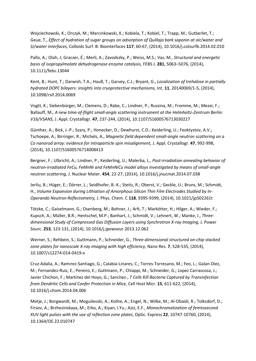Wojciechowski, K.; Orczyk, M.; Marcinkowski, K.; Kobiela, T.; Kobiel, T.; Trapp, M.; Gutberlet, T.; Geue, T., *Effect of hydration of sugar groups on adsorption of Quillaja bark saponin at air/water and Si/water interfaces,* Colloids Surf. B: Biointerfaces **117**, 60-67, (2014), 10.1016/j.colsurfb.2014.02.010

Pallo, A.; Olah, J; Graczer, É.; Merli, A.; Zavodszky, P.; Weiss, M.S.; Vas, M., *Structural and energetic basis of isopropylmalate dehydrogenase enzyme catalysis,* FEBS J. **281**, 5063–5076, (2014), 10.1111/febs.13044

Kent, B.; Hunt, T.; Darwish, T.A.; Hauß, T.; Garvey, C.J.; Bryant, G., *Localization of trehalose in partially hydrated DOPC bilayers: insights into cryoprotective mechanisms,* Int. **11**, 20140069/1-5, (2014), 10.1098/rsif.2014.0069

Vogtt, K.; Siebenbürger, M.; Clemens, D.; Rabe, C.; Lindner, P.; Russina, M.; Fromme, M.; Mezei, F.; Ballauff, M., *A new time-of-flight small-angle scattering instrument at the Helmholtz-Zentrum Berlin: V16/VSANS,* J. Appl. Crystallogr. **47**, 237-244, (2014), 10.1107/S1600576713030227

Günther, A.; Bick, J.-P.; Szary, P.; Honecker, D.; Dewhurst, C.D.; Keiderling, U.; Feoktystov, A.V.; Tschoepe, A.; Birringer, R.; Michels, A., *Magnetic field dependent small-angle neutron scattering on a Co nanorod array: evidence for intraparticle spin misalignment,* J. Appl. Crystallogr. **47**, 992-998, (2014), 10.1107/S1600576714008413

Bergner, F.; Ulbricht, A.; Lindner, P.; Keiderling, U.; Malerba, L., *Post-irradiation annealing behavior of neutron-irradiated FeCu, FeMnNi and FeMnNiCu model alloys investigated by means of small-angle neutron scattering,* J. Nuclear Mater. **454**, 22-27, (2014), 10.1016/j.jnucmat.2014.07.038

Jerliu, B.; Hüger, E.; Dörrer, L.; Seidlhofer, B.-K.; Steitz, R.; Oberst, V.; Geckle, U.; Bruns, M.; Schmidt, H., *Volume Expansion during Lithiation of Amorphous Silicon Thin Film Electrodes Studied by In-Operando Neutron Reflectometry,* J. Phys. Chem. C **118**, 9395-9399, (2014), 10.1021/jp502261t

Tötzke, C.; Gaiselmann, G.; Osenberg, M.; Bohner, J.; Arlt, T.; Markötter, H.; Hilger, A.; Wieder, F.; Kupsch, A.; Müller, B.R.; Hentschel, M.P.; Banhart, J.; Schmidt, V.; Lehnert, W.; Manke, I., *Threedimensional Study of Compressed Gas Diffusion Layers using Synchrotron X-ray Imaging,* J. Power Sourc. **253**, 123-131, (2014), 10.1016/j.jpowsour.2013.12.062

Werner, S.; Rehbein, S.; Guttmann, P.; Schneider, G., *Three-dimensional structured on-chip stacked zone plates for nanoscale X-ray imaging with high efficiency,* Nano Res. **7**, 528-535, (2014), 10.1007/s12274-014-0419-x

Cruz-Adalia, A.; Ramirez-Santiago, G.; Calabia-Linares, C.; Torres-Torresano, M.; Feo, L.; Galan-Diez, M.; Fernandez-Ruiz, E.; Pereiro, E.; Guttmann, P.; Chiappi, M.; Schneider, G.; Lopez Carrascosa, J.; Javier Chichon, F.; Martinez del Hoyo, G.; Sanchez-, *T Cells Kill Bacteria Captured by Transinfection from Dendritic Cells and Confer Protection in Mice,* Cell Host Micr. **15**, 611-622, (2014), 10.1016/j.chom.2014.04.006

Metje, J.; Borgwardt, M.; Moguilevski, A.; Kothe, A.; Engel, N.; Wilke, M.; Al-Obaidi, R.; Tolksdorf, D.; Firsov, A.; Brzhezinskaya, M.; Erko, A.; Kiyan, I.Yu.; Aziz, E.F., *Monochromatization of femtosecond XUV light pulses with the use of reflection zone plates,* Optic. Express **22**, 10747-10760, (2014), 10.1364/OE.22.010747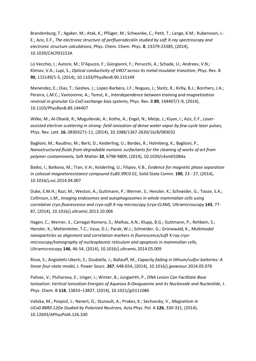Brandenburg, T.; Agaker, M.; Atak, K.; Pflüger, M.; Schwanke, C.; Petit, T.; Lange, K.M.; Rubensson, J.- E.; Aziz, E.F., *The electronic structure of perfluorodecalin studied by soft X-ray spectroscopy and electronic structure calculations,* Phys. Chem. Chem. Phys. **0**, 23379-23385, (2014), 10.1039/C4CP03153A

Lo Vecchio, I.; Autore, M.; D'Apuzzo, F.; Giorgianni, F.; Perucchi, A.; Schade, U.; Andreev, V.N.; Klimov, V.A.; Lupi, S., *Optical conductivity of V4O7 across its metal-insulator transition,* Phys. Rev. B **90**, 115149/1-5, (2014), 10.1103/PhysRevB.90.115149

Menendez, E.; Dias, T.; Geshev, J.; Lopez-Barbera, J.F.; Nogues, J.; Steitz, R.; Kirby, B.J.; Borchers, J.A.; Pereira, L.M.C.; Vantomme, A.; Temst, K., *Interdependence between training and magnetization reversal in granular Co-CoO exchange bias systems,* Phys. Rev. B **89**, 144407/1-9, (2014), 10.1103/PhysRevB.89.144407

Wilke, M.; Al-Obaidi, R.; Moguilevski, A.; Kothe, A.; Engel, N.; Metje, J.; Kiyan, I.; Aziz, E.F., *Laserassisted electron scattering in strong- field ionization of dense water vapor by few-cycle laser pulses,*  Phys. Rev. Lett. **16**, 08303271-11, (2014), 10.1088/1367-2630/16/8/083032

Baglioni, M.; Raudino, M.; Berti, D.; Keiderling, U.; Bordes, R.; Holmberg, K.; Baglioni, P., *Nanostructured fluids from degradable nonionic surfactants for the cleaning of works of art from polymer contaminants,* Soft Matter **10**, 6798-9809, (2014), 10.1039/c4sm01084a

Batko, I.; Batkova, M.; Tran, V.H.; Keiderling, U.; Filipov, V.B., *Evidence for magnetic phase separation in colossal magnetoresistance compound EuB5.99C0.01,* Solid State Comm. **190**, 23 - 27, (2014), 10.1016/j.ssc.2014.04.007

Duke, E.M.H.; Razi, M.; Weston, A.; Guttmann, P.; Werner, S.; Henzler, K.; Schneider, G.; Tooze, S.A.; Collinson, L.M., *Imaging endosomes and autophagosomes in whole mammalian cells using correlative cryo-fluorescence and cryo-soft X-ray microscopy (cryo-CLXM),* Ultramicroscopy **143**, 77- 87, (2014), 10.1016/j.ultramic.2013.10.006

Hagen, C.; Werner, S.; Carregal-Romero, S.; Malhas, A.N.; Klupp, B.G.; Guttmann, P.; Rehbein, S.; Henzler, K.; Mettenleiter, T.C.; Vaux, D.J.; Parak, W.J.; Schneider, G.; Grünewald, K., *Multimodal nanoparticles as alignment and correlation markers in fluorescence/soft X-ray cryomicroscopy/tomography of nucleoplasmic reticulum and apoptosis in mammalian cells,*  Ultramicroscopy **146**, 46-54, (2014), 10.1016/j.ultramic.2014.05.009

Risse, S.; Angioletti-Uberti, S.; Dzubiella, J.; Ballauff, M., *Capacity fading in lithium/sulfur batteries: A linear four-state model,* J. Power Sourc. **267**, 648-654, (2014), 10.1016/j.jpowsour.2014.05.076

Palivec, V.; Pluharova, E.; Unger, I.; Winter, B.; Jungwirth, P., *DNA Lesion Can Facilitate Base Ionization: Vertical Ionization Energies of Aqueous 8-Oxoguanine and its Nucleoside and Nucleotide,* J. Phys. Chem. B **118**, 13833–13837, (2014), 10.1021/jp5111086

Valiska, M.; Pospisil, J.; Nenert, G.; Stunault, A.; Prokes, K.; Sechovsky, V., *Magnetism in UCo0.88R0.12Ge Studied by Polarized Neutrons,* Acta Phys. Pol. A **126**, 330-331, (2014), 10.12693/APhysPolA.126.330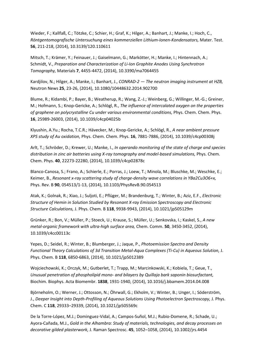Wieder, F.; Kallfaß, C.; Tötzke, C.; Schier, H.; Graf, K.; Hilger, A.; Banhart, J.; Manke, I.; Hoch, C., *Röntgentomografische Untersuchung eines kommerziellen Lithium-Ionen-Kondensators,* Mater. Test. **56**, 211-218, (2014), 10.3139/120.110611

Mitsch, T.; Krämer, Y.; Feinauer, J.; Gaiselmann, G.; Markötter, H.; Manke, I.; Hintennach, A.; Schmidt, V., *Preparation and Characterization of Li-Ion Graphite Anodes Using Synchrotron Tomography,* Materials **7**, 4455-4472, (2014), 10.3390/ma7064455

Kardjilov, N.; Hilger, A.; Manke, I.; Banhart, J., *CONRAD-2 — The neutron imaging instrument at HZB,*  Neutron News **25**, 23-26, (2014), 10.1080/10448632.2014.902700

Blume, R.; Kidambi, P.; Bayer, B.; Weatherup, R.; Wang, Z.-J.; Weinberg, G.; Willinger, M.-G.; Greiner, M.; Hofmann, S.; Knop-Gericke, A.; Schlögl, R., *The influence of intercalated oxygen on the properties of graphene on polycrystalline Cu under various environmental conditions,* Phys. Chem. Chem. Phys. **16**, 25989-26003, (2014), 10.1039/c4cp04025b

Klyushin, A.Yu.; Rocha, T.C.R.; Hävecker, M.; Knop-Gericke, A.; Schlögl, R., *A near ambient pressure XPS study of Au oxidation,* Phys. Chem. Chem. Phys. **16**, 7881-7886, (2014), 10.1039/c4cp00308j

Arlt, T.; Schröder, D.; Krewer, U.; Manke, I., *In operando monitoring of the state of charge and species distribution in zinc air batteries using X-ray tomography and model-based simulations,* Phys. Chem. Chem. Phys. **40**, 22273-22280, (2014), 10.1039/c4cp02878c

Blanco-Canosa, S.; Frano, A.; Schierle, E.; Porras, J.; Loew, T.; Minola, M.; Bluschke, M.; Weschke, E.; Keimer, B., *Resonant x-ray scattering study of charge-density wave correlations in YBa2Cu3O6+x,*  Phys. Rev. B **90**, 054513/1-13, (2014), 10.1103/PhysRevB.90.054513

Atak, K.; Golnak, R.; Xiao, J.; Suljoti, E.; Pflüger, M.; Brandenburg, T.; Winter, B.; Aziz, E.F., *Electronic Structure of Hemin in Solution Studied by Resonant X-ray Emission Spectroscopy and Electronic Structure Calculations,* J. Phys. Chem. B **118**, 9938-9943, (2014), 10.1021/jp505129m

Grünker, R.; Bon, V.; Müller, P.; Stoeck, U.; Krause, S.; Müller, U.; Senkovska, I.; Kaskel, S., *A new metal-organic framework with ultra-high surface area,* Chem. Comm. **50**, 3450-3452, (2014), 10.1039/c4cc00113c

Yepes, D.; Seidel, R.; Winter, B.; Blumberger, J.; Jaque, P., *Photoemission Spectra and Density Functional Theory Calculations of 3d Transition Metal-Aqua Complexes (Ti-Cu) in Aqueous Solution,* J. Phys. Chem. B **118**, 6850-6863, (2014), 10.1021/jp5012389

Wojciechowski, K.; Orczyk, M.; Gutberlet, T.; Trapp, M.; Marcinkowski, K.; Kobiela, T.; Geue, T., *Unusual penetration of phospholipid mono- and bilayers by Quillaja bark saponin biosurfactant,*  Biochim. Biophys. Acta Biomembr. **1838**, 1931-1940, (2014), 10.1016/j.bbamem.2014.04.008

Björneholm, O.; Werner, J.; Ottosson, N.; Öhrwall, G.; Ekholm, V.; Winter, B.; Unger, I.; Söderström, J., *Deeper Insight into Depth-Profiling of Aqueous Solutions Using Photoelectron Spectroscopy, J. Phys.* Chem. C **118**, 29333–29339, (2014), 10.1021/jp505569c

De la Torre-López, M.J.; Dominguez-Vidal, A.; Campos-Suñol, M.J.; Rubio-Domene, R.; Schade, U.; Ayora-Cañada, M.J., *Gold in the Alhambra: Study of materials, technologies, and decay processes on decorative gilded plasterwork,* J. Raman Spectrosc. **45**, 1052–1058, (2014), 10.1002/jrs.4454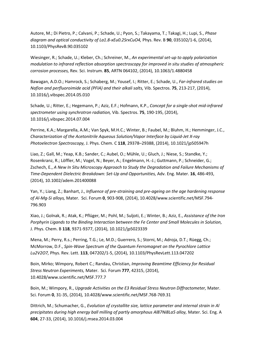Autore, M.; Di Pietro, P.; Calvani, P.; Schade, U.; Pyon, S.; Takayama, T.; Takagi, H.; Lupi, S., *Phase diagram and optical conductivity of La1.8-xEu0.2SrxCuO4,* Phys. Rev. B **90**, 035102/1-6, (2014), 10.1103/PhysRevB.90.035102

Wiesinger, R.; Schade, U.; Kleber, Ch.; Schreiner, M., *An experimental set-up to apply polarization modulation to infrared reflection absorption spectroscopy for improved in situ studies of atmospheric corrosion processes,* Rev. Sci. Instrum. **85**, ARTN 064102, (2014), 10.1063/1.4880458

Bawagan, A.D.O.; Hamrock, S.; Schaberg, M.; Yousef, I.; Ritter, E.; Schade, U., *Far-infrared studies on Nafion and perfluoroimide acid (PFIA) and their alkali salts,* Vib. Spectros. **75**, 213-217, (2014), 10.1016/j.vibspec.2014.05.010

Schade, U.; Ritter, E.; Hegemann, P.; Aziz, E.F.; Hofmann, K.P., *Concept for a single-shot mid-infrared spectrometer using synchrotron radiation,* Vib. Spectros. **75**, 190-195, (2014), 10.1016/j.vibspec.2014.07.004

Perrine, K.A.; Margarella, A.M.; Van Spyk, M.H.C.; Winter, B.; Faubel, M.; Bluhm, H.; Hemminger, J.C., *Characterization of the Acetonitrile Aqueous Solution/Vapor Interface by Liquid-Jet X-ray Photoelectron Spectroscopy,* J. Phys. Chem. C **118**, 29378–29388, (2014), 10.1021/jp505947h

Liao, Z.; Gall, M.; Yeap, K.B.; Sander, C.; Aubel, O.; Mühle, U.; Gluch, J.; Niese, S.; Standke, Y.; Rosenkranz, R.; Löffler, M.; Vogel, N.; Beyer, A.; Engelmann, H.-J.; Guttmann, P.; Schneider, G.; Zschech, E., *A New In Situ Microscopy Approach to Study the Degradation and Failure Mechanisms of Time-Dependent Dielectric Breakdown: Set-Up and Opportunities,* Adv. Eng. Mater. **16**, 486-493, (2014), 10.1002/adem.201400088

Yan, Y.; Liang, Z.; Banhart, J., *Influence of pre-straining and pre-ageing on the age hardening response of Al-Mg-Si alloys,* Mater. Sci. Forum **0**, 903-908, (2014), 10.4028/www.scientific.net/MSF.794- 796.903

Xiao, J.; Golnak, R.; Atak, K.; Pflüger, M.; Pohl, M.; Suljoti, E.; Winter, B.; Aziz, E., *Assistance of the Iron Porphyrin Ligands to the Binding Interaction between the Fe Center and Small Molecules in Solution,*  J. Phys. Chem. B **118**, 9371-9377, (2014), 10.1021/jp5023339

Mena, M.; Perry, R.s.; Perring, T.G.; Le, M.D.; Guerrero, S.; Storni, M.; Adroja, D.T.; Rüegg, Ch.; McMorrow, D.F., *Spin-Wave Spectrum of the Quantum Ferromagnet on the Pyrochlore Lattice Lu2V2O7,* Phys. Rev. Lett. **113**, 047202/1-5, (2014), 10.1103/PhysRevLett.113.047202

Boin, Mirko; Wimpory, Robert C.; Randau, Christian, *Improving Beamtime Efficiency for Residual Stress Neutron Experiments,* Mater. Sci. Forum **777**, 42315, (2014), 10.4028/www.scientific.net/MSF.777.7

Boin, M.; Wimpory, R., *Upgrade Activities on the E3 Residual Stress Neutron Diffractometer,* Mater. Sci. Forum **0**, 31-35, (2014), 10.4028/www.scientific.net/MSF.768-769.31

Dittrich, M.; Schumacher, G., *Evolution of crystallite size, lattice parameter and internal strain in Al precipitates during high energy ball milling of partly amorphous Al87Ni8La5 alloy,* Mater. Sci. Eng. A **604**, 27-33, (2014), 10.1016/j.msea.2014.03.004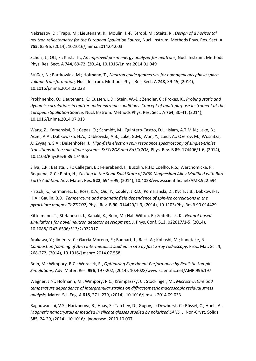Nekrassov, D.; Trapp, M.; Lieutenant, K.; Moulin, J.-F.; Strobl, M.; Steitz, R., *Design of a horizontal neutron reflectometer for the European Spallation Source,* Nucl. Instrum. Methods Phys. Res. Sect. A **755**, 85-96, (2014), 10.1016/j.nima.2014.04.003

Schulz, J.; Ott, F.; Krist, Th., *An improved prism energy analyzer for neutrons,* Nucl. Instrum. Methods Phys. Res. Sect. A **744**, 69-72, (2014), 10.1016/j.nima.2014.01.049

Stüßer, N.; Bartkowiak, M.; Hofmann, T., *Neutron guide geometries for homogeneous phase space volume transformation,* Nucl. Instrum. Methods Phys. Res. Sect. A **748**, 39-45, (2014), 10.1016/j.nima.2014.02.028

Prokhnenko, O.; Lieutenant, K.; Cussen, L.D.; Stein, W.-D.; Zendler, C.; Prokes, K., *Probing static and dynamic correlations in matter under extreme conditions: Concept of multi-purpose instrument at the European Spallation Source,* Nucl. Instrum. Methods Phys. Res. Sect. A **764**, 30-41, (2014), 10.1016/j.nima.2014.07.013

Wang, Z.; Kamenskyi, D.; Cepas, O.; Schmidt, M.; Quintero-Castro, D.L.; Islam, A.T.M.N.; Lake, B.; Aczel, A.A.; Dabkowska, H.A.; Dabkowski, A.B.; Luke, G.M.; Wan, Y.; Loidl, A.; Ozerov, M.; Wosnitza, J.; Zvyagin, S.A.; Deisenhofer, J., *High-field electron spin resonance spectroscopy of singlet-triplet transitions in the spin-dimer systems Sr3Cr2O8 and Ba3Cr2O8,* Phys. Rev. B **89**, 174406/1-6, (2014), 10.1103/PhysRevB.89.174406

Silva, E.P.; Batista, L.F.; Callegari, B.; Feierabend, I.; Buzolin, R.H.; Coelho, R.S.; Warchomicka, F.; Requena, G.C.; Pinto, H., *Casting in the Semi-Solid State of ZK60 Magnesium Alloy Modified with Rare Earth Addition,* Adv. Mater. Res. **922**, 694-699, (2014), 10.4028/www.scientific.net/AMR.922.694

Fritsch, K.; Kermarrec, E.; Ross, K.A.; Qiu, Y.; Copley, J.R.D.; Pomaranski, D.; Kycia, J.B.; Dabkowska, H.A.; Gaulin, B.D., *Temperature and magnetic field dependence of spin-ice correlations in the pyrochlore magnet Tb2Ti2O7,* Phys. Rev. B **90**, 014429/1-9, (2014), 10.1103/PhysRevB.90.014429

Kittelmann, T.; Stefanescu, I.; Kanaki, K.; Boin, M.; Hall-Wilton, R.; Zeitelhack, K., *Geant4 based simulations for novel neutron detector development,* J. Phys. Conf. **513**, 022017/1-5, (2014), 10.1088/1742-6596/513/2/022017

Arakawa, Y.; Jiménez, C.; García-Moreno, F.; Banhart, J.; Rack, A.; Kobashi, M.; Kanetake, N., *Combustion foaming of Al-Ti intermetallics studied in situ by fast X-ray radioscopy,* Proc. Mat. Sci. **4**, 268-272, (2014), 10.1016/j.mspro.2014.07.558

Boin, M.; Wimpory, R.C.; Woracek, R., *Optimizing Experiment Performance by Realistic Sample Simulations,* Adv. Mater. Res. **996**, 197-202, (2014), 10.4028/www.scientific.net/AMR.996.197

Wagner, J.N.; Hofmann, M.; Wimpory, R.C.; Krempaszky, C.; Stockinger, M., *Microstructure and temperature dependence of intergranular strains on diffractometric macroscopic residual stress analysis,* Mater. Sci. Eng. A **618**, 271–279, (2014), 10.1016/j.msea.2014.09.033

Raghuwanshi, V.S.; Harizanova, R.; Haas, S.; Tatchev, D.; Gugov, I.; Dewhurst, C.; Rüssel, C.; Hoell, A., *Magnetic nanocrystals embedded in silicate glasses studied by polarized SANS,* J. Non-Cryst. Solids **385**, 24-29, (2014), 10.1016/j.jnoncrysol.2013.10.007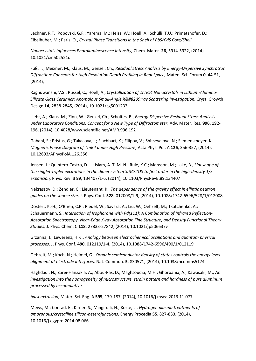Lechner, R.T.; Popovski, G.F.; Yarema, M.; Heiss, W.; Hoell, A.; Schülli, T.U.; Primetzhofer, D.; Eibelhuber, M.; Paris, O., *Crystal Phase Transitions in the Shell of PbS/CdS Core/Shell*

*Nanocrystals Influences Photoluminescence Intensity,* Chem. Mater. **26**, 5914-5922, (2014), 10.1021/cm502521q

Fuß, T.; Meixner, M.; Klaus, M.; Genzel, Ch., *Residual Stress Analysis by Energy-Dispersive Synchrotron Diffraction: Concepts for High Resolution Depth Profiling in Real Space,* Mater. Sci. Forum **0**, 44-51, (2014),

Raghuwanshi, V.S.; Rüssel, C.; Hoell, A., *Crystallization of ZrTiO4 Nanocrystals in Lithium-Alumino-Silicate Glass Ceramics: Anomalous Small-Angle X‑ray Scattering Investigation,* Cryst. Growth Design **14**, 2838-2845, (2014), 10.1021/cg5001232

Liehr, A.; Klaus, M.; Zinn, W.; Genzel, Ch.; Scholtes, B., *Energy-Dispersive Residual Stress Analysis under Laboratory Conditions: Concept for a New Type of Diffractometer,* Adv. Mater. Res. **996**, 192- 196, (2014), 10.4028/www.scientific.net/AMR.996.192

Gabani, S.; Pristas, G.; Takacova, I.; Flachbart, K.; Filipov, V.; Shitsevalova, N.; Siemensmeyer, K., *Magnetic Phase Diagram of TmB4 under High Pressure,* Acta Phys. Pol. A **126**, 356-357, (2014), 10.12693/APhysPolA.126.356

Jensen, J.; Quintero-Castro, D. L.; Islam, A. T. M. N.; Rule, K.C.; Mansson, M.; Lake, B., *Lineshape of the singlet-triplet excitations in the dimer system Sr3Cr2O8 to first order in the high-density 1/z expansion,* Phys. Rev. B **89**, 134407/1-6, (2014), 10.1103/PhysRevB.89.134407

Nekrassov, D.; Zendler, C.; Lieutenant, K., *The dependence of the gravity effect in elliptic neutron guides on the source size,* J. Phys. Conf. **528**, 012008/1-9, (2014), 10.1088/1742-6596/528/1/012008

Dostert, K.-H.; O'Brien, C.P.; Riedel, W.; Savara, A.; Liu, W.; Oehzelt, M.; Tkatchenko, A.; Schauermann, S., *Interaction of Isophorone with Pd(111): A Combination of Infrared Reflection-Absorption Spectroscopy, Near-Edge X-ray Absorption Fine Structure, and Density Functional Theory Studies,* J. Phys. Chem. C **118**, 27833-27842, (2014), 10.1021/jp506637v

Grzanna, J.; Lewerenz, H.-J., *Analogy between electrochemical oscillations and quantum physical processes,* J. Phys. Conf. **490**, 012119/1-4, (2014), 10.1088/1742-6596/490/1/012119

Oehzelt, M.; Koch, N.; Heimel, G., *Organic semiconductor density of states controls the energy level alignment at electrode interfaces,* Nat. Commun. **5**, 830571, (2014), 10.1038/ncomms5174

Haghdadi, N.; Zarei-Hanzakia, A.; Abou-Ras, D.; Maghsoudia, M.H.; Ghorbania, A.; Kawasaki, M., *An investigation into the homogeneity of microstructure, strain pattern and hardness of pure aluminum processed by accumulative*

*back extrusion,* Mater. Sci. Eng. A **595**, 179-187, (2014), 10.1016/j.msea.2013.11.077

Mews, M.; Conrad, E.; Kirner, S.; Mingirulli, N.; Korte, L., *Hydrogen plasma treatments of amorphous/crystalline silicon-heterojunctions,* Energy Procedia **55**, 827-833, (2014), 10.1016/j.egypro.2014.08.066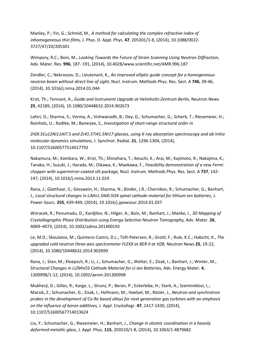Manley, P.; Yin, G.; Schmid, M., *A method for calculating the complex refractive index of inhomogeneous thin films,* J. Phys. D. Appl. Phys. **47**, 205301/1-8, (2014), 10.1088/0022- 3727/47/20/205301

Wimpory, R.C.; Boin, M., *Looking Towards the Future of Strain Scanning Using Neutron Diffraction,*  Adv. Mater. Res. **996**, 187- 191, (2014), 10.4028/www.scientific.net/AMR.996.187

Zendler, C.; Nekrassov, D.; Lieutenant, K., *An improved elliptic guide concept for a homogeneous neutron beam without direct line of sight,* Nucl. Instrum. Methods Phys. Res. Sect. A **746**, 39-46, (2014), 10.1016/j.nima.2014.01.044

Krist, Th.; Tennant, A., *Guide and Instrument Upgrade at Helmholtz-Zentrum Berlin,* Neutron News **25**, 42189, (2014), 10.1080/10448632.2014.902673

Lahiri, D.; Sharma, S.; Verma, A.; Vishwanadh, B.; Dey, G.; Schumacher, G.; Scherb, T.; Riesemeier, H.; Reinholz, U.; Radtke, M.; Banerjee, S., *Investigation of short-range structural order in*

*Zr69.5Cu12Ni11Al7.5 and Zr41.5Ti41.5Ni17 glasses, using X-ray absorption spectroscopy and ab initio molecular dynamics simulations,* J. Synchrot. Radiat. **21**, 1296-1304, (2014), 10.1107/S1600577514017792

Nakamura, M.; Kambara, W.; Krist, Th.; Shinohara, T.; Ikeuchi, K.; Arai, M.; Kajimoto, R.; Nakajima, K.; Tanaka, H.; Suzuki, J.; Harada, M.; Oikawa, K.; Maekawa, F., *Feasibility demonstration of a new Fermi chopper with supermirror-coated slit package,* Nucl. Instrum. Methods Phys. Res. Sect. A **737**, 142- 147, (2014), 10.1016/j.nima.2013.11.019

Rana, J.; Glatthaar, S.; Gesswein, H.; Sharma, N.; Binder, J.R.; Chernikov, R.; Schumacher, G.; Banhart, J., *Local structural changes in LiMn1.5Ni0.5O4 spinel cathode material for lithium ion batteries,* J. Power Sourc. **255**, 439-449, (2014), 10.1016/j.jpowsour.2014.01.037

Woracek, R.; Penumadu, D.; Kardjilov, N.; Hilger, A.; Boin, M.; Banhart, J.; Manke, I., *3D Mapping of Crystallographic Phase Distribution using Energy-Selective Neutron Tomography,* Adv. Mater. **26**, 4069–4073, (2014), 10.1002/adma.201400192

Le, M.D.; Skoulatos, M.; Quintero-Castro, D.L.; Toft-Petersen, R.; Groitl, F.; Rule, K.C.; Habicht, K., *The upgraded cold neutron three-axis spectrometer FLEXX at BER II at HZB,* Neutron News **25**, 19-22, (2014), 10.1080/10448632.2014.902699

Rana, J.; Stan, M.; Kloepsch, R.; Li, J.; Schumacher, G.; Welter, E.; Zizak, I.; Banhart, J.; Winter, M., *Structural Changes in Li2MnO3 Cathode Material for Li-Ion Batteries,* Adv. Energy Mater. **4**, 1300998/1-12, (2014), 10.1002/aenm.201300998

Mukherji, D.; Gilles, R.; Karge, L.; Strunz, P.; Beran, P.; Eckerlebe, H.; Stark, A.; Szentmiklosi, L.; Macsik, Z.; Schumacher, G.; Zizak, I.; Hofmann, M.; Hoelzel, M.; Rösler, J., *Neutron and synchrotron probes in the development of Co-Re based alloys for next generation gas turbines with an emphasis on the influence of boron additives,* J. Appl. Crystallogr. **47**, 1417-1430, (2014), 10.1107/S1600567714013624

Liu, Y.; Schumacher, G.; Riesemeier, H.; Banhart, J., *Change in atomic coordination in a heavily deformed metallic glass,* J. Appl. Phys. **115**, 203510/1-8, (2014), 10.1063/1.4879682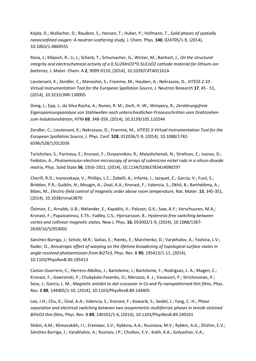Kojda, D.; Wallacher, D.; Baudoin, S.; Hansen, T.; Huber, P.; Hofmann, T., *Solid phases of spatially nanoconfined oxygen: A neutron scattering study,* J. Chem. Phys. **140**, 024705/1-9, (2014), 10.1063/1.4860555

Rana, J.; Klöpsch, R.; Li, J.; Scherb, T.; Schumacher, G.; Winter, M.; Banhart, J., *On the structural integrity and electrochemical activity of a 0.5Li2MnO3\*0.5LiCoO2 cathode material for lithium-ion batteries,* J. Mater. Chem. A **2**, 9099-9110, (2014), 10.1039/C4TA01161A

Lieutenant, K.; Zendler, C.; Manoshin, S.; Fromme, M.; Houben, A.; Nekrassov, D., *VITESS 2.10 - Virtual Instrumentation Tool for the European Spallation Source,* J. Neutron Research **17**, 45 - 51, (2014), 10.3233/JNR-130005

Dong, J.; Epp, J.; da Silva Rocha, A.; Nunes, R. M.; Zoch, H.-W.; Wimpory, R., *Zerstörungsfreie Eigenspannungsanalyse von Stahlwellen nach unterschiedlichen Prozessschritten vom Drahtziehen zum Induktionshärten,* HTM **69**, 348-359, (2014), 10.3139/105.110244

Zendler, C.; Lieutenant, K.; Nekrassov, D.; Fromme, M., *VITESS 3-Virtual Instrumentation Tool for the European Spallation Source,* J. Phys. Conf. **528**, 012036/1-9, (2014), 10.1088/1742- 6596/528/1/012036

Turishchev, S.; Parinova, E.; Kronast, F.; Ovsyannikov, R.; Malashchenok, N.; Streltsov, E.; Ivanov, D.; Fedotov, A., *Photoemission electron microscopy of arrays of submicron nickel rods in a silicon dioxide matrix,* Phys. Solid State **56**, 1916-1921, (2014), 10.1134/S1063783414090297

Cherifi, R.O.; Ivanovskaya, V.; Phillips, L.C.; Zobelli, A.; Infante, I.; Jacquet, E.; Garcia, V.; Fusil, S.; Briddon, P.R.; Guiblin, N.; Mougin, A.; Ünal, A.A.; Kronast, F.; Valencia, S.; Dkhil, B.; Barthélémy, A.; Bibes, M., *Electric-field control of magnetic order above room temperature,* Nat. Mater. **13**, 345-351, (2014), 10.1038/nmat3870

Östman, E.; Arnalds, U.B.; Melander, E.; Kapaklis, V.; Palsson, G.K.; Saw, A.Y.; Verschuuren, M.A.; Kronast, F.; Papaioannou, E.Th.; Fadley, C.S.; Hjorvarsson, B., *Hysteresis-free switching between vortex and collinear magnetic states,* New J. Phys. **16**, 053002/1-9, (2014), 10.1088/1367- 2630/16/5/053002

Sánchez-Barriga, J.; Scholz, M.R.; Golias, E.; Rienks, E.; Marchenko, D.; Varykhalov, A.; Yashina, L.V.; Rader, O., *Anisotropic effect of warping on the lifetime broadening of topological surface states in angle-resolved photoemission from Bi2Te3,* Phys. Rev. B **90**, 195413/1-11, (2014), 10.1103/PhysRevB.90.195413

Castan-Guerrero, C.; Herrero-Albillos, J.; Bartolome, J.; Bartolome, F.; Rodriguez, L. A.; Magen, C.; Kronast, F.; Gawronski, P.; Chubykalo-Fesenko, O.; Merazzo, K. J.; Vavassori, P.; Strichovanec, P.; Sese, J.; Garcia, L. M., *Magnetic antidot to dot crossover in Co and Py nanopatterned thin films, Phys.* Rev. B **89**, 144405/1-10, (2014), 10.1103/PhysRevB.89.144405

Lee, J.H.; Chu, K.; Ünal, A.A.; Valencia, S.; Kronast, F.; Kowarik, S.; Seidel, J.; Yang, C.-H., *Phase separation and electrical switching between two isosymmetric multiferroic phases in tensile strained BiFeO3 thin films,* Phys. Rev. B **89**, 140101/1-6, (2014), 10.1103/PhysRevB.89.140101

Shikin, A.M.; Klimovskikh, I.I.; Eremeev, S.V.; Rybkina, A.A.; Rusinova, M.V.; Rybkin, A.G.; Zhizhin, E.V.; Sánchez-Barriga, J.; Varykhalov, A.; Rusinov, I.P.; Chulkov, E.V.; Kokh, K.A.; Golyashov, V.A.;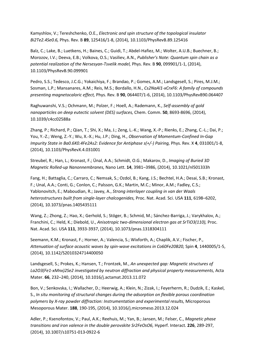Kamyshlov, V.; Tereshchenko, O.E., *Electronic and spin structure of the topological insulator Bi2Te2.4Se0.6,* Phys. Rev. B **89**, 125416/1-8, (2014), 10.1103/PhysRevB.89.125416

Balz, C.; Lake, B.; Luetkens, H.; Baines, C.; Guidi, T.; Abdel-Hafiez, M.; Wolter, A.U.B.; Buechner, B.; Morozov, I.V.; Deeva, E.B.; Volkova, O.S.; Vasiliev, A.N., *Publisher's Note: Quantum spin chain as a potential realization of the Nersesyan-Tsvelik model,* Phys. Rev. B **90**, 099901/1-1, (2014), 10.1103/PhysRevB.90.099901

Pedro, S.S.; Tedesco, J.C.G.; Yokaichiya, F.; Brandao, P.; Gomes, A.M.; Landsgesell, S.; Pires, M.J.M.; Sosman, L.P.; Mansanares, A.M.; Reis, M.S.; Bordallo, H.N., *Cs2NaAl1-xCrxF6: A family of compounds presenting magnetocaloric effect,* Phys. Rev. B **90**, 064407/1-6, (2014), 10.1103/PhysRevB90.064407

Raghuwanshi, V.S.; Ochmann, M.; Polzer, F.; Hoell, A.; Rademann, K., *Self-assembly of gold nanoparticles on deep eutectic solvent (DES) surfaces,* Chem. Comm. **50**, 8693-8696, (2014), 10.1039/c4cc02588a

Zhang, P.; Richard, P.; Qian, T.; Shi, X.; Ma, J.; Zeng, L.-K.; Wang, X.-P.; Rienks, E.; Zhang, C.-L.; Dai, P.; You, Y.-Z.; Weng, Z.-Y.; Wu, X.-X.; Hu, J.P.; Ding, H., *Observation of Momentum-Confined In-Gap Impurity State in Ba0.6K0.4Fe2As2: Evidence for Antiphase s(+/-) Pairing, Phys. Rev. X 4, 031001/1-8,* (2014), 10.1103/PhysRevX.4.031001

Streubel, R.; Han, L.; Kronast, F.; Ünal, A.A.; Schmidt, O.G.; Makarov, D., *Imaging of Buried 3D Magnetic Rolled-up Nanonnembranes,* Nano Lett. **14**, 3981–3986, (2014), 10.1021/nl501333h

Fang, H.; Battaglia, C.; Carraro, C.; Nemsak, S.; Ozdol, B.; Kang, J.S.; Bechtel, H.A.; Desai, S.B.; Kronast, F.; Unal, A.A.; Conti, G.; Conlon, C.; Palsson, G.K.; Martin, M.C.; Minor, A.M.; Fadley, C.S.; Yablonovitch, E.; Maboudian, R.; Javey, A., *Strong interlayer coupling in van der Waals heterostructures built from single-layer chalcogenides,* Proc. Nat. Acad. Sci. USA **111**, 6198–6202, (2014), 10.1073/pnas.1405435111

Wang, Z.; Zhong, Z.; Hao, X.; Gerhold, S.; Stöger, B.; Schmid, M.; Sánchez-Barriga, J.; Varykhalov, A.; Franchini, C.; Held, K.; Diebold, U., *Anisotropic two-dimensional electron gas at SrTiO3(110),* Proc. Nat. Acad. Sci. USA **111**, 3933-3937, (2014), 10.1073/pnas.1318304111

Seemann, K.M.; Kronast, F.; Horner, A.; Valencia, S.; Wixforth, A.; Chaplik, A.V.; Fischer, P., *Attenuation of surface acoustic waves by spin-wave excitations in Co60Fe20B20,* Spin **4**, 1440005/1-5, (2014), 10.1142/S2010324714400050

Landsgesell, S.; Prokes, K.; Hansen, T.; Frontzek, M., *An unexpected gap: Magnetic structures of*  La2O3(Fe1-xMnx)2Se2 investigated by neutron diffraction and physical property measurements, Acta Mater. **66**, 232–240, (2014), 10.1016/j.actamat.2013.11.072

Bon, V.; Senkovska, I.; Wallacher, D.; Heerwig, A.; Klein, N.; Zizak, I.; Feyerherm, R.; Dudzik, E.; Kaskel, S., *In situ monitoring of structural changes during the adsorption on flexible porous coordination polymers by X-ray powder diffraction: Instrumentation and experimental results,* Microporous Mesoporous Mater. **188**, 190-195, (2014), 10.1016/j.micromeso.2013.12.024

Adler, P.; Ksenofontov, V.; Paul, A.K.; Reehuis, M.; Yan, B.; Jansen, M.; Felser, C., *Magnetic phase transitions and iron valence in the double perovskite Sr2FeOsO6,* Hyperf. Interact. **226**, 289-297, (2014), 10.1007/s10751-013-0922-6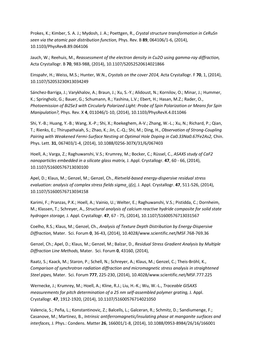Prokes, K.; Kimber, S. A. J.; Mydosh, J. A.; Poettgen, R., *Crystal structure transformation in CeRuSn seen via the atomic pair distribution function,* Phys. Rev. B **89**, 064106/1-6, (2014), 10.1103/PhysRevB.89.064106

Jauch, W.; Reehuis, M., *Reassessment of the electron density in Cu2O using gamma-ray diffraction,*  Acta Crystallogr. B **70**, 983-988, (2014), 10.1107/S2052520614021866

Einspahr, H.; Weiss, M.S.; Hunter, W.N., *Crystals on the cover 2014,* Acta Crystallogr. F **70**, 1, (2014), 10.1107/S2053230X13034249

Sánchez-Barriga, J.; Varykhalov, A.; Braun, J.; Xu, S.-Y.; Alidoust, N.; Kornilov, O.; Minar, J.; Hummer, K.; Springholz, G.; Bauer, G.; Schumann, R.; Yashina, L.V.; Ebert, H.; Hasan, M.Z.; Rader, O., *Photoemission of Bi2Se3 with Circularly Polarized Light: Probe of Spin Polarization or Means for Spin Manipulation?,* Phys. Rev. X **4**, 011046/1-10, (2014), 10.1103/PhysRevX.4.011046

Shi, Y.-B.; Huang, Y.-B.; Wang, X.-P.; Shi, X.; Roekeghem, A-V.; Zhang, W.-L.; Xu, N.; Richard, P.; Qian, T.; Rienks, E.; Thirupathaiah, S.; Zhao, K.; Jin, C.-Q.; Shi, M.; Ding, H., *Observation of Strong-Coupling Pairing with Weakened Fermi-Surface Nesting at Optimal Hole Doping in Ca0.33Na0.67Fe2As2,* Chin. Phys. Lett. **31**, 067403/1-4, (2014), 10.1088/0256-307X/31/6/067403

Hoell, A.; Varga, Z.; Raghuwanshi, V.S.; Krumrey, M.; Bocker, C.; Rüssel, C., *ASAXS study of CaF2 nanoparticles embedded in a silicate glass matrix,* J. Appl. Crystallogr. **47**, 60 - 66, (2014), 10.1107/S1600576713030100

Apel, D.; Klaus, M.; Genzel, M.; Genzel, Ch., *Rietveld-based energy-dispersive residual stress evaluation: analysis of complex stress fields sigma\_ij(z),* J. Appl. Crystallogr. **47**, 511-526, (2014), 10.1107/S1600576713034158

Karimi, F.; Pranzas, P.K.; Hoell, A.; Vainio, U.; Welter, E.; Raghuwanshi, V.S.; Pistidda, C.; Dornheim, M.; Klassen, T.; Schreyer, A., *Structural analysis of calcium reactive hydride composite for solid state hydrogen storage,* J. Appl. Crystallogr. **47**, 67 - 75, (2014), 10.1107/S1600576713031567

Coelho, R.S.; Klaus, M.; Genzel, Ch., *Analysis of Texture Depth Distribution by Energy-Dispersive Diffraction,* Mater. Sci. Forum **0**, 36-43, (2014), 10.4028/www.scientific.net/MSF.768-769.36

Genzel, Ch.; Apel, D.; Klaus, M.; Genzel, M.; Balzar, D., *Residual Stress Gradient Analysis by Multiple Diffraction Line Methods,* Mater. Sci. Forum **0**, 43160, (2014),

Raatz, S.; Kaack, M.; Staron, P.; Schell, N.; Schreyer, A.; Klaus, M.; Genzel, C.; Theis-Bröhl, K., *Comparison of synchrotron radiation diffraction and micromagnetic stress analysis in straightened Steel pipes,* Mater. Sci. Forum **777**, 225-230, (2014), 10.4028/www.scientific.net/MSF.777.225

Wernecke, J.; Krumrey, M.; Hoell, A.; Kline, R.J.; Liu, H.-K.; Wu, W.-L., *Traceable GISAXS measurements for pitch determination of a 25 nm self-assembled polymer grating,* J. Appl. Crystallogr. **47**, 1912-1920, (2014), 10.1107/S1600576714021050

Valencia, S.; Peña, L.; Konstantinovic, Z.; Balcells, L.; Galceran, R.; Schmitz, D.; Sandiumenge, F.; Casanove, M.; Martinez, B., *Intrinsic antiferromagnetic/insulating phase at manganite surfaces and interfaces,* J. Phys.: Condens. Matter **26**, 166001/1-8, (2014), 10.1088/0953-8984/26/16/166001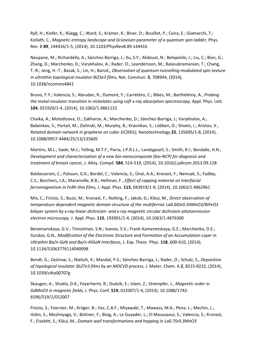Ryll, H.; Kiefer, K.; Rüegg, C.; Ward, S.; Krämer, K.; Biner, D.; Bouillot, P.; Coira, E.; Giamarchi, T.; Kollath, C., *Magnetic entropy landscape and Grüneisen parameter of a quantum spin ladder,* Phys. Rev. B **89**, 144416/1-5, (2014), 10.1103/PhysRevB.89.144416

Neupane, M.; Richardella, A.; Sánchez-Barriga, J.; Xu, S.Y.; Alidoust, N.; Belopolski, I.; Liu, C.; Bian, G.; Zhang, D.; Marchenko, D.; Varykhalov, A.; Rader, O.; Leandersson, M.; Balasubramanian, T.; Chang, T.-R.; Jeng, H.-T.; Basak, S.; Lin, H.; Bansil,, *Observation of quantum-tunnelling-modulated spin texture in ultrathin topological insulator Bi2Se3 films,* Nat. Commun. **5**, 708944, (2014), 10.1038/ncomms4841

Bruno, F.Y.; Valencia, S.; Abrudan, R.; Dumont, Y.; Carrétéro, C.; Bibes, M.; Barthélémy, A., *Probing the metal-insulator transition in nickelates using soft x-ray absorption spectroscopy,* Appl. Phys. Lett. **104**, 021920/1-4, (2014), 10.1063/1.4861132

Chaika, A.; Molodtsova, O.; Zakharov, A.; Marchenko, D.; Sánchez-Barriga, J.; Varykhalov, A.; Babenkov, S.; Portail, M.; Zielinski, M.; Murphy, B.; Krasnikov, S.; Lübben, O.; Shvets, I.; Aristov, V., *Rotated domain network in graphene on cubic-SiC(001),* Nanotechnology **25**, 135605/1-8, (2014), 10.1088/0957-4484/25/13/135605

Martins, M.L.; Saeki, M.J.; Telling, M.T.F.; Parra, J.P.R.L.L.; Landsgesell, S.; Smith, R.I.; Bordallo, H.N., *Development and characterization of a new bio-nanocomposite (bio-NCP) for diagnosis and treatment of breast cancer,* J. Alloy. Compd. **584**, 514-519, (2014), 10.1016/j.jallcom.2013.09.128

Baldasseroni, C.; Palsson, G.K.; Bordel, C.; Valencia, S.; Ünal, A.A.; Kronast, F.; Nemsak, S.; Fadley, C.S.; Borchers, J.A.; Maranville, B.B.; Hellman, F., *Effect of capping material on interfacial ferromagnetism in FeRh thin films,* J. Appl. Phys. **115**, 043919/1-9, (2014), 10.1063/1.4862961

Mix, C.; Finizio, S.; Buzzi, M.; Kronast, F.; Nolting, F.; Jakob, G.; Kläui, M., *Direct observation of temperature dependent magnetic domain structure of the multiferroic La0.66Sr0.34MnO3/BiFeO3 bilayer system by x-ray linear dichroism- and x-ray magnetic circular dichroism-photoemission electron microscopy,* J. Appl. Phys. **115**, 193901/1-4, (2014), 10.1063/1.4876300

Benemanskaya, G.V.; Timoshnev, S.N.; Ivanov, S.V.; Frank-Kamenetskaya, G.E.; Marchenko, D.E.; Iluridze, G.N., *Modification of the Electronic Structure and Formation of an Accumulation Layer in Ultrathin Ba/n-GaN and Ba/n-AlGaN Interfaces,* J. Exp. Theor. Phys. **118**, 600-610, (2014), 10.1134/S1063776114040098

Bendt, G.; Zastrow, S.; Nielsch, K.; Mandal, P.S.; Sánchez-Barriga, J.; Rader, O.; Schulz, S., *Deposition of topological insulator Sb2Te3 films by an MOCVD process,* J. Mater. Chem. A **2**, 8215-8222, (2014), 10.1039/c4ta00707g

Skaugen, A.; Shukla, D.K.; Feyerherm, R.; Dudzik, E.; Islam, Z.; Strempfer, J., *Magnetic order in GdMnO3 in magnetic fields,* J. Phys. Conf. **519**, 012007/1-4, (2014), 10.1088/1742- 6596/519/1/012007

Finizio, S.; Foerster, M.; Krüger, B.; Vaz, C.A.F.; Miyawaki, T.; Mawass, M.A.; Pena, L.; Mechin, L.; Hühn, S.; Moshnyaga, V.; Büttner, F.; Bisig, A.; Le Guyader, L.; El Moussaoui, S.; Valencia, S.; Kronast, F.; Eisebitt, S.; Kläui, M., *Domain wall transformations and hopping in La0.7Sr0.3MnO3*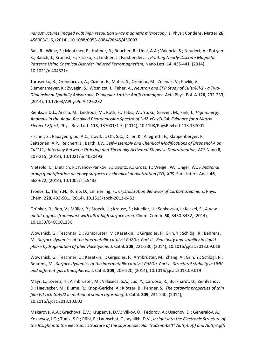*nanostructures imaged with high resolution x-ray magnetic microscopy,* J. Phys.: Condens. Matter **26**, 456003/1-6, (2014), 10.1088/0953-8984/26/45/456003

Bali, R.; Wintz, S.; Meutzner, F.; Hubner, R.; Boucher, R.; Ünal, A.A.; Valencia, S.; Neudert, A.; Potzger, K.; Bauch, J.; Kronast, F.; Facsko, S.; Lindner, J.; Fassbender, J., *Printing Nearly-Discrete Magnetic Patterns Using Chemical Disorder Induced Ferromagnetism,* Nano Lett. **14**, 435-441, (2014), 10.1021/nl404521c

Tarasenko, R.; Orendacova, A.; Cizmar, E.; Matas, S.; Orendac, M.; Zelenak, V.; Pavlik, V.; Siemensmeyer, K.; Zvyagin, S.; Wosnitza, J.; Feher, A., *Neutron and EPR Study of Cu(tn)Cl-2 - a Two-Dimensional Spatially Anisotropic Triangular-Lattice Antiferromagnet,* Acta Phys. Pol. A **126**, 232-233, (2014), 10.12693/APhysPolA.126.232

Rienks, E.D.L.; Ärrälä, M.; Lindroos, M.; Roth, F.; Tabis, W.; Yu, G.; Greven, M.; Fink, J., *High-Energy Anomaly in the Angle-Resolved Photoemission Spectra of Nd2-xCexCuO4: Evidence for a Matrix Element Effect,* Phys. Rev. Lett. **113**, 137001/1-5, (2014), 10.1103/PhysRevLett.113.137001

Fischer, S.; Papageorgiou, A.C.; Lloyd, J.; Oh, S.C.; Diller, K.; Allegretti, F.; Klappenberger, F.; Seitsonen, A.P.; Reichert, J.; Barth, J.V., *Self-Assembly and Chemical Modifications of Bisphenol A on Cu(111): Interplay Between Ordering and Thermally Activated Stepwise Deprotonation,* ACS Nano **8**, 207-215, (2014), 10.1021/nn4030493

Nietzold, C.; Dietrich, P.; Ivanov-Pankov, S.; Lippitz, A.; Gross, T.; Weigel, W.; Unger, W., *Functional group quantification on epoxy surfaces by chemical derivatization (CD)-XPS,* Surf. Interf. Anal. **46**, 668-672, (2014), 10.1002/sia.5433

Troebs, L.; Thi, Y.N.; Rump, D.; Emmerling, F., *Crystallization Behavior of Carbamazepine,* Z. Phys. Chem. **228**, 493-501, (2014), 10.1515/zpch-2013-0452

Grünker, R.; Bon, V.; Müller, P.; Stoeck, U.; Krause, S.; Mueller, U.; Senkovska, I.; Kaskel, S., *A new metal-organic framework with ultra-high surface area,* Chem. Comm. **50**, 3450-3452, (2014), 10.1039/C4CC00113C

Wowsnick, G.; Teschner, D.; Armbrüster, M.; Kasatkin, I.; Girgsdies, F.; Grin, Y.; Schlögl, R.; Behrens, M., *Surface dynamics of the intermetallic catalyst Pd2Ga, Part II - Reactivity and stability in liquidphase hydrogenation of phenylacetylene,* J. Catal. **309**, 221-230, (2014), 10.1016/j.jcat.2013.09.018

Wowsnick, G.; Teschner, D.; Kasatkin, I.; Girgsdies, F.; Armbrüster, M.; Zhang, A.; Grin, Y.; Schlögl, R.; Behrens, M., *Surface dynamics of the intermetallic catalyst Pd2Ga, Part i - Structural stability in UHV and different gas atmospheres,* J. Catal. **309**, 209-220, (2014), 10.1016/j.jcat.2013.09.019

Mayr, L.; Lorenz, H.; Armbrüster, M.; Villaseca, S.A.; Luo, Y.; Cardoso, R.; Burkhardt, U.; Zemlyanov, D.; Haevecker, M.; Blume, R.; Knop-Gericke, A.; Klötzer, B.; Penner, S., *The catalytic properties of thin film Pd-rich GaPd2 in methanol steam reforming,* J. Catal. **309**, 231-240, (2014), 10.1016/j.jcat.2013.10.002

Makarova, A.A.; Grachova, E.V.; Krupenya, D.V.; Vilkov, O.; Fedorov, A.; Usachov, D.; Generalov, A.; Koshevoy, I.O.; Tunik, S.P.; Rühl, E.; Laubschat, C.; Vyalikh, D.V., *Insight into the Electronic Structure of the Insight into the electronic structure of the supramolecular "rods-in-belt" Au(I)-Cu(I) and Au(I)-Ag(I)*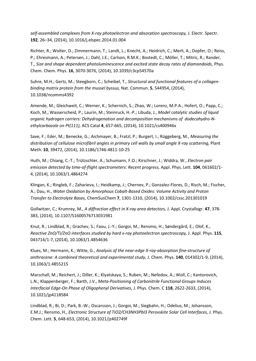*self-assembled complexes from X-ray photoelectron and absorption spectroscopy,* J. Electr. Spectr. **192**, 26–34, (2014), 10.1016/j.elspec.2014.01.004

Richter, R.; Wolter, D.; Zimmermann, T.; Landt, L.; Knecht, A.; Heidrich, C.; Merli, A.; Dopfer, O.; Reiss, P.; Ehresmann, A.; Petersen, J.; Dahl, J.E.; Carlson, R.M.K.; Bostedt, C.; Möller, T.; Mitric, R.; Rander, T., *Size and shape dependent photoluminescence and excited state decay rates of diamondoids,* Phys. Chem. Chem. Phys. **16**, 3070-3076, (2014), 10.1039/c3cp54570a

Suhre, M.H.; Gertz, M.; Steegborn, C.; Scheibel, T., *Structural and functional features of a collagenbinding matrix protein from the mussel byssus,* Nat. Commun. **5**, 544954, (2014), 10.1038/ncomms4392

Amende, M.; Gleichweit, C.; Werner, K.; Schernich, S.; Zhao, W.; Lorenz, M.P.A.; Hofert, O.; Papp, C.; Koch, M.; Wasserscheid, P.; Laurin, M.; Steinruck, H.-P.; Libuda, J., *Model catalytic studies of liquid organic hydrogen carriers: Dehydrogenation and decomposition mechanisms of dodecahydro-Nethylcarbazole on Pt(111),* ACS Catal **4**, 657-665, (2014), 10.1021/cs400946x

Saxe, F.; Eder, M.; Benecke, G.; Aichmayer, B.; Fratzl, P.; Burgert, I.; Rüggeberg, M., *Measuring the distribution of cellulose microfibril angles in primary cell walls by small angle X-ray scattering,* Plant Meth. **10**, 39472, (2014), 10.1186/1746-4811-10-25

Huth, M.; Chiang, C.-T.; Trützschler, A.; Schumann, F.O.; Kirschner, J.; Widdra, W., *Electron pair emission detected by time-of-flight spectrometers: Recent progress,* Appl. Phys. Lett. **104**, 061602/1- 4, (2014), 10.1063/1.4864274

Klingan, K.; Ringleb, F.; Zaharieva, I.; Heidkamp, J.; Chernev, P.; Gonzalez-Flores, D.; Risch, M.; Fischer, A.; Dau, H., *Water Oxidation by Amorphous Cobalt-Based Oxides: Volume Activity and Proton Transfer to Electrolyte Bases,* ChemSusChem **7**, 1301-1310, (2014), 10.1002/cssc.201301019

Gollwitzer, C.; Krumrey, M., *A diffraction effect in X-ray area detectors,* J. Appl. Crystallogr. **47**, 378- 383, (2014), 10.1107/S1600576713031981

Knut, R.; Lindblad, R.; Grachev, S.; Faou, J.-Y.; Gorgoi, M.; Rensmo, H.; Søndergård, E.; Olof, K., *Reactive ZnO/Ti/ZnO interfaces studied by hard x-ray photoelectron spectroscopy,* J. Appl. Phys. **115**, 043714/1-7, (2014), 10.1063/1.4854636

Klues, M.; Hermann, K.; Witte, G., *Analysis of the near-edge X-ray-absorption fine-structure of anthracene: A combined theoretical and experimental study,* J. Chem. Phys. **140**, 014302/1-9, (2014), 10.1063/1.4855215

Marschall, M.; Reichert, J.; Diller, K.; Klyatskaya, S.; Ruben, M.; Nefedov, A.; Woll, C.; Kantorovich, L.N.; Klappenberger, F.; Barth, J.V., *Meta-Positioning of Carbonitrile Functional Groups Induces Interfacial Edge-On Phase of Oligophenyl Derivatives,* J. Phys. Chem. C **118**, 2622-2633, (2014), 10.1021/jp4118584

Lindblad, R.; Bi, D.; Park, B.-W.; Oscarsson, J.; Gorgoi, M.; Siegbahn, H.; Odelius, M.; Johansson, E.M.J.; Rensmo, H., *Electronic Structure of TiO2/CH3NH3PbI3 Perovskite Solar Cell Interfaces,* J. Phys. Chem. Lett. **5**, 648-653, (2014), 10.1021/jz402749f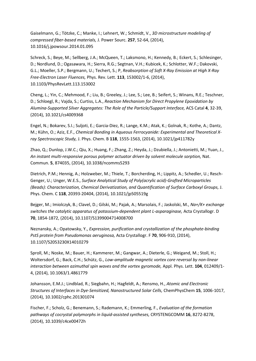Gaiselmann, G.; Tötzke, C.; Manke, I.; Lehnert, W.; Schmidt, V., *3D microstructure modeling of compressed fiber-based materials,* J. Power Sourc. **257**, 52-64, (2014), 10.1016/j.jpowsour.2014.01.095

Schreck, S.; Beye, M.; Sellberg, J.A.; McQueen, T.; Laksmono, H.; Kennedy, B.; Eckert, S.; Schlesinger, D.; Nordlund, D.; Ogasawara, H.; Sierra, R.G.; Segtnan, V.H.; Kubicek, K.; Schlotter, W.F.; Dakovski, G.L.; Moeller, S.P.; Bergmann, U.; Techert, S.; P, *Reabsorption of Soft X-Ray Emission at High X-Ray Free-Electron Laser Fluences,* Phys. Rev. Lett. **113**, 153002/1-6, (2014), 10.1103/PhysRevLett.113.153002

Cheng, L.; Yin, C.; Mehmood, F.; Liu, B.; Greeley, J.; Lee, S.; Lee, B.; Seifert, S.; Winans, R.E.; Teschner, D.; Schloegl, R.; Vajda, S.; Curtiss, L.A., *Reaction Mechanism for Direct Propylene Epoxidation by Alumina-Supported Silver Aggregates: The Role of the Particle/Support Interface,* ACS Catal **4**, 32-39, (2014), 10.1021/cs4009368

Engel, N.; Bokarev, S.I.; Suljoti, E.; Garcia-Diez, R.; Lange, K.M.; Atak, K.; Golnak, R.; Kothe, A.; Dantz, M.; Kühn, O.; Aziz, E.F., *Chemical Bonding in Aqueous Ferrocyanide: Experimental and Theoretical Xray Spectroscopic Study,* J. Phys. Chem. B **118**, 1555-1563, (2014), 10.1021/jp411782y

Zhao, Q.; Dunlop, J.W.C.; Qiu, X.; Huang, F.; Zhang, Z.; Heyda, J.; Dzubiella, J.; Antonietti, M.; Yuan, J., *An instant multi-responsive porous polymer actuator driven by solvent molecule sorption,* Nat. Commun. **5**, 874035, (2014), 10.1038/ncomms5293

Dietrich, P.M.; Hennig, A.; Holzweber, M.; Thiele, T.; Borcherding, H.; Lippitz, A.; Schedler, U.; Resch-Genger, U.; Unger, W.E.S., *Surface Analytical Study of Poly(acrylic acid)-Grafted Microparticles (Beads): Characterization, Chemical Derivatization, and Quantification of Surface Carboxyl Groups,* J. Phys. Chem. C **118**, 20393-20404, (2014), 10.1021/jp505519g

Bejger, M.; Imiolczyk, B.; Clavel, D.; Gilski, M.; Pajak, A.; Marsolais, F.; Jaskolski, M., *Na+/K+ exchange switches the catalytic apparatus of potassium-dependent plant L-asparaginase,* Acta Crystallogr. D **70**, 1854-1872, (2014), 10.1107/S1399004714008700

Neznansky, A.; Opatowsky, Y., *Expression, purification and crystallization of the phosphate-binding PstS protein from Pseudomonas aeruginosa,* Acta Crystallogr. F **70**, 906-910, (2014), 10.1107/S2053230X14010279

Sproll, M.; Noske, M.; Bauer, H.; Kammerer, M.; Gangwar, A.; Dieterle, G.; Weigand, M.; Stoll, H.; Woltersdorf, G.; Back, C.H.; Schütz, G., *Low-amplitude magnetic vortex core reversal by non-linear interaction between azimuthal spin waves and the vortex gyromode,* Appl. Phys. Lett. **104**, 012409/1- 4, (2014), 10.1063/1.4861779

Johansson, E.M.J.; Lindblad, R.; Siegbahn, H.; Hagfeldt, A.; Rensmo, H., *Atomic and Electronic Structures of Interfaces in Dye-Sensitized, Nanostructured Solar Cells,* ChemPhysChem **15**, 1006-1017, (2014), 10.1002/cphc.201301074

Fischer, F.; Scholz, G.; Benemann, S.; Rademann, K.; Emmerling, F., *Evaluation of the formation pathways of cocrystal polymorphs in liquid-assisted syntheses,* CRYSTENGCOMM **16**, 8272-8278, (2014), 10.1039/c4ce00472h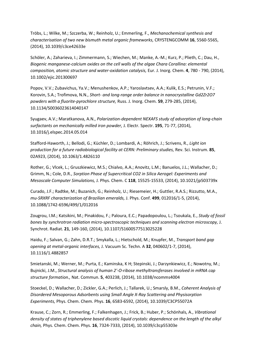Tröbs, L.; Wilke, M.; Szczerba, W.; Reinholz, U.; Emmerling, F., *Mechanochemical synthesis and characterisation of two new bismuth metal organic frameworks,* CRYSTENGCOMM **16**, 5560-5565, (2014), 10.1039/c3ce42633e

Schöler, A.; Zaharieva, I.; Zimmermann, S.; Wiechen, M.; Manke, A.-M.; Kurz, P.; Plieth, C.; Dau, H., *Biogenic manganese-calcium oxides on the cell walls of the algae Chara Corallina: elemental composition, atomic structure and water-oxidation catalysis,* Eur. J. Inorg. Chem. **4**, 780 - 790, (2014), 10.1002/ejic.201300697

Popov, V.V.; Zubavichus, Ya.V.; Menushenkov, A.P.; Yaroslavtsev, A.A.; Kulik, E.S.; Petrunin, V.F.; Korovin, S.A.; Trofimova, N.N., *Short- and long-range order balance in nanocrystalline Gd2Zr2O7 powders with a fluorite-pyrochlore structure,* Russ. J. Inorg. Chem. **59**, 279-285, (2014), 10.1134/S0036023614040147

Syugaev, A.V.; Maratkanova, A.N., *Polarization-dependent NEXAFS study of adsorption of long-chain surfactants on mechanically milled iron powder,* J. Electr. Spectr. **195**, 71-77, (2014), 10.1016/j.elspec.2014.05.014

Stafford-Haworth, J.; Bellodi, G.; Küchler, D.; Lombardi, A.; Röhrich, J.; Scrivens, R., *Light ion production for a future radiobiological facility at CERN: Preliminary studies,* Rev. Sci. Instrum. **85**, 02A923, (2014), 10.1063/1.4826110

Rother, G.; Vlcek, L.; Gruszkiewicz, M.S.; Chialvo, A.A.; Anovitz, L.M.; Banuelos, J.L.; Wallacher, D.; Grimm, N.; Cole, D.R., *Sorption Phase of Supercritical CO2 in Silica Aerogel: Experiments and Mesoscale Computer Simulations,* J. Phys. Chem. C **118**, 15525-15533, (2014), 10.1021/jp503739x

Curado, J.F.; Radtke, M.; Buzanich, G.; Reinholz, U.; Riesemeier, H.; Guttler, R.A.S.; Rizzutto, M.A., *mu-SRXRF characterization of Brazilian emeralds,* J. Phys. Conf. **499**, 012016/1-5, (2014), 10.1088/1742-6596/499/1/012016

Zougrou, I.M.; Katsikini, M.; Pinakidou, F.; Paloura, E.C.; Papadopoulou, L.; Tsoukala, E., *Study of fossil bones by synchrotron radiation micro-spectroscopic techniques and scanning electron microscopy,* J. Synchrot. Radiat. **21**, 149-160, (2014), 10.1107/S1600577513025228

Haidu, F.; Salvan, G.; Zahn, D.R.T.; Smykalla, L.; Hietschold, M.; Knupfer, M., *Transport band gap opening at metal-organic interfaces,* J. Vacuum Sc. Techn. A **32**, 040602/1-7, (2014), 10.1116/1.4882857

Smietanski, M.; Werner, M.; Purta, E.; Kaminska, K H; Stepinski, J.; Darzynkiewicz, E.; Nowotny, M.; Bujnicki, J.M., *Structural analysis of human 2'-O-ribose methyltransferases involved in mRNA cap structure formation.,* Nat. Commun. **5**, 403238, (2014), 10.1038/ncomms4004

Stoeckel, D.; Wallacher, D.; Zickler, G.A.; Perlich, J.; Tallarek, U.; Smarsly, B.M., *Coherent Analysis of Disordered Mesoporous Adsorbents using Small Angle X-Ray Scattering and Physisorption Experiments,* Phys. Chem. Chem. Phys. **16**, 6583-6592, (2014), 10.1039/C3CP55072A

Krause, C.; Zorn, R.; Emmerling, F.; Falkenhagen, J.; Frick, B.; Huber, P.; Schönhals, A., *Vibrational density of states of triphenylene based discotic liquid crystals: dependence on the length of the alkyl chain,* Phys. Chem. Chem. Phys. **16**, 7324-7333, (2014), 10.1039/c3cp55303e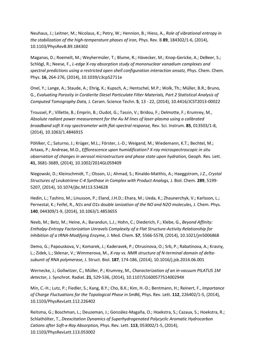Neuhaus, J.; Leitner, M.; Nicolaus, K.; Petry, W.; Hennion, B.; Hiess, A., *Role of vibrational entropy in the stabilization of the high-temperature phases of iron,* Phys. Rev. B **89**, 184302/1-6, (2014), 10.1103/PhysRevB.89.184302

Maganas, D.; Roemelt, M.; Weyhermüler, T.; Blume, R.; Hävecker, M.; Knop-Gericke, A.; DeBeer, S.; Schlögl, R.; Neese, F., *L-edge X-ray absorption study of mononuclear vanadium complexes and*  spectral predictions using a restricted open shell configuration interaction ansatz, Phys. Chem. Chem. Phys. **16**, 264-276, (2014), 10.1039/c3cp52711e

Onel, Y.; Lange, A.; Staude, A.; Ehrig, K.; Kupsch, A.; Hentschel, M.P.; Wolk, Th.; Müller, B.R.; Bruno, G., *Evaluating Porosity in Cordierite Diesel Particulate Filter Materials, Part 2 Statistical Analysis of Computed Tomography Data,* J. Ceram. Science Techn. **5**, 13 - 22, (2014), 10.4416/JCST2013-00022

Troussel, P.; Villette, B.; Emprin, B.; Oudot, G.; Tassin, V.; Bridou, F.; Delmotte, F.; Krumrey, M., *Absolute radiant power measurement for the Au M lines of laser-plasma using a calibrated broadband soft X-ray spectrometer with flat-spectral response,* Rev. Sci. Instrum. **85**, 013503/1-8, (2014), 10.1063/1.4846915

Pöhlker, C.; Saturno, J.; Krüger, M.L.; Förster, J.-D.; Weigand, M.; Wiedemann, K.T.; Bechtel, M.; Artaxo, P.; Andreae, M.O., *Efflorescence upon humidification? X-ray microspectroscopic in situ observation of changes in aerosol microstructure and phase state upon hydration,* Geoph. Res. Lett. **41**, 3681-3689, (2014), 10.1002/2014GL059409

Niegowski, D.; Kleinschmidt, T.; Olsson, U.; Ahmad, S.; Rinaldo-Matthis, A.; Haeggstrom, J.Z., *Crystal Structures of Leukotriene C-4 Synthase in Complex with Product Analogs,* J. Biol. Chem. **289**, 5199- 5207, (2014), 10.1074/jbc.M113.534628

Hedin, L.; Tashiro, M.; Linusson, P.; Eland, J.H.D.; Ehara, M.; Ueda, K.; Zhaunerchyk, V.; Karlsson, L.; Pernestal, K.; Feifel, R., *N1s and O1s double ionization of the NO and N2O molecules,* J. Chem. Phys. **140**, 044309/1-9, (2014), 10.1063/1.4853655

Neeb, M.; Betz, M.; Heine, A.; Barandun, L.J.; Hohn, C.; Diederich, F.; Klebe, G., *Beyond Affinity: Enthalpy-Entropy Factorization Unravels Complexity of a Flat Structure-Activity Relationship for Inhibition of a tRNA-Modifying Enzyme,* J. Med. Chem. **57**, 5566-5578, (2014), 10.1021/jm5006868

Demo, G.; Papouskova, V.; Komarek, J.; Kaderavek, P.; Otrusinova, O.; Srb, P.; Rabatinova, A.; Krasny, L.; Zidek, L.; Sklenar, V.; Wimmerova, M., *X-ray vs. NMR structure of N-terminal domain of deltasubunit of RNA polymerase,* J. Struct. Biol. **187**, 174-186, (2014), 10.1016/j.jsb.2014.06.001

Wernecke, J.; Gollwitzer, C.; Müller, P.; Krumrey, M., *Characterization of an in-vacuum PILATUS 1M detector,* J. Synchrot. Radiat. **21**, 529-536, (2014), 10.1107/S160057751400294X

Min, C.-H.; Lutz, P.; Fiedler, S.; Kang, B.Y.; Cho, B.K.; Kim, H.-D.; Bentmann, H.; Reinert, F., *Importance of Charge Fluctuations for the Topological Phase in SmB6,* Phys. Rev. Lett. **112**, 226402/1-5, (2014), 10.1103/PhysRevLett.112.226402

Reitsma, G.; Boschman, L.; Deuzeman, J.; González-Magaña, O.; Hoekstra, S.; Cazaux, S.; Hoekstra, R.; Schlathölter, T., *Deexcitation Dynamics of Superhydrogenated Polycyclic Aromatic Hydrocarbon Cations after Soft-x-Ray Absorption,* Phys. Rev. Lett. **113**, 053002/1-5, (2014), 10.1103/PhysRevLett.113.053002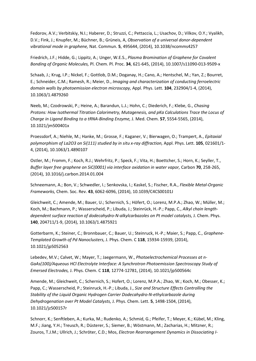Fedorov, A.V.; Verbitskiy, N.I.; Haberer, D.; Struzzi, C.; Pettaccia, L.; Usachov, D.; Vilkov, O.Y.; Vyalikh, D.V.; Fink, J.; Knupfer, M.; Büchner, B.; Grüneis, A, *Observation of a universal donor-dependent vibrational mode in graphene,* Nat. Commun. **5**, 495644, (2014), 10.1038/ncomms4257

Friedrich, J.F.; Hidde, G.; Lippitz, A.; Unger, W.E.S., *Plasma Bromination of Graphene for Covalent Bonding of Organic Molecules,* Pl. Chem. Pl. Proc. **34**, 621-645, (2014), 10.1007/s11090-013-9509-x

Schaab, J.; Krug, I.P.; Nickel, F.; Gottlob, D.M.; Doganay, H.; Cano, A.; Hentschel, M.; Yan, Z.; Bourret, E.; Schneider, C.M.; Ramesh, R.; Meier, D., *Imaging and characterization of conducting ferroelectric domain walls by photoemission electron microscopy,* Appl. Phys. Lett. **104**, 232904/1-4, (2014), 10.1063/1.4879260

Neeb, M.; Czodrowski, P.; Heine, A.; Barandun, L.J.; Hohn, C.; Diederich, F.; Klebe, G., *Chasing Protons: How Isothermal Titration Calorimetry, Mutagenesis, and pKa Calculations Trace the Locus of Charge in Ligand Binding to a tRNA-Binding Enzyme,* J. Med. Chem. **57**, 5554-5565, (2014), 10.1021/jm500401x

Proessdorf, A.; Niehle, M.; Hanke, M.; Grosse, F.; Kaganer, V.; Bierwagen, O.; Trampert, A., *Epitaxial polymorphism of La2O3 on Si(111) studied by in situ x-ray diffraction,* Appl. Phys. Lett. **105**, 021601/1- 4, (2014), 10.1063/1.4890107

Ostler, M.; Fromm, F.; Koch, R.J.; Wehrfritz, P.; Speck, F.; Vita, H.; Boettcher, S.; Horn, K.; Seyller, T., *Buffer layer free graphene on SiC(0001) via interface oxidation in water vapor, Carbon 70, 258-265,* (2014), 10.1016/j.carbon.2014.01.004

Schneemann, A.; Bon, V.; Schwedler, I.; Senkovska, I.; Kaskel, S.; Fischer, R.A., *Flexible Metal-Organic Frameworks,* Chem. Soc. Rev. **43**, 6062-6096, (2014), 10.1039/C4CS00101J

Gleichweit, C.; Amende, M.; Bauer, U.; Schernich, S.; Höfert, O.; Lorenz, M.P.A.; Zhao, W.; Müller, M.; Koch, M.; Bachmann, P.; Wasserscheid, P.; Libuda, J.; Steinrück, H.-P.; Papp, C., *Alkyl chain length*dependent surface reaction of dodecahydro-N-alkylcarbazoles on Pt model catalysts, J. Chem. Phys. **140**, 204711/1-9, (2014), 10.1063/1.4875921

Gotterbarm, K.; Steiner, C.; Bronnbauer, C.; Bauer, U.; Steinruck, H.-P.; Maier, S.; Papp, C., *Graphene-Templated Growth of Pd Nanoclusters,* J. Phys. Chem. C **118**, 15934-15939, (2014), 10.1021/jp5052563

Lebedev, M.V.; Calvet, W.; Mayer, T.; Jaegermann, W., *Photoelectrochemical Processes at n-GaAs(100)/Aqueous HCl Electrolyte Interface: A Synchrotron Photoemission Spectroscopy Study of Emersed Electrodes,* J. Phys. Chem. C **118**, 12774-12781, (2014), 10.1021/jp500564c

Amende, M.; Gleichweit, C.; Schernich, S.; Hofert, O.; Lorenz, M.P.A.; Zhao, W.; Koch, M.; Obesser, K.; Papp, C.; Wasserscheid, P.; Steinruck, H.-P.; Libuda, J., *Size and Structure Effects Controlling the Stability of the Liquid Organic Hydrogen Carrier Dodecahydro-N-ethylcarbazole during Dehydrogenation over Pt Model Catalysts,* J. Phys. Chem. Lett. **5**, 1498-1504, (2014), 10.1021/jz500157r

Schnorr, K.; Senftleben, A.; Kurka, M.; Rudenko, A.; Schmid, G.; Pfeifer, T.; Meyer, K.; Kübel, M.; Kling, M.F.; Jiang, Y.H.; Treusch, R.; Düsterer, S.; Siemer, B.; Wöstmann, M.; Zacharias, H.; Mitzner, R.; Zouros, T.J.M.; Ullrich, J.; Schröter, C.D.; Mos, *Electron Rearrangement Dynamics in Dissociating I-*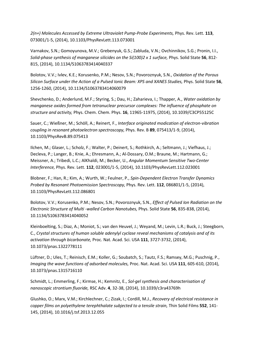*2(n+) Molecules Accessed by Extreme Ultraviolet Pump-Probe Experiments,* Phys. Rev. Lett. **113**, 073001/1-5, (2014), 10.1103/PhysRevLett.113.073001

Varnakov, S.N.; Gomoyunova, M.V.; Grebenyuk, G.S.; Zabluda, V.N.; Ovchinnikov, S.G.; Pronin, I.I., *Solid-phase synthesis of manganese silicides on the Si(100)2 x 1 surface,* Phys. Solid State **56**, 812- 815, (2014), 10.1134/S1063783414040337

Bolotov, V.V.; Ivlev, K.E.; Korusenko, P.M.; Nesov, S.N.; Povoroznyuk, S.N., *Oxidation of the Porous Silicon Surface under the Action of a Pulsed Ionic Beam: XPS and XANES Studies,* Phys. Solid State **56**, 1256-1260, (2014), 10.1134/S1063783414060079

Shevchenko, D.; Anderlund, M.F.; Styring, S.; Dau, H.; Zaharieva, I.; Thapper, A., *Water oxidation by manganese oxides formed from tetranuclear precursor complexes: The influence of phosphate on structure and activity,* Phys. Chem. Chem. Phys. **16**, 11965-11975, (2014), 10.1039/C3CP55125C

Sauer, C.; Wießner, M.; Schöll, A.; Reinert, F., *Interface originated modication of electron-vibration coupling in resonant photoelectron spectroscopy,* Phys. Rev. B **89**, 075413/1-9, (2014), 10.1103/PhysRevB.89.075413

Ilchen, M.; Glaser, L.; Scholz, F.; Walter, P.; Deinert, S.; Rothkirch, A.; Seltmann, J.; Viefhaus, J.; Decleva, P.; Langer, B.; Knie, A.; Ehresmann, A.; Al-Dossary, O.M.; Braune, M.; Hartmann, G.; Meissner, A.; Tribedi, L.C.; AlKhaldi, M.; Becker, U., *Angular Momentum Sensitive Two-Center Interference,* Phys. Rev. Lett. **112**, 023001/1-5, (2014), 10.1103/PhysRevLett.112.023001

Blobner, F.; Han, R.; Kim, A.; Wurth, W.; Feulner, P., *Spin-Dependent Electron Transfer Dynamics Probed by Resonant Photoemission Spectroscopy,* Phys. Rev. Lett. **112**, 086801/1-5, (2014), 10.1103/PhysRevLett.112.086801

Bolotov, V.V.; Korusenko, P.M.; Nesov, S.N.; Povoroznyuk, S.N., *Effect of Pulsed Ion Radiation on the Electronic Structure of Multi -walled Carbon Nanotubes,* Phys. Solid State **56**, 835-838, (2014), 10.1134/S1063783414040052

Kleinboelting, S.; Diaz, A.; Moniot, S.; van den Heuvel, J.; Weyand, M.; Levin, L.R.; Buck, J.; Steegborn, C., *Crystal structures of human soluble adenylyl cyclase reveal mechanisms of catalysis and of its activation through bicarbonate,* Proc. Nat. Acad. Sci. USA **111**, 3727-3732, (2014), 10.1073/pnas.1322778111

Lüftner, D.; Ules, T.; Reinisch, E.M.; Koller, G.; Soubatch, S.; Tautz, F.S.; Ramsey, M.G.; Puschnig, P., *Imaging the wave functions of adsorbed molecules,* Proc. Nat. Acad. Sci. USA **111**, 605-610, (2014), 10.1073/pnas.1315716110

Schmidt, L.; Emmerling, F.; Kirmse, H.; Kemnitz, E., *Sol-gel synthesis and characterisation of nanoscopic strontium fluoride,* RSC Adv. **4**, 32-38, (2014), 10.1039/c3ra43769h

Glushko, O.; Marx, V.M.; Kirchlechner, C.; Zizak, I.; Cordill, M.J., *Recovery of electrical resistance in copper films on polyethylene terephthalate subjected to a tensile strain,* Thin Solid Films **552**, 141- 145, (2014), 10.1016/j.tsf.2013.12.055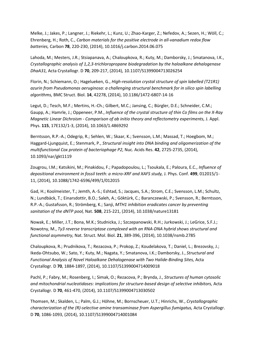Melke, J.; Jakes, P.; Langner, J.; Riekehr, L.; Kunz, U.; Zhao-Karger, Z.; Nefedov, A.; Sezen, H.; Wöll, C.; Ehrenberg, H.; Roth, C., *Carbon materials for the positive electrode in all-vanadium redox flow batteries,* Carbon **78**, 220-230, (2014), 10.1016/j.carbon.2014.06.075

Lahoda, M.; Mesters, J.R.; Stsiapanava, A.; Chaloupkova, R.; Kuty, M.; Damborsky, J.; Smatanova, I.K., *Crystallographic analysis of 1,2,3-trichloropropane biodegradation by the haloalkane dehalogenase DhaA31,* Acta Crystallogr. D **70**, 209-217, (2014), 10.1107/S1399004713026254

Florin, N.; Schiemann, O.; Hagelueken, G., *High-resolution crystal structure of spin labelled (T21R1) azurin from Pseudomonas aeruginosa: a challenging structural benchmark for in silico spin labelling algorithms,* BMC Struct. Biol. **14**, 42278, (2014), 10.1186/1472-6807-14-16

Legut, D.; Tesch, M.F.; Mertins, H.-Ch.; Gilbert, M.C.; Jansing, C.; Bürgler, D.E.; Schneider, C.M.; Gaupp, A.; Hamrle, J.; Oppeneer, P.M., *Influence of the crystal structure of thin Co films on the X-Ray Magnetic Linear Dichroism - Comparison of ab initio theory and reflectometry experiments,* J. Appl. Phys. **115**, 17E132/1-3, (2014), 10.1063/1.4869292

Berntsson, R.P.-A.; Odegrip, R.; Sehlen, W.; Skaar, K.; Svensson, L.M.; Massad, T.; Hoegbom, M.; Haggard-Ljungquist, E.; Stenmark, P., *Structural insight into DNA binding and oligomerization of the multifunctional Cox protein of bacteriophage P2,* Nuc. Acids Res. **42**, 2725-2735, (2014), 10.1093/nar/gkt1119

Zougrou, I.M.; Katsikini, M.; Pinakidou, F.; Papadopoulou, L.; Tsoukala, E.; Paloura, E.C., *Influence of depositional environment in fossil teeth: a micro-XRF and XAFS study,* J. Phys. Conf. **499**, 012015/1- 11, (2014), 10.1088/1742-6596/499/1/012015

Gad, H.; Koolmeister, T.; Jemth, A.-S.; Eshtad, S.; Jacques, S.A.; Strom, C.E.; Svensson, L.M.; Schultz, N.; Lundbäck, T.; Einarsdottir, B.O.; Saleh, A.; Göktürk, C.; Baranczewski, P.; Svensson, R.; Berntsson, R.P.-A.; Gustafsson, R.; Strömberg, K.; Sanji, *MTH1 inhibition eradicates cancer by preventing sanitation of the dNTP pool,* Nat. **508**, 215-221, (2014), 10.1038/nature13181

Nowak, E.; Miller, J.T.; Bona, M.K.; Studnicka, J.; Szczepanowski, R.H.; Jurkowski, J.; LeGrice, S.F.J.; Nowotny, M., *Ty3 reverse transcriptase complexed with an RNA-DNA hybrid shows structural and functional asymmetry,* Nat. Struct. Mol. Biol. **21**, 389-396, (2014), 10.1038/nsmb.2785

Chaloupkova, R.; Prudnikova, T.; Rezacova, P.; Prokop, Z.; Koudelakova, T.; Daniel, L.; Brezovsky, J.; Ikeda-Ohtsubo, W.; Sato, Y.; Kuty, M.; Nagata, Y.; Smatanova, I.K.; Damborsky, J., *Structural and Functional Analysis of Novel Haloalkane Dehalogenase with Two Halide-Binding Sites,* Acta Crystallogr. D **70**, 1884-1897, (2014), 10.1107/S1399004714009018

Pachl, P.; Fabry, M.; Rosenberg, I.; Simak, O.; Rezacova, P.; Brynda, J., *Structures of human cytosolic and mitochondrial nucleotidases: implications for structure-based design of selective inhibitors,* Acta Crystallogr. D **70**, 461-470, (2014), 10.1107/S1399004713030502

Thomsen, M.; Skalden, L.; Palm, G.J.; Höhne, M.; Bornscheuer, U.T.; Hinrichs, W., *Crystallographic characterization of the (R)-selective amine transaminase from Aspergillus fumigatus,* Acta Crystallogr. D **70**, 1086-1093, (2014), 10.1107/S1399004714001084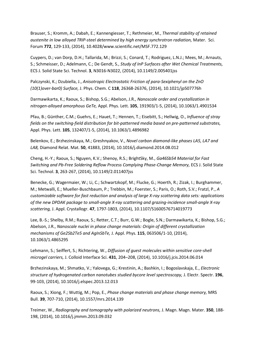Brauser, S.; Kromm, A.; Dabah, E.; Kannengiesser, T.; Rethmeier, M., *Thermal stability of retained austenite in low alloyed TRIP-steel determined by high energy synchrotron radiation,* Mater. Sci. Forum **772**, 129-133, (2014), 10.4028/www.scientific.net/MSF.772.129

Cuypers, D.; van Dorp, D.H.; Tallarida, M.; Brizzi, S.; Conard, T.; Rodriguez, L.N.J.; Mees, M.; Arnauts, S.; Schmeisser, D.; Adelmann, C.; De Gendt, S., *Study of InP Surfaces after Wet Chemical Treatments,*  ECS J. Solid State Sci. Technol. **3**, N3016-N3022, (2014), 10.1149/2.005401jss

Palczynski, K.; Dzubiella, J., *Anisotropic Electrostatic Friction of para-Sexiphenyl on the ZnO (10(1)over-bar0) Surface,* J. Phys. Chem. C **118**, 26368-26376, (2014), 10.1021/jp507776h

Darmawikarta, K.; Raoux, S.; Bishop, S.G.; Abelson, J.R., *Nanoscale order and crystallization in nitrogen-alloyed amorphous GeTe,* Appl. Phys. Lett. **105**, 191903/1-5, (2014), 10.1063/1.4901534

Pfau, B.; Günther, C.M.; Guehrs, E.; Hauet, T.; Hennen, T.; Eisebitt, S.; Hellwig, O., *Influence of stray fields on the switching-field distribution for bit-patterned media based on pre-patterned substrates,*  Appl. Phys. Lett. **105**, 132407/1-5, (2014), 10.1063/1.4896982

Belenkov, E.; Brzhezinskaya, M.; Greshnyakov, V., *Novel carbon diamond-like phases LA5, LA7 and LA8,* Diamond Relat. Mat. **50**, 41883, (2014), 10.1016/j.diamond.2014.08.012

Cheng, H.-Y.; Raoux, S.; Nguyen, K.V.; Shenoy, R.S.; BrightSky, M., *Ga46Sb54 Material for Fast Switching and Pb-Free Soldering Reflow Process Complying Phase-Change Memory,* ECS J. Solid State Sci. Technol. **3**, 263-267, (2014), 10.1149/2.011407jss

Benecke, G.; Wagermaier, W.; Li, C.; Schwartzkopf, M.; Flucke, G.; Hoerth, R.; Zizak, I.; Burghammer, M.; Metwalli, E.; Mueller-Buschbaum, P.; Trebbin, M.; Foerster, S.; Paris, O.; Roth, S.V.; Fratzl, P., *A customizable software for fast reduction and analysis of large X-ray scattering data sets: applications of the new DPDAK package to small-angle X-ray scattering and grazing-incidence small-angle X-ray scattering,* J. Appl. Crystallogr. **47**, 1797-1803, (2014), 10.1107/S1600576714019773

Lee, B.-S.; Shelby, R.M.; Raoux, S.; Retter, C.T.; Burr, G.W.; Bogle, S.N.; Darmawikarta, K.; Bishop, S.G.; Abelson, J.R., *Nanoscale nuclei in phase change materials: Origin of different crystallization mechanisms of Ge2Sb2Te5 and AgInSbTe,* J. Appl. Phys. **115**, 063506/1-10, (2014), 10.1063/1.4865295

Lehmann, S.; Seiffert, S.; Richtering, W., *Diffusion of guest molecules within sensitive core-shell microgel carriers,* J. Colloid Interface Sci. **431**, 204–208, (2014), 10.1016/j.jcis.2014.06.014

Brzhezinskaya, M.; Shmatko, V.; Yalovega, G.; Krestinin, A.; Bashkin, I.; Bogoslavskaja, E., *Electronic structure of hydrogenated carbon nanotubes studied bycore level spectroscopy,* J. Electr. Spectr. **196**, 99-103, (2014), 10.1016/j.elspec.2013.12.013

Raoux, S.; Xiong, F.; Wuttig, M.; Pop, E., *Phase change materials and phase change memory,* MRS Bull. **39**, 707-710, (2014), 10.1557/mrs.2014.139

Treimer, W., *Radiography and tomography with polarized neutrons,* J. Magn. Magn. Mater. **350**, 188- 198, (2014), 10.1016/j.jmmm.2013.09.032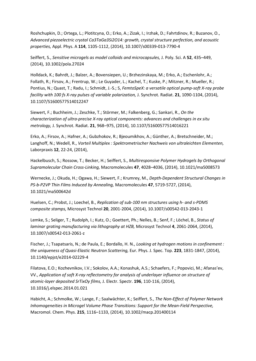Roshchupkin, D.; Ortega, L.; Plotitcyna, O.; Erko, A.; Zizak, I.; Irzhak, D.; Fahrtdinov, R.; Buzanov, O., *Advanced piezoelectric crystal Ca3TaGa3Si2O14: growth, crystal structure perfection, and acoustic properties,* Appl. Phys. A **114**, 1105-1112, (2014), 10.1007/s00339-013-7790-4

Seiffert, S., *Sensitive microgels as model colloids and microcapsules,* J. Poly. Sci. A **52**, 435–449, (2014), 10.1002/pola.27024

Holldack, K.; Bahrdt, J.; Balzer, A.; Bovensiepen, U.; Brzhezinskaya, M.; Erko, A.; Eschenlohr, A.; Follath, R.; Firsov, A.; Frentrup, W.; Le Guyader, L.; Kachel, T.; Kuske, P.; Mitzner, R.; Mueller, R.; Pontius, N.; Quast, T.; Radu, I.; Schmidt, J.-S.; S, *FemtoSpeX: a versatile optical pump-soft X-ray probe facility with 100 fs X-ray pulses of variable polarization,* J. Synchrot. Radiat. **21**, 1090-1104, (2014), 10.1107/S1600577514012247

Siewert, F.; Buchheim, J.; Zeschke, T.; Störmer, M.; Falkenberg, G.; Sankari, R., *On the characterization of ultra-precise X-ray optical components: advances and challenges in ex situ metrology,* J. Synchrot. Radiat. **21**, 968–975, (2014), 10.1107/S1600577514016221

Erko, A.; Firsov, A.; Hafner, A.; Gubzhokov, R.; Bjeoumikhov, A.; Günther, A.; Bretschneider, M.; Langhoff, N.; Wedell, R., *Vorteil Multiplex : Spektrometrischer Nachweis von ultraleichten Elementen,*  Laborpraxis **12**, 22-24, (2014),

Hackelbusch, S.; Rossow, T.; Becker, H.; Seiffert, S., *Multiresponsive Polymer Hydrogels by Orthogonal Supramolecular Chain Cross-Linking,* Macromolecules **47**, 4028–4036, (2014), 10.1021/ma5008573

Wernecke, J.; Okuda, H.; Ogawa, H.; Siewert, F.; Krumrey, M., *Depth-Dependent Structural Changes in PS-b-P2VP Thin Films Induced by Annealing,* Macromolecules **47**, 5719-5727, (2014), 10.1021/ma500642d

Huelsen, C.; Probst, J.; Loechel, B., *Replication of sub-100 nm structures using h- and s-PDMS composite stamps,* Microsyst Technol **20**, 2001-2004, (2014), 10.1007/s00542-013-2043-1

Lemke, S.; Seliger, T.; Rudolph, I.; Kutz, O.; Goettert, Ph.; Nelles, B.; Senf, F.; Löchel, B., *Status of laminar grating manufacturing via lithography at HZB,* Microsyst Technol **4**, 2061-2064, (2014), 10.1007/s00542-013-2061-z

Fischer, J.; Tsapatsaris, N.; de Paula, E.; Bordallo, H. N., *Looking at hydrogen motions in confinement : the uniqueness of Quasi-Elastic Neutron Scattering,* Eur. Phys. J. Spec. Top. **223**, 1831-1847, (2014), 10.1140/epjst/e2014-02229-4

Filatova, E.O.; Kozhevnikov, I.V.; Sokolov, A.A.; Konashuk, A.S.; Schaefers, F.; Popovici, M.; Afanas'ev, VV., *Application of soft X-ray reflectometry for analysis of underlayer influence on structure of atomic-layer deposited SrTixOy films,* J. Electr. Spectr. **196**, 110-116, (2014), 10.1016/j.elspec.2014.01.021

Habicht, A.; Schmolke, W.; Lange, F.; Saalwächter, K.; Seiffert, S., *The Non-Effect of Polymer Network Inhomogeneities in Microgel Volume Phase Transitions: Support for the Mean-Field Perspective,*  Macromol. Chem. Phys. **215**, 1116–1133, (2014), 10.1002/macp.201400114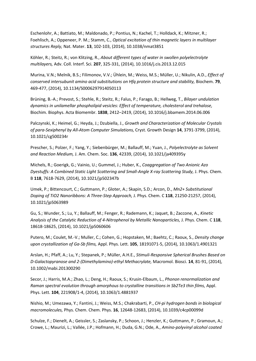Eschenlohr, A.; Battiato, M.; Maldonado, P.; Pontius, N.; Kachel, T.; Holldack, K.; Mitzner, R.; Foehlisch, A.; Oppeneer, P. M.; Stamm, C., *Optical excitation of thin magnetic layers in multilayer structures Reply,* Nat. Mater. **13**, 102-103, (2014), 10.1038/nmat3851

Köhler, R.; Steitz, R.; von Klitzing, R., *About different types of water in swollen polyelectrolyte multilayers,* Adv. Coll. Interf. Sci. **207**, 325-331, (2014), 10.1016/j.cis.2013.12.015

Murina, V.N.; Melnik, B.S.; Filimonov, V.V.; Ühlein, M.; Weiss, M.S.; Müller, U.; Nikulin, A.D., *Effect of conserved intersubunit amino acid substitutions on Hfq protein structure and stability,* Biochem. **79**, 469-477, (2014), 10.1134/S0006297914050113

Brüning, B.-A.; Prevost, S.; Stehle, R.; Steitz, R.; Falus, P.; Farago, B.; Hellweg, T., *Bilayer undulation dynamics in unilamellar phospholipid vesicles: Effect of temperature, cholesterol and trehalose,*  Biochim. Biophys. Acta Biomembr. **1838**, 2412–2419, (2014), 10.1016/j.bbamem.2014.06.006

Palczynski, K.; Heimel, G.; Heyda, J.; Dzubiella, J., *Growth and Characterization of Molecular Crystals of para-Sexiphenyl by All-Atom Computer Simulations,* Cryst. Growth Design **14**, 3791-3799, (2014), 10.1021/cg500234r

Prescher, S.; Polzer, F.; Yang, Y.; Siebenbürger, M.; Ballauff, M.; Yuan, J., *Polyelectrolyte as Solvent and Reaction Medium,* J. Am. Chem. Soc. **136**, 42339, (2014), 10.1021/ja409395y

Michels, R.; Goerigk, G.; Vainio, U.; Gummel, J.; Huber, K., *Coaggregation of Two Anionic Azo Dyestuffs: A Combined Static Light Scattering and Small-Angle X-ray Scattering Study,* J. Phys. Chem. B **118**, 7618-7629, (2014), 10.1021/jp502347b

Umek, P.; Bittencourt, C.; Guttmann, P.; Gloter, A.; Skapin, S.D.; Arcon, D., *Mn2+ Substitutional Doping of TiO2 Nanoribbons: A Three-Step Approach,* J. Phys. Chem. C **118**, 21250-21257, (2014), 10.1021/jp5063989

Gu, S.; Wunder, S.; Lu, Y.; Ballauff, M.; Fenger, R.; Rademann, K.; Jaquet, B.; Zaccone, A., *Kinetic Analysis of the Catalytic Reduction of 4-Nitrophenol by Metallic Nanoparticles,* J. Phys. Chem. C **118**, 18618-18625, (2014), 10.1021/jp5060606

Putero, M.; Coulet, M.-V.; Muller, C.; Cohen, G.; Hopstaken, M.; Baehtz, C.; Raoux, S., *Density change upon crystallization of Ga-Sb films,* Appl. Phys. Lett. **105**, 18191071-5, (2014), 10.1063/1.4901321

Arslan, H.; Pfaff, A.; Lu, Y.; Stepanek, P.; Müller, A.H.E., *Stimuli-Responsive Spherical Brushes Based on D-Galactopyranose and 2-(Dimethylamino)-ethyl Methacrylate,* Macromol. Biosci. **14**, 81-91, (2014), 10.1002/mabi.201300290

Secor, J.; Harris, M.A.; Zhao, L.; Deng, H.; Raoux, S.; Krusin-Elbaum, L., *Phonon renormalization and Raman spectral evolution through amorphous to crystalline transitions in Sb2Te3 thin films,* Appl. Phys. Lett. **104**, 221908/1-4, (2014), 10.1063/1.4881937

Nishio, M.; Umezawa, Y.; Fantini, J.; Weiss, M.S.; Chakrabarti, P., *CH-pi hydrogen bonds in biological macromolecules,* Phys. Chem. Chem. Phys. **16**, 12648-12683, (2014), 10.1039/c4cp00099d

Schulze, F.; Dienelt, A.; Geissler, S.; Zaslansky, P.; Schoon, J.; Henzler, K.; Guttmann, P.; Gramoun, A.; Crowe, L.; Maurizi, L.; Vallée, J.P.; Hofmann, H.; Duda, G.N.; Ode, A., *Amino-polyvinyl alcohol coated*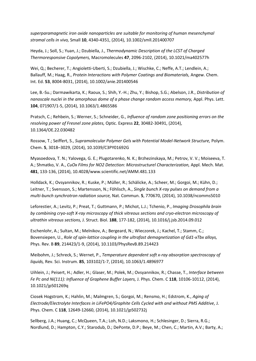*superparamagnetic iron oxide nanoparticles are suitable for monitoring of human mesenchymal stromal cells in vivo,* Small **10**, 4340-4351, (2014), 10.1002/smll.201400707

Heyda, J.; Soll, S.; Yuan, J.; Dzubiella, J., *Thermodynamic Description of the LCST of Charged Thermoresponsive Copolymers,* Macromolecules **47**, 2096-2102, (2014), 10.1021/ma402577h

Wei, Q.; Becherer, T.; Angioletti-Uberti, S.; Dzubiella, J.; Wischke, C.; Neffe, A.T.; Lendlein, A.; Ballauff, M.; Haag, R., *Protein Interactions with Polymer Coatings and Biomaterials,* Angew. Chem. Int. Ed. **53**, 8004-8031, (2014), 10.1002/anie.201400546

Lee, B.-Su.; Darmawikarta, K.; Raoux, S.; Shih, Y.-H.; Zhu, Y.; Bishop, S.G.; Abelson, J.R., *Distribution of nanoscale nuclei in the amorphous dome of a phase change random access memory, Appl. Phys. Lett.* **104**, 071907/1-5, (2014), 10.1063/1.4865586

Pratsch, C.; Rehbein, S.; Werner, S.; Schneider, G., *Influence of random zone positioning errors on the resolving power of Fresnel zone plates,* Optic. Express **22**, 30482-30491, (2014), 10.1364/OE.22.030482

Rossow, T.; Seiffert, S., *Supramolecular Polymer Gels with Potential Model-Network Structure,* Polym. Chem. **5**, 3018–3029, (2014), 10.1039/C3PY01692G

Myasoedova, T. N.; Yalovega, G. E.; Plugotarenko, N. K.; Brzhezinskaya, M.; Petrov, V. V.; Moiseeva, T. A.; Shmatko, V. A., *CuOx Films for NO2 Detection: Microstructurel Characterization, Appl. Mech. Mat.* **481**, 133-136, (2014), 10.4028/www.scientific.net/AMM.481.133

Holldack, K.; Ovsyannikov, R.; Kuske, P.; Müller, R.; Schälicke, A.; Scheer, M.; Gorgoi, M.; Kühn, D.; Leitner, T.; Svensson, S.; Martensson, N.; Föhlisch, A., *Single bunch X-ray pulses on demand from a multi-bunch synchrotron radiation source,* Nat. Commun. **5**, 770670, (2014), 10.1038/ncomms5010

Leforestier, A.; Levitz, P.; Preat, T.; Guttmann, P.; Michot, L.J.; Tchenio, P., *Imaging Drosophila brain by combining cryo-soft X-ray microscopy of thick vitreous sections and cryo-electron microscopy of ultrathin vitreous sections,* J. Struct. Biol. **188**, 177-182, (2014), 10.1016/j.jsb.2014.09.012

Eschenlohr, A.; Sultan, M.; Melnikov, A.; Bergeard, N.; Wieczorek, J.; Kachel, T.; Stamm, C.; Bovensiepen, U., *Role of spin-lattice coupling in the ultrafast demagnetization of Gd1-xTbx alloys,*  Phys. Rev. B **89**, 214423/1-9, (2014), 10.1103/PhysRevB.89.214423

Meibohm, J.; Schreck, S.; Wernet, P., *Temperature dependent soft x-ray absorption spectroscopy of liquids,* Rev. Sci. Instrum. **85**, 103102/1-7, (2014), 10.1063/1.4896977

Uihlein, J.; Peisert, H.; Adler, H.; Glaser, M.; Polek, M.; Ovsyannikov, R.; Chasse, T., *Interface between Fe Pc and Ni(111): Influence of Graphene Buffer Layers,* J. Phys. Chem. C **118**, 10106-10112, (2014), 10.1021/jp501269q

Ciosek Hogstrom, K.; Hahlin, M.; Malmgren, S.; Gorgoi, M.; Rensmo, H.; Edstrom, K., *Aging of Electrode/Electrolyte Interfaces in LiFePO4/Graphite Cells Cycled with and without PMS Additive,* J. Phys. Chem. C **118**, 12649-12660, (2014), 10.1021/jp502732j

Sellberg, J.A.; Huang, C.; McQueen, T.A.; Loh, N.D.; Laksmono, H.; Schlesinger, D.; Sierra, R.G.; Nordlund, D.; Hampton, C.Y.; Starodub, D.; DePonte, D.P.; Beye, M.; Chen, C.; Martin, A.V.; Barty, A.;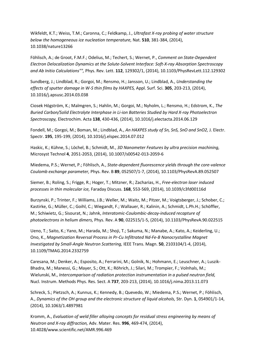Wikfeldt, K.T.; Weiss, T.M.; Caronna, C.; Feldkamp, J., *Ultrafast X-ray probing of water structure below the homogeneous ice nucleation temperature,* Nat. **510**, 381-384, (2014), 10.1038/nature13266

Föhlisch, A.; de Groot, F.M.F.; Odelius, M.; Techert, S.; Wernet, P., *Comment on State-Dependent Electron Delocalization Dynamics at the Solute-Solvent Interface: Soft-X-ray Absorption Spectroscopy and Ab Initio Calculations"",* Phys. Rev. Lett. **112**, 129302/1, (2014), 10.1103/PhysRevLett.112.129302

Sundberg, J.; Lindblad, R.; Gorgoi, M.; Rensmo, H.; Jansson, U.; Lindblad, A., *Understanding the effects of sputter damage in W-S thin films by HAXPES,* Appl. Surf. Sci. **305**, 203-213, (2014), 10.1016/j.apsusc.2014.03.038

Ciosek Högström, K.; Malmgren, S.; Hahlin, M.; Gorgoi, M.; Nyholm, L.; Rensmo, H.; Edstrom, K., *The Buried Carbon/Solid Electrolyte Interphase in Li-ion Batteries Studied by Hard X-ray Photoelectron Spectroscopy,* Electrochim. Acta **138**, 430-436, (2014), 10.1016/j.electacta.2014.06.129

Fondell, M.; Gorgoi, M.; Boman, M.; Lindblad, A., *An HAXPES study of Sn, SnS, SnO and SnO2,* J. Electr. Spectr. **195**, 195-199, (2014), 10.1016/j.elspec.2014.07.012

Haskic, K.; Kühne, S.; Löchel, B.; Schmidt, M., *3D Nanometer Features by ultra precision machining,*  Microsyst Technol **4**, 2051-2053, (2014), 10.1007/s00542-013-2059-6

Miedema, P.S.; Wernet, P.; Föhlisch, A., *State-dependent fluorescence yields through the core-valence Coulomb exchange parameter,* Phys. Rev. B **89**, 052507/1-7, (2014), 10.1103/PhysRevA.89.052507

Siemer, B.; Roling, S.; Frigge, R.; Hoger, T.; Mitzner, R.; Zacharias, H., *Free-electron laser induced processes in thin molecular ice,* Faraday Discuss. **168**, 553-569, (2014), 10.1039/c3fd00116d

Burzynski, P.; Trinter, F.; Williams, J.B.; Weller, M.; Waitz, M.; Pitzer, M.; Voigtsberger, J.; Schober, C.; Kastirke, G.; Müller, C.; Goihl, C.; Wiegandt, F.; Wallauer, R.; Kalinin, A.; Schmidt, L.Ph.H.; Schöffler, M.; Schiwietz, G.; Sisourat, N.; Jahnk, *Interatomic-Coulombic-decay-induced recapture of photoelectrons in helium dimers,* Phys. Rev. A **90**, 022515/1-5, (2014), 10.1103/PhysRevA.90.022515

Ueno, T.; Saito, K.; Yano, M.; Harada, M.; Shoji, T.; Sakuma, N.; Manabe, A.; Kato, A.; Keiderling, U.; Ono, K., *Magnetization Reversal Process in Pr-Cu Infiltrated Nd-Fe-B Nanocrystalline Magnet Investigated by Small-Angle Neutron Scattering,* IEEE Trans. Magn. **50**, 2103104/1-4, (2014), 10.1109/TMAG.2014.2332759

Caresana, M.; Denker, A.; Esposito, A.; Ferrarini, M.; Golnik, N.; Hohmann, E.; Leuschner, A.; Luszik-Bhadra, M.; Manessi, G.; Mayer, S.; Ott, K.; Röhrich, J.; Silari, M.; Trompier, F.; Volnhals, M.; Wielunski, M., *Intercomparison of radiation protection instrumentation in a pulsed neutron field,*  Nucl. Instrum. Methods Phys. Res. Sect. A **737**, 203-213, (2014), 10.1016/j.nima.2013.11.073

Schreck, S.; Pietzsch, A.; Kunnus, K.; Kennedy, B.; Quevedo, W.; Miedema, P.S.; Wernet, P.; Föhlisch, A., *Dynamics of the OH group and the electronic structure of liquid alcohols,* Str. Dyn. **1**, 054901/1-14, (2014), 10.1063/1.4897981

Kromm, A., *Evaluation of weld filler alloying concepts for residual stress engineering by means of Neutron and X-ray diffraction,* Adv. Mater. Res. **996**, 469-474, (2014), 10.4028/www.scientific.net/AMR.996.469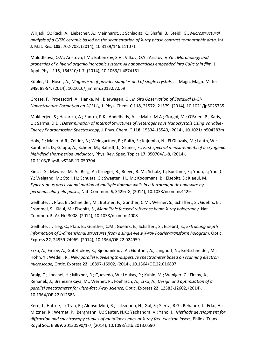Wirjadi, O.; Rack, A.; Liebscher, A.; Meinhardt, J.; Schladitz, K.; Shafei, B.; Steidl, G., *Microstructural*  analysis of a C/SiC ceramic based on the segmentation of X-ray phase contrast tomographic data, Int. J. Mat. Res. **105**, 702-708, (2014), 10.3139/146.111071

Molodtsova, O.V.; Aristova, I.M.; Babenkov, S.V.; Vilkov, O.Y.; Aristov, V.Yu., *Morphology and properties of a hybrid organic-inorganic system: Al nanoparticles embedded into CuPc thin film,* J. Appl. Phys. **115**, 164310/1-7, (2014), 10.1063/1.4874161

Köbler, U.; Hoser, A., *Magnetism of powder samples and of single crystals ,* J. Magn. Magn. Mater. **349**, 88-94, (2014), 10.1016/j.jmmm.2013.07.059

Grosse, F.; Proessdorf, A.; Hanke, M.; Bierwagen, O., *In Situ Observation of Epitaxial Li–Si-Nanostructure Formation on Si(111),* J. Phys. Chem. C **118**, 21572 -21579, (2014), 10.1021/jp5025735

Mukherjee, S.; Hazarika, A.; Santra, P.K.; Abdelhady, A.L.; Malik, M.A.; Gorgoi, M.; O'Brien, P.; Karis, O.; Sarma, D.D., *Determination of Internal Structures of Heterogeneous Nanocrystals Using Variable-Energy Photoemission Spectroscopy,* J. Phys. Chem. C **118**, 15534-15540, (2014), 10.1021/jp504283m

Holy, F.; Maier, A.R.; Zeitler, B.; Weingartner, R.; Raith, S.; Kajumba, N.; El Ghazaly, M.; Lauth, W.; Kambrich, D.; Gaupp, A.; Scheer, M.; Bahrdt, J.; Grüner, F., *First spectral measurements of a cryogenic high-field short-period undulator,* Phys. Rev. Spec. Topics **17**, 050704/1-8, (2014), 10.1103/PhysRevSTAB.17.050704

Kim, J.-S.; Mawass, M.-A.; Bisig, A.; Krueger, B.; Reeve, R. M.; Schulz, T.; Buettner, F.; Yoon, J.; You, C.- Y.; Weigand, M.; Stoll, H.; Schuetz, G.; Swagten, H.J.M.; Koopmans, B.; Eisebitt, S.; Klaeui, M., *Synchronous precessional motion of multiple domain walls in a ferromagnetic nanowire by perpendicular field pulses,* Nat. Commun. **5**, 3429/-8, (2014), 10.1038/ncomms4429

Geilhufe, J.; Pfau, B.; Schneider, M.; Büttner, F.; Günther, C.M.; Werner, S.; Schaffert, S.; Guehrs, E.; Frömmel, S.; Kläui, M.; Eisebitt, S., *Monolithic focused reference beam X-ray holography,* Nat. Commun. **5**, ArtNr: 3008, (2014), 10.1038/ncomms4008

Geilhufe, J.; Tieg, C.; Pfau, B.; Günther, C.M.; Guehrs, E.; Schaffert, S.; Eisebitt, S., *Extracting depth information of 3-dimensional structures from a single-view X-ray Fourier-transform hologram,* Optic. Express **22**, 24959-24969, (2014), 10.1364/OE.22.024959

Erko, A.; Firsov, A.; Gubzhokov, R.; Bjeoumikhov, A.; Günther, A.; Langhoff, N.; Bretschneider, M.; Höhn, Y.; Wedell, R., *New parallel wavelength-dispersive spectrometer based on scanning electron microscope,* Optic. Express **22**, 16897-16902, (2014), 10.1364/OE.22.016897

Braig, C.; Loechel, H.; Mitzner, R.; Quevedo, W.; Loukas, P.; Kubin, M.; Weniger, C.; Firsov, A.; Rehanek, J.; Brzhezinskaya, M.; Wernet, P.; Foehlisch, A.; Erko, A., *Design and optimization of a parallel spectrometer for ultra-fast X-ray science,* Optic. Express **22**, 12583-12602, (2014), 10.1364/OE.22.012583

Kern, J.; Hattne, J.; Tran, R.; Alonso-Mori, R.; Laksmono, H.; Gul, S.; Sierra, R.G.; Rehanek, J.; Erko, A.; Mitzner, R.; Wernet, P.; Bergmann, U.; Sauter, N.K.; Yachandra, V.; Yano, J., *Methods development for diffraction and spectroscopy studies of metalloenzymes at X-ray free-electron lasers,* Philos. Trans. Royal Soc. B **369**, 20130590/1-7, (2014), 10.1098/rstb.2013.0590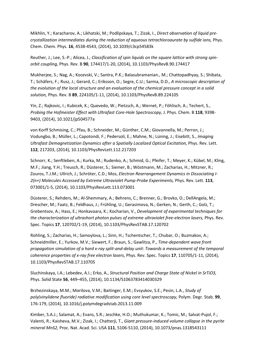Mikhlin, Y.; Karacharov, A.; Likhatski, M.; Podlipskaya, T.; Zizak, I., *Direct observation of liquid precrystallization intermediates during the reduction of aqueous tetrachloroaurate by sulfide ions,* Phys. Chem. Chem. Phys. **16**, 4538-4543, (2014), 10.1039/c3cp54583k

Reuther, J.; Lee, S.-P.; Alicea, J., *Classification of spin liquids on the square lattice with strong spinorbit coupling,* Phys. Rev. B **90**, 174417/1-20, (2014), 10.1103/PhysRevB.90.174417

Mukherjee, S.; Nag, A.; Kocevski, V.; Santra, P.K.; Balasubramanian., M.; Chattopadhyay, S.; Shibata, T.; Schäfers, F.; Rusz, J.; Gerard, C.; Eriksson, O.; Segre, C.U.; Sarma, D.D., *A microscopic description of the evolution of the local structure and an evaluation of the chemical pressure concept in a solid solution,* Phys. Rev. B **89**, 224105/1-11, (2014), 10.1103/PhysRevB.89.224105

Yin, Z.; Rajkovic, I.; Kubicek, K.; Quevedo, W.; Pietzsch, A.; Wernet, P.; Föhlisch, A.; Techert, S., *Probing the Hofmeister Effect with Ultrafast Core-Hole Spectroscopy,* J. Phys. Chem. B **118**, 9398- 9403, (2014), 10.1021/jp504577a

von Korff Schmising, C.; Pfau, B.; Schneider, M.; Günther, C.M.; Giovannella, M.; Perron, J.; Vodungbo, B.; Müller, L.; Capotondi, F.; Pedersoli, E.; Mahne, N.; Lüning, J.; Eisebitt, S., *Imaging*  Ultrafast Demagnetization Dynamics after a Spatially Localized Optical Excitation, Phys. Rev. Lett. **112**, 217203, (2014), 10.1103/PhysRevLett.112.217203

Schnorr, K.; Senftleben, A.; Kurka, M.; Rudenko, A.; Schmid, G.; Pfeifer, T.; Meyer, K.; Kübel, M.; Kling, M.F.; Jiang, Y.H.; Treusch, R.; Düsterer, S.; Siemer, B.; Wöstmann, M.; Zacharias, H.; Mitzner, R.; Zouros, T.J.M.; Ullrich, J.; Schröter, C.D.; Mos, *Electron Rearrangement Dynamics in Dissociating I-2(n+) Molecules Accessed by Extreme Ultraviolet Pump-Probe Experiments,* Phys. Rev. Lett. **113**, 073001/1-5, (2014), 10.1103/PhysRevLett.113.073001

Düsterer, S.; Rehders, M.; Al-Shemmary, A.; Behrens, C.; Brenner, G.; Brovko, O.; DellAngela, M.; Drescher, M.; Faatz, B.; Feldhaus, J.; Frühling, U.; Gerasimova, N.; Gerken, N.; Gerth, C.; Golz, T.; Grebentsov, A.; Hass, E.; Honkavaara, K.; Kocharian, V., *Development of experimental techniques for*  the characterization of ultrashort photon pulses of extreme ultraviolet free-electron lasers, Phys. Rev. Spec. Topics **17**, 120702/1-19, (2014), 10.1103/PhysRevSTAB.17.120702

Rohling, S.; Zacharias, H.; Samoylova, L.; Sinn, H.; Tschentscher, T.; Chubar, O.; Buzmakov, A.; Schneidmiller, E.; Yurkov, M.V.; Siewert, F.; Braun, S.; Gawlitza, P., *Time-dependent wave front propagation simulation of a hard x-ray split-and-delay unit: Towards a measurement of the temporal coherence properties of x-ray free electron lasers,* Phys. Rev. Spec. Topics **17**, 110705/1-11, (2014), 10.1103/PhysRevSTAB.17.110705

Sluchinskaya, I.A.; Lebedev, A.I.; Erko, A., *Structural Position and Charge State of Nickel in SrTiO3,*  Phys. Solid State **56**, 449–455, (2014), 10.1134/S1063783414030329

Brzhezinskaya, M.M.; Morilova, V.M.; Baitinger, E.M.; Evsyukov, S.E.; Pesin, L.A., *Study of poly(vinylidene fluoride) radiative modification using core level spectroscopy,* Polym. Degr. Stab. **99**, 176-179, (2014), 10.1016/j.polymdegradstab.2013.11.009

Kimber, S.A.J.; Salamat, A.; Evans, S.R.; Jeschke, H.O.; Muthukumar, K.; Tomic, M.; Salvat-Pujol, F.; Valenti, R.; Kaisheva, M.V.; Zizak, I.; Chatterji, T., *Giant pressure-induced volume collapse in the pyrite mineral MnS2,* Proc. Nat. Acad. Sci. USA **111**, 5106-5110, (2014), 10.1073/pnas.1318543111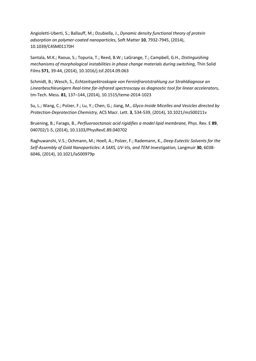Angioletti-Uberti, S.; Ballauff, M.; Dzubiella, J., *Dynamic density functional theory of protein adsorption on polymer-coated nanoparticles,* Soft Matter **10**, 7932-7945, (2014), 10.1039/C4SM01170H

Santala, M.K.; Raoux, S.; Topuria, T.; Reed, B.W.; LaGrange, T.; Campbell, G.H., *Distinguishing mechanisms of morphological instabilities in phase change materials during switching,* Thin Solid Films **571**, 39-44, (2014), 10.1016/j.tsf.2014.09.063

Schmidt, B.; Wesch, S., *Echtzeitspektroskopie von Ferninfrarotstrahlung zur Strahldiagnose an Linearbeschleunigern Real-time far-infrared spectroscopy as diagnostic tool for linear accelerators,*  tm-Tech. Mess. **81**, 137–144, (2014), 10.1515/teme-2014-1023

Su, L.; Wang, C.; Polzer, F.; Lu, Y.; Chen, G.; Jiang, M., *Glyco-Inside Micelles and Vesicles directed by Protection-Deprotection Chemistry,* ACS Macr. Lett. **3**, 534-539, (2014), 10.1021/mz500211v

Bruening, B.; Farago, B., *Perfluorooctanoic acid rigidifies a model lipid membrane,* Phys. Rev. E **89**, 040702/1-5, (2014), 10.1103/PhysRevE.89.040702

Raghuwanshi, V.S.; Ochmann, M.; Hoell, A.; Polzer, F.; Rademann, K., *Deep Eutectic Solvents for the Self-Assembly of Gold Nanoparticles: A SAXS, UV-Vis, and TEM Investigation,* Langmuir **30**, 6038- 6046, (2014), 10.1021/la500979p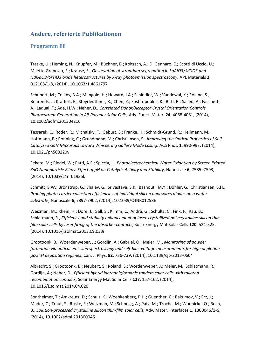## <span id="page-48-0"></span>**Andere, referierte Publikationen**

### <span id="page-48-1"></span>**Programm EE**

Treske, U.; Heming, N.; Knupfer, M.; Büchner, B.; Koitzsch, A.; Di Gennaro, E.; Scotti di Uccio, U.; Miletto Granozio, F.; Krause, S., *Observation of strontium segregation in LaAlO3/SrTiO3 and NdGaO3/SrTiO3 oxide heterostructures by X-ray photoemission spectroscopy,* APL Materials **2**, 012108/1-8, (2014), 10.1063/1.4861797

Schubert, M.; Collins, B.A.; Mangold, H.; Howard, I.A.; Schindler, W.; Vandewal, K.; Roland, S.; Behrends, J.; Kraffert, F.; Steyrleuthner, R.; Chen, Z.; Fostiropoulos, K.; Bittl, R.; Salleo, A.; Facchetti, A.; Laquai, F.; Ade, H.W.; Neher, D., *Correlated Donor/Acceptor Crystal Orientation Controls Photocurrent Generation in All-Polymer Solar Cells,* Adv. Funct. Mater. **24**, 4068-4081, (2014), 10.1002/adfm.201304216

Tessarek, C.; Röder, R.; Michalsky, T.; Geburt, S.; Franke, H.; Schmidt-Grund, R.; Heilmann, M.; Hoffmann, B.; Ronning, C.; Grundmann, M.; Christiansen, S., *Improving the Optical Properties of Self-Catalyzed GaN Microrods toward Whispering Gallery Mode Lasing,* ACS Phot. **1**, 990-997, (2014), 10.1021/ph500220v

Fekete, M.; Riedel, W.; Patti, A.F.; Spiccia, L., *Photoelectrochemical Water Oxidation by Screen Printed ZnO Nanoparticle Films: Effect of pH on Catalytic Activity and Stability,* Nanoscale **6**, 7585–7593, (2014), 10.1039/c4nr01935k

Schmitt, S.W.; Brönstrup, G.; Shalev, G.; Srivastava, S.K.; Bashouti, M.Y.; Döhler, G.; Christiansen, S.H., *Probing photo-carrier collection efficiencies of individual silicon nanowires diodes on a wafer substrate,* Nanoscale **6**, 7897-7902, (2014), 10.1039/C4NR01258E

Weizman, M.; Rhein, H.; Dore, J.; Gall, S.; Klimm, C.; Andrä, G.; Schultz, C.; Fink, F.; Rau, B.; Schlatmann, R., *Efficiency and stability enhancement of laser-crystallized polycrystalline silicon thinfilm solar cells by laser firing of the absorber contacts,* Solar Energy Mat Solar Cells **120**, 521-525, (2014), 10.1016/j.solmat.2013.09.033i

Grootoonk, B.; Woerdenweber, J.; Gordijn, A.; Gabriel, O.; Meier, M., *Monitoring of powder formation via optical emission spectroscopy and self-bias-voltage measurements for high depletion µc-Si:H deposition regimes,* Can. J. Phys. **92**, 736-739, (2014), 10.1139/cjp-2013-0604

Albrecht, S.; Grootoonk, B.; Neubert, S.; Roland, S.; Wördenweber, J.; Meier, M.; Schlatmann, R.; Gordijn, A.; Neher, D., *Efficient hybrid inorganic/organic tandem solar cells with tailored recombination contacts,* Solar Energy Mat Solar Cells **127**, 157-162, (2014), 10.1016/j.solmat.2014.04.020

Sontheimer, T.; Amkreutz, D.; Schulz, K.; Woebkenberg, P.H.; Guenther, C.; Bakumov, V.; Erz, J.; Mader, C.; Traut, S.; Ruske, F.; Weizman, M.; Schnegg, A.; Patz, M.; Trocha, M.; Wunnicke, O.; Rech, B., *Solution-processed crystalline silicon thin-film solar cells,* Adv. Mater. Interfaces **1**, 1300046/1-6, (2014), 10.1002/admi.201300046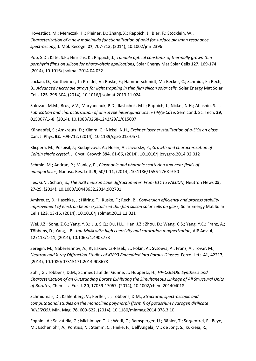Hovestädt, M.; Memczak, H.; Pleiner, D.; Zhang, X.; Rappich, J.; Bier, F.; Stöcklein, W., *Characterization of a new maleimido functionalization of gold for surface plasmon resonance spectroscopy,* J. Mol. Recogn. **27**, 707-713, (2014), 10.1002/jmr.2396

Pop, S.D.; Kate, S.P.; Hinrichs, K.; Rappich, J., *Tunable optical constants of thermally grown thin porphyrin films on silicon for photovoltaic applications,* Solar Energy Mat Solar Cells **127**, 169-174, (2014), 10.1016/j.solmat.2014.04.032

Lockau, D.; Sontheimer, T.; Preidel, V.; Ruske, F.; Hammerschmidt, M.; Becker, C.; Schmidt, F.; Rech, B., *Advanced microhole arrays for light trapping in thin film silicon solar cells,* Solar Energy Mat Solar Cells **125**, 298-304, (2014), 10.1016/j.solmat.2013.11.024

Solovan, M.M.; Brus, V.V.; Maryanchuk, P.D.; Ilashchuk, M.I.; Rappich, J.; Nickel, N.H.; Abashin, S.L., *Fabrication and characterization of anisotype heterojunctions n-TiN/p-CdTe,* Semicond. Sc. Tech. **29**, 015007/1--8, (2014), 10.1088/0268-1242/29/1/015007

Kühnapfel, S.; Amkreutz, D.; Klimm, C.; Nickel, N.H., *Excimer laser crystallization of a-SiCx on glass,*  Can. J. Phys. **92**, 709-712, (2014), 10.1139/cjp-2013-0571

Klicpera, M.; Pospisil, J.; Rudajevova, A.; Hoser, A.; Javorsky, P., *Growth and characterization of CePtIn single crystal,* J. Cryst. Growth **394**, 61-66, (2014), 10.1016/j.jcrysgro.2014.02.012

Schmid, M.; Andrae, P.; Manley, P., *Plasmonic and photonic scattering and near fields of nanoparticles,* Nanosc. Res. Lett. **9**, 50/1-11, (2014), 10.1186/1556-276X-9-50

Iles, G.N.; Schorr, S., *The HZB neutron Laue diffractometer: From E11 to FALCON,* Neutron News **25**, 27-29, (2014), 10.1080/10448632.2014.902701

Amkreutz, D.; Haschke, J.; Häring, T.; Ruske, F.; Rech, B., *Conversion efficiency and process stability improvement of electron beam crystallized thin film silicon solar cells on glass,* Solar Energy Mat Solar Cells **123**, 13-16, (2014), 10.1016/j.solmat.2013.12.021

Wei, J.Z.; Song, Z.G.; Yang, Y.B.; Liu, S.Q.; Du, H.L.; Han, J.Z.; Zhou, D.; Wang, C.S.; Yang, Y.C.; Franz, A.; Többens, D.; Yang, J.B., *tau-MnAl with high coercivity and saturation magnetization,* AIP Adv. **4**, 127113/1-11, (2014), 10.1063/1.4903773

Seregin, M.; Naberezhnov, A.; Rysiakiewicz-Pasek, E.; Fokin, A.; Sysoeva, A.; Franz, A.; Tovar, M., *Neutron and X-ray Diffraction Studies of KNO3 Embedded into Porous Glasses,* Ferro. Lett. **41**, 42217, (2014), 10.1080/07315171.2014.908678

Sohr, G.; Többens, D.M.; Schmedt auf der Günne, J.; Huppertz, H., *HP-CsB5O8: Synthesis and Characterization of an Outstanding Borate Exhibiting the Simultaneous Linkage of All Structural Units of Borates,* Chem. - a Eur. J. **20**, 17059-17067, (2014), 10.1002/chem.201404018

Schmidmair, D.; Kahlenberg, V.; Perfler, L.; Többens, D.M., *Structural, spectroscopic and computational studies on the monoclinic polymorph (form I) of potassium hydrogen disilicate (KHSi2O5),* Min. Mag. **78**, 609-622, (2014), 10.1180/minmag.2014.078.3.10

Fognini, A.; Salvatella, G.; Michlmayr, T.U.; Wetli, C.; Ramsperger, U.; Bähler, T.; Sorgenfrei, F.; Beye, M.; Eschenlohr, A.; Pontius, N.; Stamm, C.; Hieke, F.; Dell'Angela, M.; de Jong, S.; Kukreja, R.;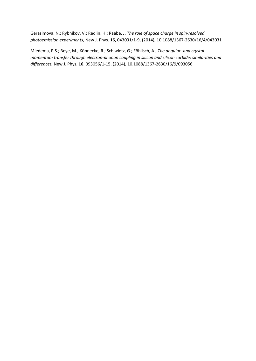Gerasimova, N.; Rybnikov, V.; Redlin, H.; Raabe, J, *The role of space charge in spin-resolved photoemission experiments,* New J. Phys. **16**, 043031/1-9, (2014), 10.1088/1367-2630/16/4/043031

Miedema, P.S.; Beye, M.; Könnecke, R.; Schiwietz, G.; Föhlisch, A., *The angular- and crystalmomentum transfer through electron-phonon coupling in silicon and silicon carbide: similarities and differences,* New J. Phys. **16**, 093056/1-15, (2014), 10.1088/1367-2630/16/9/093056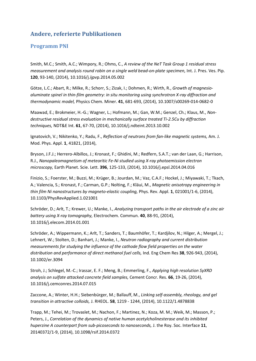## **Andere, referierte Publikationen**

### <span id="page-51-0"></span>**Programm PNI**

Smith, M.C.; Smith, A.C.; Wimpory, R.; Ohms, C., *A review of the NeT Task Group 1 residual stress measurement and analysis round robin on a single weld bead-on-plate specimen, Int. J. Pres. Ves. Pip.* **120**, 93-140, (2014), 10.1016/j.ijpvp.2014.05.002

Götze, L.C.; Abart, R.; Milke, R.; Schorr, S.; Zizak, I.; Dohmen, R.; Wirth, R., *Growth of magnesioaluminate spinel in thin-film geometry: in situ monitoring using synchrotron X-ray diffraction and thermodynamic model,* Physics Chem. Miner. **41**, 681-693, (2014), 10.1007/s00269-014-0682-0

Maawad, E.; Brokmeier, H.-G.; Wagner, L.; Hofmann, M.; Gan, W.M.; Genzel, Ch.; Klaus, M., *Nondestructive residual stress evaluation in mechanically surface treated Ti-2.5Cu by diffraction techniques,* NDT&E Int. **61**, 67-70, (2014), 10.1016/j.ndteint.2013.10.002

Ignatovich, V.; Nikitenko, Y.; Radu, F., *Reflection of neutrons from fan-like magnetic systems,* Am. J. Mod. Phys. Appl. **1**, 41821, (2014),

Bryson, J.F.J.; Herrero-Albillos, J.; Kronast, F.; Ghidini, M.; Redfern, S.A.T.; van der Laan, G.; Harrison, R.J., *Nanopaleomagnetism of meteoritic Fe-Ni studied using X-ray photoemission electron microscopy,* Earth Planet. Scie. Lett. **396**, 125-133, (2014), 10.1016/j.epsl.2014.04.016

Finizio, S.; Foerster, M.; Buzzi, M.; Krüger, B.; Jourdan, M.; Vaz, C.A.F.; Hockel, J.; Miyawaki, T.; Tkach, A.; Valencia, S.; Kronast, F.; Carman, G.P.; Nolting, F.; Kläui, M., *Magnetic anisotropy engineering in thin film Ni nanostructures by magneto-elastic coupling,* Phys. Rev. Appl. **1**, 021001/1-6, (2014), 10.1103/PhysRevApplied.1.021001

Schröder, D.; Arlt, T.; Krewer, U.; Manke, I., *Analyzing transport paths in the air electrode of a zinc air battery using X-ray tomography,* Electrochem. Commun. **40**, 88-91, (2014), 10.1016/j.elecom.2014.01.001

Schröder, A.; Wippermann, K.; Arlt, T.; Sanders, T.; Baumhöfer, T.; Kardjilov, N.; Hilger, A.; Mergel, J.; Lehnert, W.; Stolten, D.; Banhart, J.; Manke, I., *Neutron radiography and current distribution measurements for studying the influence of the cathode flow field properties on the water distribution and performance of direct methanol fuel cells,* Ind. Eng Chem Res **38**, 926-943, (2014), 10.1002/er.3094

Stroh, J.; Schlegel, M.-C.; Irassar, E. F.; Meng, B.; Emmerling, F., *Applying high resolution SyXRD analysis on sulfate attacked concrete field samples,* Cement Concr. Res. **66**, 19-26, (2014), 10.1016/j.cemconres.2014.07.015

Zaccone, A.; Winter, H.H.; Siebenbürger, M.; Ballauff, M., *Linking self-assembly, rheology, and gel transition in attractive colloids,* J. RHEOL. **58**, 1219 - 1244, (2014), 10.1122/1.4878838

Trapp, M.; Tehei, M.; Trovaslet, M.; Nachon, F.; Martinez, N.; Koza, M. M.; Weik, M.; Masson, P.; Peters, J., *Correlation of the dynamics of native human acetylcholinesterase and its inhibited huperzine A counterpart from sub-picoseconds to nanoseconds,* J. the Roy. Soc. Interface **11**, 20140372/1-9, (2014), 10.1098/rsif.2014.0372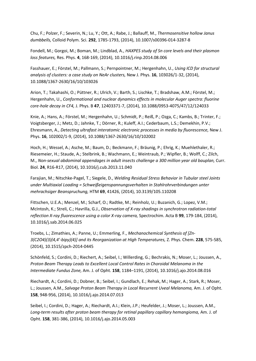Chu, F.; Polzer, F.; Severin, N.; Lu, Y.; Ott, A.; Rabe, J.; Ballauff, M., *Thermosensitive hollow Janus dumbbells,* Colloid Polym. Sci. **292**, 1785-1793, (2014), 10.1007/s00396-014-3287-8

Fondell, M.; Gorgoi, M.; Boman, M.; Lindblad, A., *HAXPES study of Sn core levels and their plasmon loss features,* Res. Phys. **4**, 168-169, (2014), 10.1016/j.rinp.2014.08.006

Fasshauer, E.; Förstel, M.; Pallmann, S.; Pernpointner, M.; Hergenhahn, U., *Using ICD for structural analysis of clusters: a case study on NeAr clusters,* New J. Phys. **16**, 103026/1-32, (2014), 10.1088/1367-2630/16/10/103026

Arion, T.; Takahashi, O.; Püttner, R.; Ulrich, V.; Barth, S.; Lischke, T.; Bradshaw, A.M.; Förstel, M.; Hergenhahn, U., *Conformational and nuclear dynamics effects in molecular Auger spectra: fluorine core-hole decay in CF4,* J. Phys. B **47**, 12403371-7, (2014), 10.1088/0953-4075/47/12/124033

Knie, A.; Hans, A.; Förstel, M.; Hergenhahn, U.; Schmidt, P.; Reiß, P.; Ozga, C.; Kambs, B.; Trinter, F.; Voigtsberger, J.; Metz, D.; Jahnke, T.; Dörner, R.; Kuleff, A.I.; Cederbaum, L.S.; Demekhin, P.V.; Ehresmann, A., *Detecting ultrafast interatomic electronic processes in media by fluorescence,* New J. Phys. **16**, 102002/1-9, (2014), 10.1088/1367-2630/16/10/102002

Hoch, H.; Wessel, A.; Asche, M.; Baum, D.; Beckmann, F.; Bräunig, P.; Ehrig, K.; Muehlethaler, R.; Riesemeier, H.; Staude, A.; Stelbrink, B.; Wachmann, E.; Weintraub, P.; Wipfler, B.; Wolff, C.; Zilch, M., *Non-sexual abdominal appendages in adult insects challenge a 300 million year old bauplan,* Curr. Biol. **24**, R16-R17, (2014), 10.1016/j.cub.2013.11.040

Farajian, M.; Nitschke-Pagel, T.; Siegele, D., *Welding Residual Stress Behavior in Tubular steel Joints under Multiaxial Loading = Schweißeigenspannungsverhalten in Stahlrohrverbindungen unter mehrachsiger Beanspruchung,* HTM **69**, 41426, (2014), 10.3139/105.110208

Fittschen, U.E.A.; Menzel, M.; Scharf, O.; Radtke, M.; Reinholz, U.; Buzanich, G.; Lopez, V.M.; McIntosh, K.; Streli, C.; Havrilla, G.J., *Observation of X-ray shadings in synchrotron radiation-total reflection X-ray fluorescence using a color X-ray camera,* Spectrochim. Acta B **99**, 179-184, (2014), 10.1016/j.sab.2014.06.025

Troebs, L.; Zimathies, A.; Panne, U.; Emmerling, F., *Mechanochemical Synthesis of [Zn-3(C2O4)(3)(4,4'-bipy)(4)] and its Reorganization at High Temperatures,* Z. Phys. Chem. **228**, 575-585, (2014), 10.1515/zpch-2014-0445

Schönfeld, S.; Cordini, D.; Riechert, A.; Seibel, I.; Willerding, G.; Bechrakis, N.; Moser, L.; Joussen, A., *Proton Beam Therapy Leads to Excellent Local Control Rates in Choroidal Melanoma in the Intermediate Fundus Zone,* Am. J. of Opht. **158**, 1184–1191, (2014), 10.1016/j.ajo.2014.08.016

Riechardt, A.; Cordini, D.; Dobner, B.; Seibel, I.; Gundlach, E.; Rehak, M.; Hager, A.; Stark, R.; Moser, L.; Joussen, A.M., *Salvage Proton Beam Therapy in Local Recurrent Uveal Melanoma,* Am. J. of Opht. **158**, 948-956, (2014), 10.1016/j.ajo.2014.07.013

Seibel, I.; Cordini, D.; Hager, A.; Riechardt, A.I.; Klein, J.P.; Heufelder, J.; Moser, L.; Joussen, A.M., Long-term results after proton beam therapy for retinal papillary capillary hemangioma, Am. J. of Opht. **158**, 381-386, (2014), 10.1016/j.ajo.2014.05.003